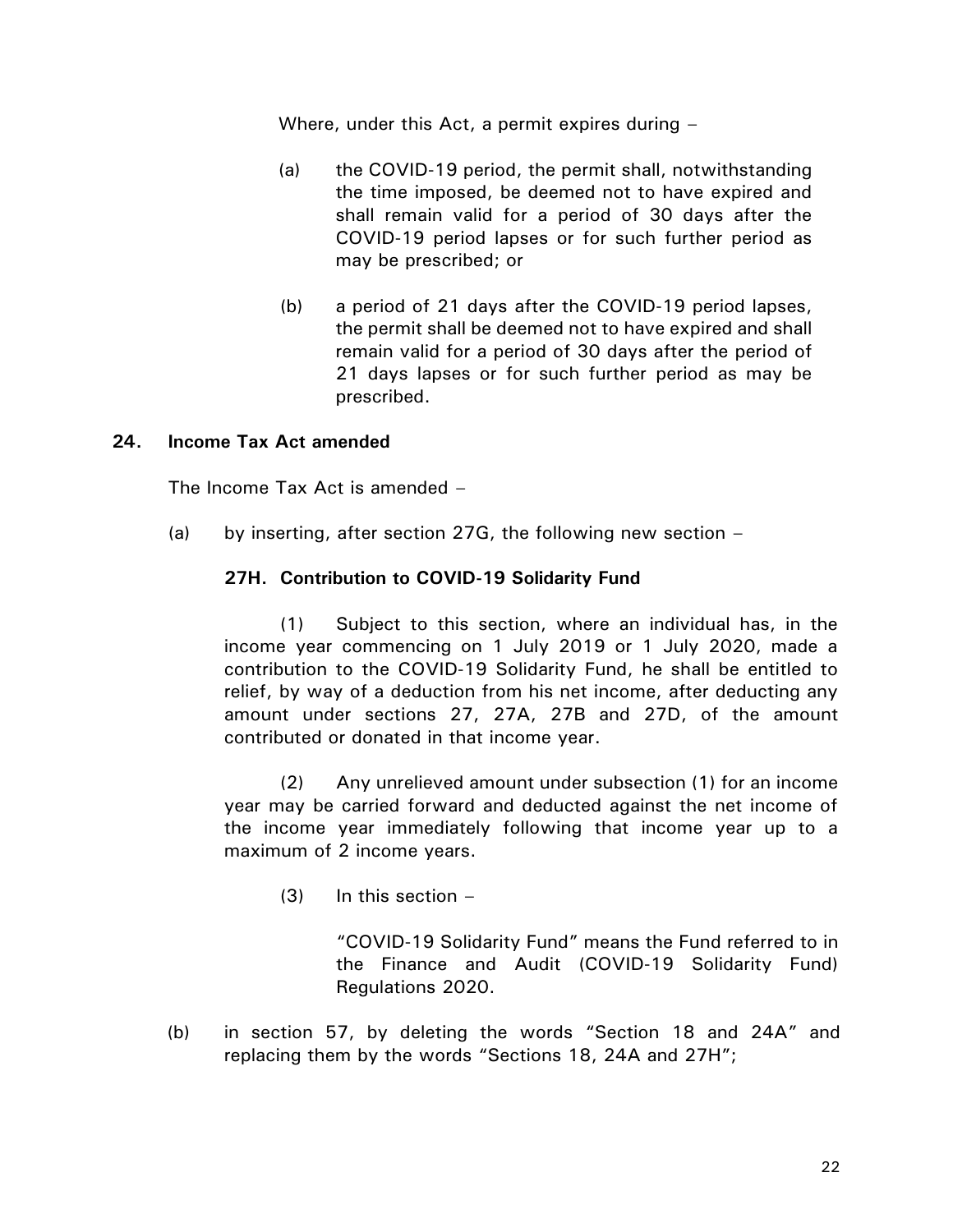Where, under this Act, a permit expires during –

- (a) the COVID-19 period, the permit shall, notwithstanding the time imposed, be deemed not to have expired and shall remain valid for a period of 30 days after the COVID-19 period lapses or for such further period as may be prescribed; or
- (b) a period of 21 days after the COVID-19 period lapses, the permit shall be deemed not to have expired and shall remain valid for a period of 30 days after the period of 21 days lapses or for such further period as may be prescribed.

### **24. Income Tax Act amended**

The Income Tax Act is amended –

(a) by inserting, after section 27G, the following new section  $-$ 

#### **27H. Contribution to COVID-19 Solidarity Fund**

(1) Subject to this section, where an individual has, in the income year commencing on 1 July 2019 or 1 July 2020, made a contribution to the COVID-19 Solidarity Fund, he shall be entitled to relief, by way of a deduction from his net income, after deducting any amount under sections 27, 27A, 27B and 27D, of the amount contributed or donated in that income year.

(2) Any unrelieved amount under subsection (1) for an income year may be carried forward and deducted against the net income of the income year immediately following that income year up to a maximum of 2 income years.

 $(3)$  In this section  $-$ 

"COVID-19 Solidarity Fund" means the Fund referred to in the Finance and Audit (COVID-19 Solidarity Fund) Regulations 2020.

(b) in section 57, by deleting the words "Section 18 and 24A" and replacing them by the words "Sections 18, 24A and 27H";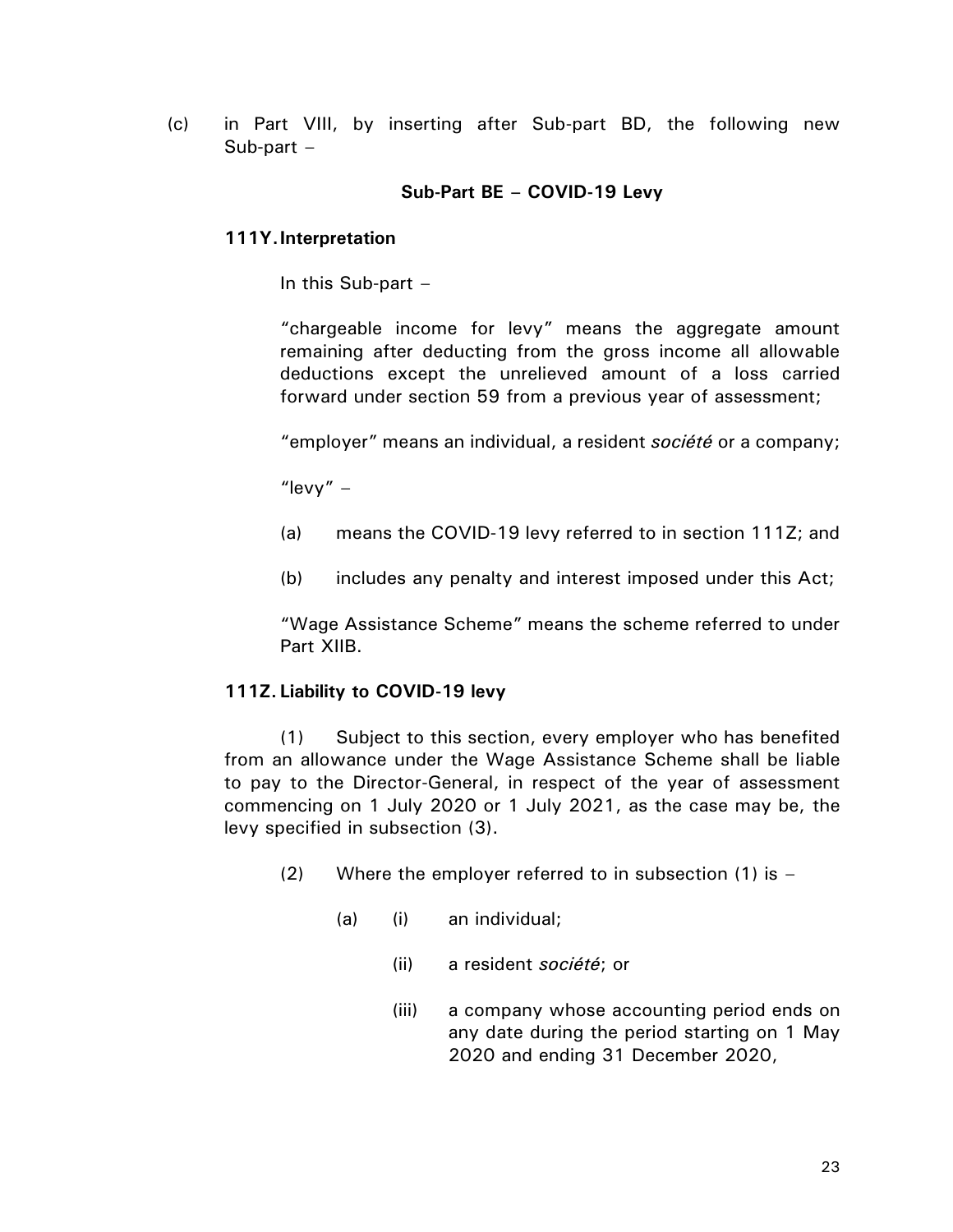(c) in Part VIII, by inserting after Sub-part BD, the following new Sub-part –

### **Sub-Part BE – COVID-19 Levy**

### **111Y.Interpretation**

In this Sub-part –

"chargeable income for levy" means the aggregate amount remaining after deducting from the gross income all allowable deductions except the unrelieved amount of a loss carried forward under section 59 from a previous year of assessment;

"employer" means an individual, a resident *société* or a company;

"levy"  $-$ 

- (a) means the COVID-19 levy referred to in section 111Z; and
- (b) includes any penalty and interest imposed under this Act;

"Wage Assistance Scheme" means the scheme referred to under Part XIIB.

### **111Z. Liability to COVID-19 levy**

(1) Subject to this section, every employer who has benefited from an allowance under the Wage Assistance Scheme shall be liable to pay to the Director-General, in respect of the year of assessment commencing on 1 July 2020 or 1 July 2021, as the case may be, the levy specified in subsection (3).

- (2) Where the employer referred to in subsection  $(1)$  is  $-$ 
	- (a) (i) an individual;
		- (ii) a resident *société*; or
		- (iii) a company whose accounting period ends on any date during the period starting on 1 May 2020 and ending 31 December 2020,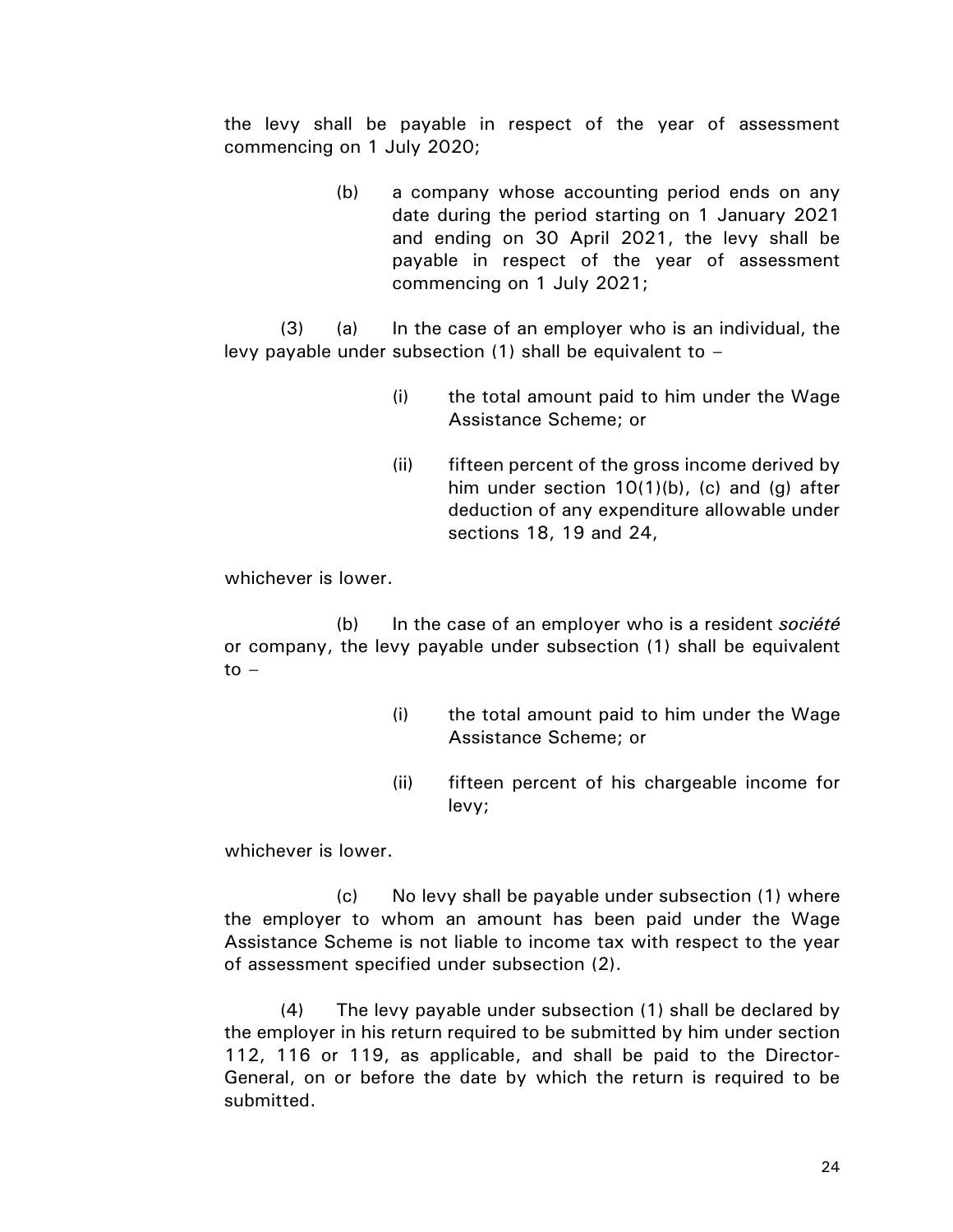the levy shall be payable in respect of the year of assessment commencing on 1 July 2020;

> (b) a company whose accounting period ends on any date during the period starting on 1 January 2021 and ending on 30 April 2021, the levy shall be payable in respect of the year of assessment commencing on 1 July 2021;

(3) (a) In the case of an employer who is an individual, the levy payable under subsection (1) shall be equivalent to –

- (i) the total amount paid to him under the Wage Assistance Scheme; or
- (ii) fifteen percent of the gross income derived by him under section  $10(1)(b)$ , (c) and (g) after deduction of any expenditure allowable under sections 18, 19 and 24,

whichever is lower.

(b) In the case of an employer who is a resident *société* or company, the levy payable under subsection (1) shall be equivalent to  $-$ 

- (i) the total amount paid to him under the Wage Assistance Scheme; or
- (ii) fifteen percent of his chargeable income for levy;

whichever is lower.

(c) No levy shall be payable under subsection (1) where the employer to whom an amount has been paid under the Wage Assistance Scheme is not liable to income tax with respect to the year of assessment specified under subsection (2).

(4) The levy payable under subsection (1) shall be declared by the employer in his return required to be submitted by him under section 112, 116 or 119, as applicable, and shall be paid to the Director-General, on or before the date by which the return is required to be submitted.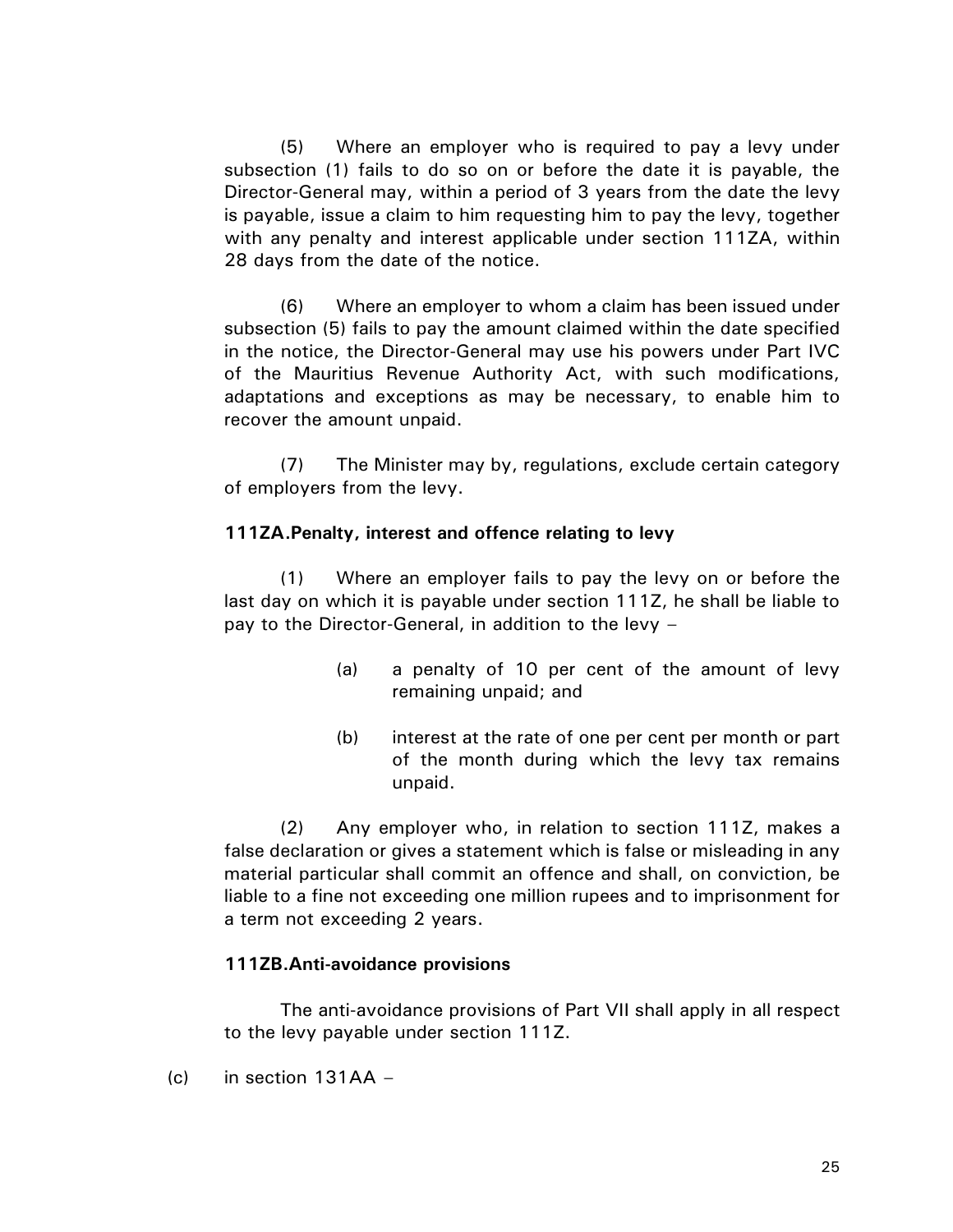(5) Where an employer who is required to pay a levy under subsection (1) fails to do so on or before the date it is payable, the Director-General may, within a period of 3 years from the date the levy is payable, issue a claim to him requesting him to pay the levy, together with any penalty and interest applicable under section 111ZA, within 28 days from the date of the notice.

(6) Where an employer to whom a claim has been issued under subsection (5) fails to pay the amount claimed within the date specified in the notice, the Director-General may use his powers under Part IVC of the Mauritius Revenue Authority Act, with such modifications, adaptations and exceptions as may be necessary, to enable him to recover the amount unpaid.

(7) The Minister may by, regulations, exclude certain category of employers from the levy.

### **111ZA.Penalty, interest and offence relating to levy**

(1) Where an employer fails to pay the levy on or before the last day on which it is payable under section 111Z, he shall be liable to pay to the Director-General, in addition to the levy –

- (a) a penalty of 10 per cent of the amount of levy remaining unpaid; and
- (b) interest at the rate of one per cent per month or part of the month during which the levy tax remains unpaid.

(2) Any employer who, in relation to section 111Z, makes a false declaration or gives a statement which is false or misleading in any material particular shall commit an offence and shall, on conviction, be liable to a fine not exceeding one million rupees and to imprisonment for a term not exceeding 2 years.

# **111ZB.Anti-avoidance provisions**

The anti-avoidance provisions of Part VII shall apply in all respect to the levy payable under section 111Z.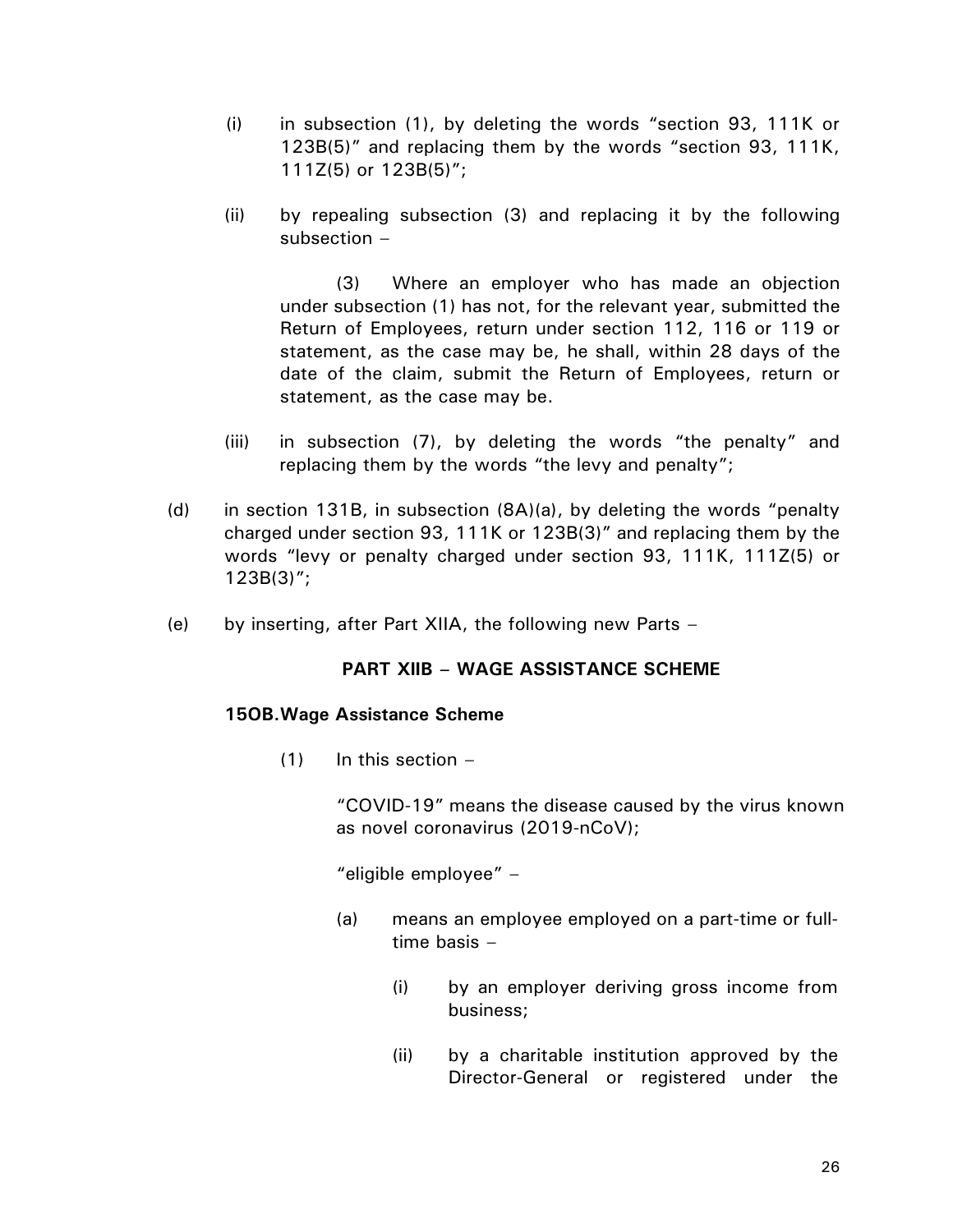- (i) in subsection (1), by deleting the words "section 93, 111K or 123B(5)" and replacing them by the words "section 93, 111K, 111Z(5) or 123B(5)";
- (ii) by repealing subsection (3) and replacing it by the following subsection –

(3) Where an employer who has made an objection under subsection (1) has not, for the relevant year, submitted the Return of Employees, return under section 112, 116 or 119 or statement, as the case may be, he shall, within 28 days of the date of the claim, submit the Return of Employees, return or statement, as the case may be.

- (iii) in subsection (7), by deleting the words "the penalty" and replacing them by the words "the levy and penalty";
- (e) in section 131B, in subsection  $(8A)(a)$ , by deleting the words "penalty" charged under section 93, 111K or 123B(3)" and replacing them by the words "levy or penalty charged under section 93, 111K, 111Z(5) or 123B(3)";
- (f) by inserting, after Part XIIA, the following new Parts –

# **PART XIIB – WAGE ASSISTANCE SCHEME**

### **15OB.Wage Assistance Scheme**

 $(1)$  In this section  $-$ 

"COVID-19" means the disease caused by the virus known as novel coronavirus (2019-nCoV);

"eligible employee" –

- (a) means an employee employed on a part-time or fulltime basis –
	- (i) by an employer deriving gross income from business;
	- (ii) by a charitable institution approved by the Director-General or registered under the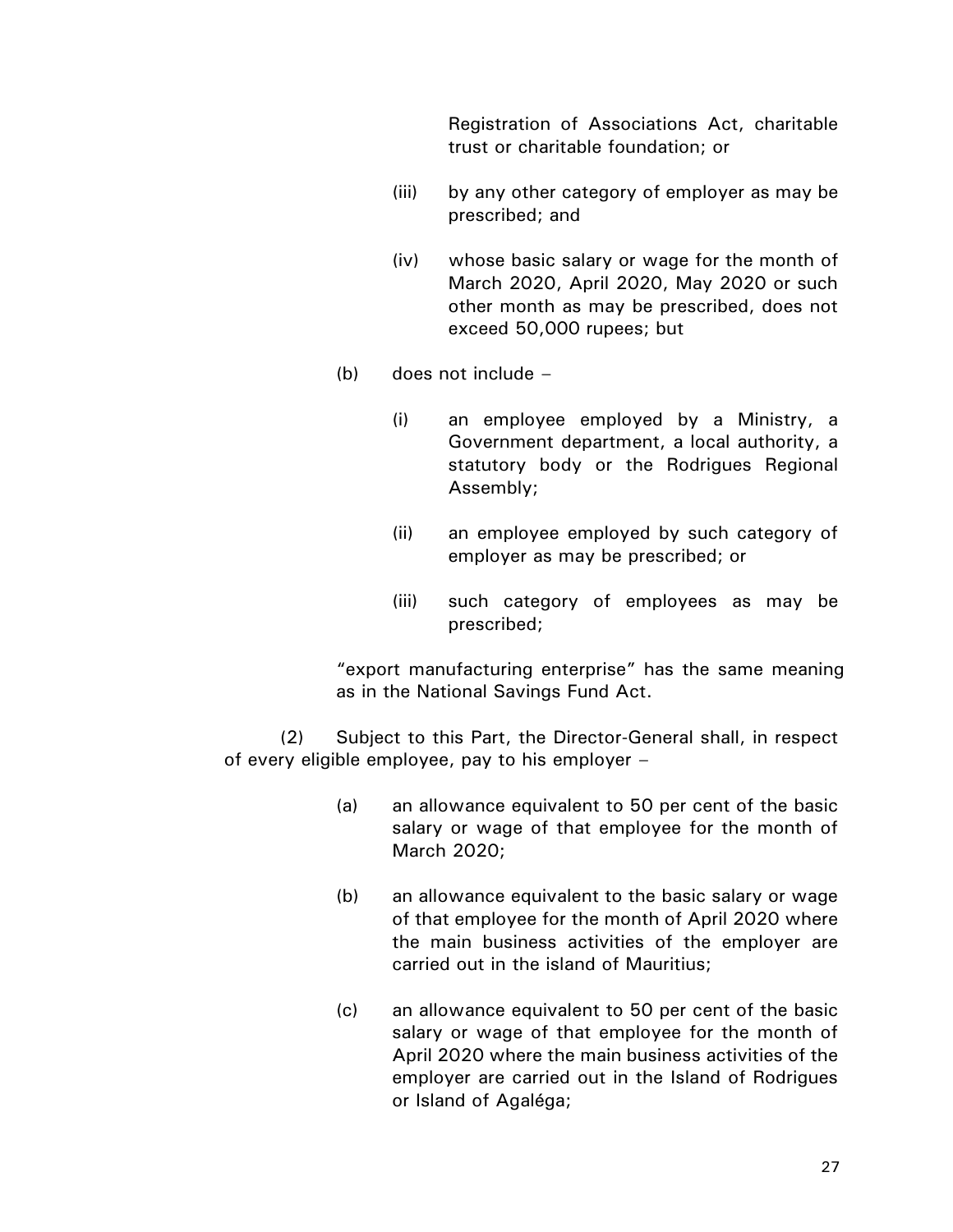Registration of Associations Act, charitable trust or charitable foundation; or

- (iii) by any other category of employer as may be prescribed; and
- (iv) whose basic salary or wage for the month of March 2020, April 2020, May 2020 or such other month as may be prescribed, does not exceed 50,000 rupees; but
- $(b)$  does not include  $-$ 
	- (i) an employee employed by a Ministry, a Government department, a local authority, a statutory body or the Rodrigues Regional Assembly;
	- (ii) an employee employed by such category of employer as may be prescribed; or
	- (iii) such category of employees as may be prescribed;

"export manufacturing enterprise" has the same meaning as in the National Savings Fund Act.

(2) Subject to this Part, the Director-General shall, in respect of every eligible employee, pay to his employer –

- (a) an allowance equivalent to 50 per cent of the basic salary or wage of that employee for the month of March 2020;
- (b) an allowance equivalent to the basic salary or wage of that employee for the month of April 2020 where the main business activities of the employer are carried out in the island of Mauritius;
- (c) an allowance equivalent to 50 per cent of the basic salary or wage of that employee for the month of April 2020 where the main business activities of the employer are carried out in the Island of Rodrigues or Island of Agaléga;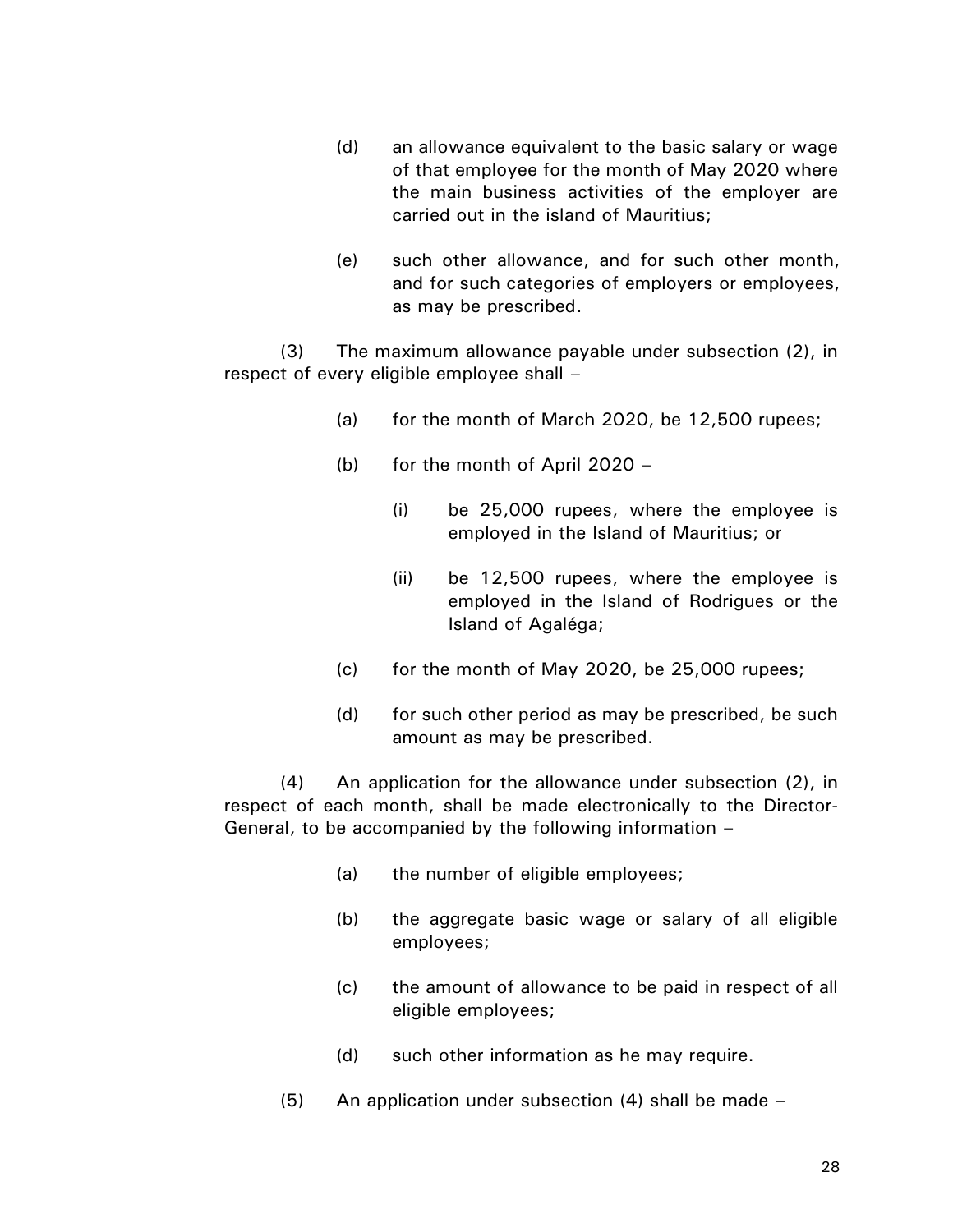- (d) an allowance equivalent to the basic salary or wage of that employee for the month of May 2020 where the main business activities of the employer are carried out in the island of Mauritius;
- (e) such other allowance, and for such other month, and for such categories of employers or employees, as may be prescribed.

(3) The maximum allowance payable under subsection (2), in respect of every eligible employee shall –

- (a) for the month of March 2020, be 12,500 rupees;
- (b) for the month of April 2020
	- (i) be 25,000 rupees, where the employee is employed in the Island of Mauritius; or
	- (ii) be 12,500 rupees, where the employee is employed in the Island of Rodrigues or the Island of Agaléga;
- $(c)$  for the month of May 2020, be 25,000 rupees;
- (d) for such other period as may be prescribed, be such amount as may be prescribed.

(4) An application for the allowance under subsection (2), in respect of each month, shall be made electronically to the Director-General, to be accompanied by the following information –

- (a) the number of eligible employees;
- (b) the aggregate basic wage or salary of all eligible employees;
- (c) the amount of allowance to be paid in respect of all eligible employees;
- (d) such other information as he may require.
- (5) An application under subsection (4) shall be made –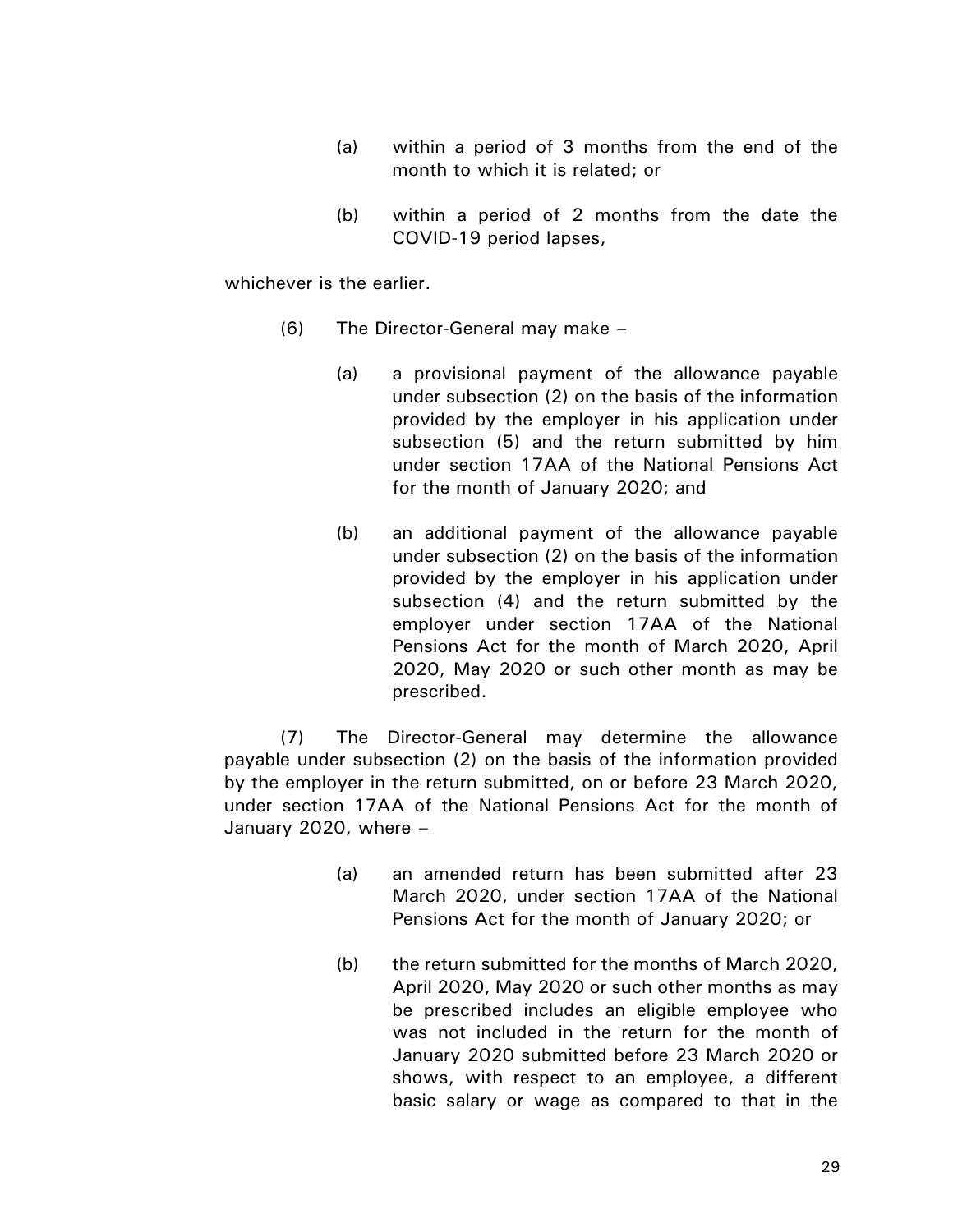- (a) within a period of 3 months from the end of the month to which it is related; or
- (b) within a period of 2 months from the date the COVID-19 period lapses,

whichever is the earlier.

- (6) The Director-General may make
	- (a) a provisional payment of the allowance payable under subsection (2) on the basis of the information provided by the employer in his application under subsection (5) and the return submitted by him under section 17AA of the National Pensions Act for the month of January 2020; and
	- (b) an additional payment of the allowance payable under subsection (2) on the basis of the information provided by the employer in his application under subsection (4) and the return submitted by the employer under section 17AA of the National Pensions Act for the month of March 2020, April 2020, May 2020 or such other month as may be prescribed.

(7) The Director-General may determine the allowance payable under subsection (2) on the basis of the information provided by the employer in the return submitted, on or before 23 March 2020, under section 17AA of the National Pensions Act for the month of January 2020, where –

- (a) an amended return has been submitted after 23 March 2020, under section 17AA of the National Pensions Act for the month of January 2020; or
- (b) the return submitted for the months of March 2020, April 2020, May 2020 or such other months as may be prescribed includes an eligible employee who was not included in the return for the month of January 2020 submitted before 23 March 2020 or shows, with respect to an employee, a different basic salary or wage as compared to that in the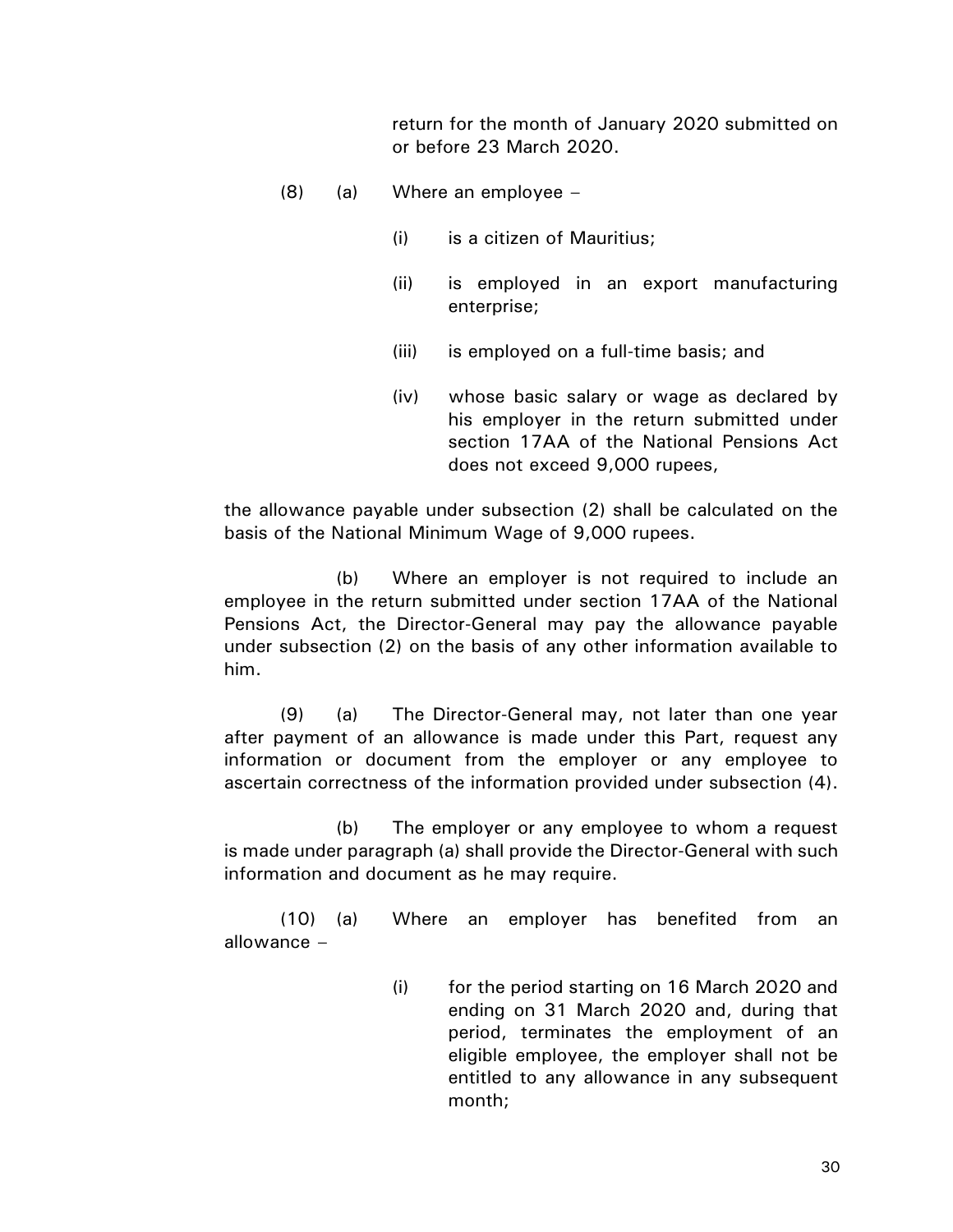return for the month of January 2020 submitted on or before 23 March 2020.

- (8) (a) Where an employee
	- (i) is a citizen of Mauritius;
	- (ii) is employed in an export manufacturing enterprise;
	- (iii) is employed on a full-time basis; and
	- (iv) whose basic salary or wage as declared by his employer in the return submitted under section 17AA of the National Pensions Act does not exceed 9,000 rupees,

the allowance payable under subsection (2) shall be calculated on the basis of the National Minimum Wage of 9,000 rupees.

(b) Where an employer is not required to include an employee in the return submitted under section 17AA of the National Pensions Act, the Director-General may pay the allowance payable under subsection (2) on the basis of any other information available to him.

(9) (a) The Director-General may, not later than one year after payment of an allowance is made under this Part, request any information or document from the employer or any employee to ascertain correctness of the information provided under subsection (4).

(b) The employer or any employee to whom a request is made under paragraph (a) shall provide the Director-General with such information and document as he may require.

(10) (a) Where an employer has benefited from an allowance –

> (i) for the period starting on 16 March 2020 and ending on 31 March 2020 and, during that period, terminates the employment of an eligible employee, the employer shall not be entitled to any allowance in any subsequent month;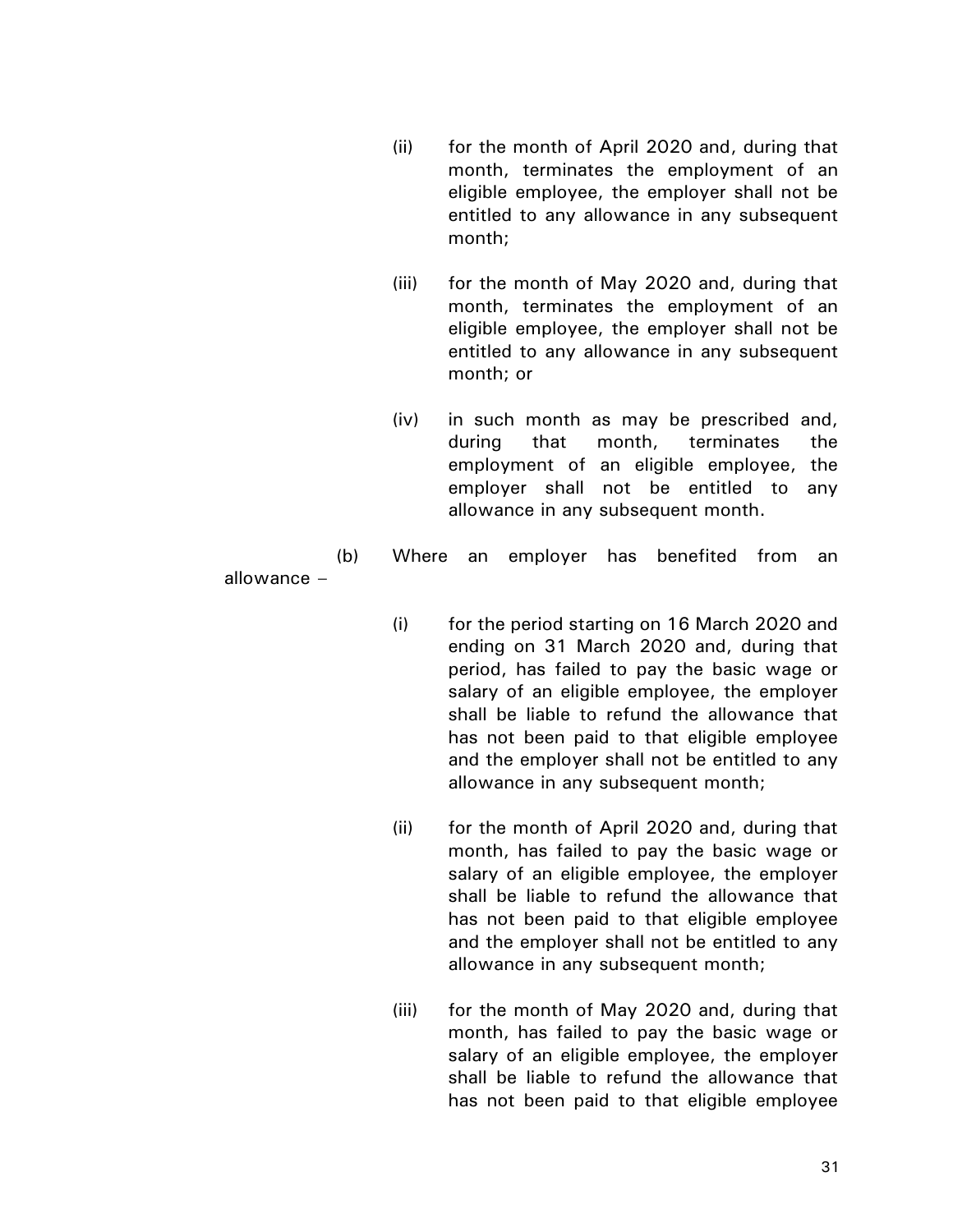- (ii) for the month of April 2020 and, during that month, terminates the employment of an eligible employee, the employer shall not be entitled to any allowance in any subsequent month;
- (iii) for the month of May 2020 and, during that month, terminates the employment of an eligible employee, the employer shall not be entitled to any allowance in any subsequent month; or
- (iv) in such month as may be prescribed and, during that month, terminates the employment of an eligible employee, the employer shall not be entitled to any allowance in any subsequent month.
- (b) Where an employer has benefited from an

allowance –

- (i) for the period starting on 16 March 2020 and ending on 31 March 2020 and, during that period, has failed to pay the basic wage or salary of an eligible employee, the employer shall be liable to refund the allowance that has not been paid to that eligible employee and the employer shall not be entitled to any allowance in any subsequent month;
- (ii) for the month of April 2020 and, during that month, has failed to pay the basic wage or salary of an eligible employee, the employer shall be liable to refund the allowance that has not been paid to that eligible employee and the employer shall not be entitled to any allowance in any subsequent month;
- (iii) for the month of May 2020 and, during that month, has failed to pay the basic wage or salary of an eligible employee, the employer shall be liable to refund the allowance that has not been paid to that eligible employee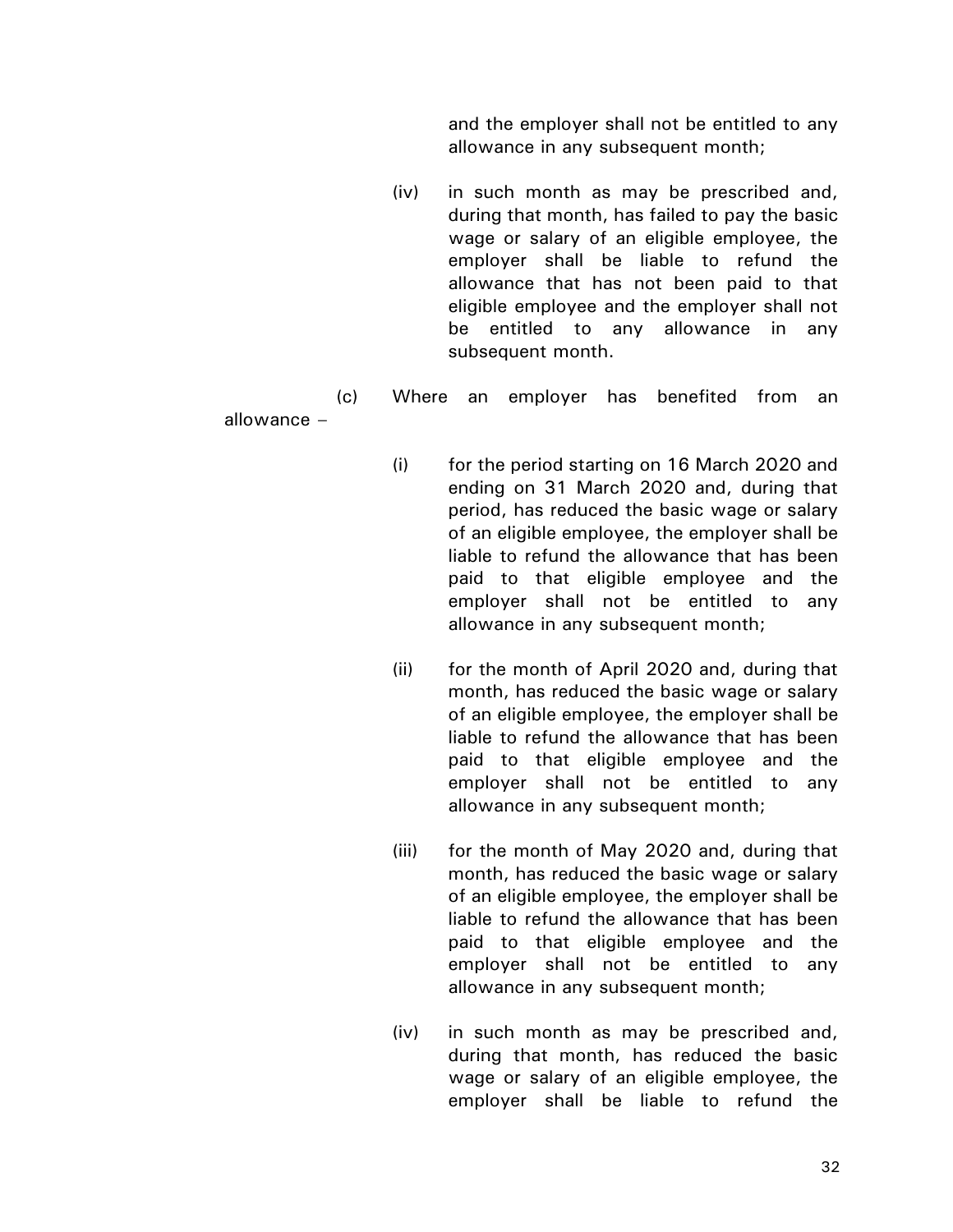and the employer shall not be entitled to any allowance in any subsequent month;

(iv) in such month as may be prescribed and, during that month, has failed to pay the basic wage or salary of an eligible employee, the employer shall be liable to refund the allowance that has not been paid to that eligible employee and the employer shall not be entitled to any allowance in any subsequent month.

(c) Where an employer has benefited from an

allowance –

- (i) for the period starting on 16 March 2020 and ending on 31 March 2020 and, during that period, has reduced the basic wage or salary of an eligible employee, the employer shall be liable to refund the allowance that has been paid to that eligible employee and the employer shall not be entitled to any allowance in any subsequent month;
- (ii) for the month of April 2020 and, during that month, has reduced the basic wage or salary of an eligible employee, the employer shall be liable to refund the allowance that has been paid to that eligible employee and the employer shall not be entitled to any allowance in any subsequent month;
- (iii) for the month of May 2020 and, during that month, has reduced the basic wage or salary of an eligible employee, the employer shall be liable to refund the allowance that has been paid to that eligible employee and the employer shall not be entitled to any allowance in any subsequent month;
- (iv) in such month as may be prescribed and, during that month, has reduced the basic wage or salary of an eligible employee, the employer shall be liable to refund the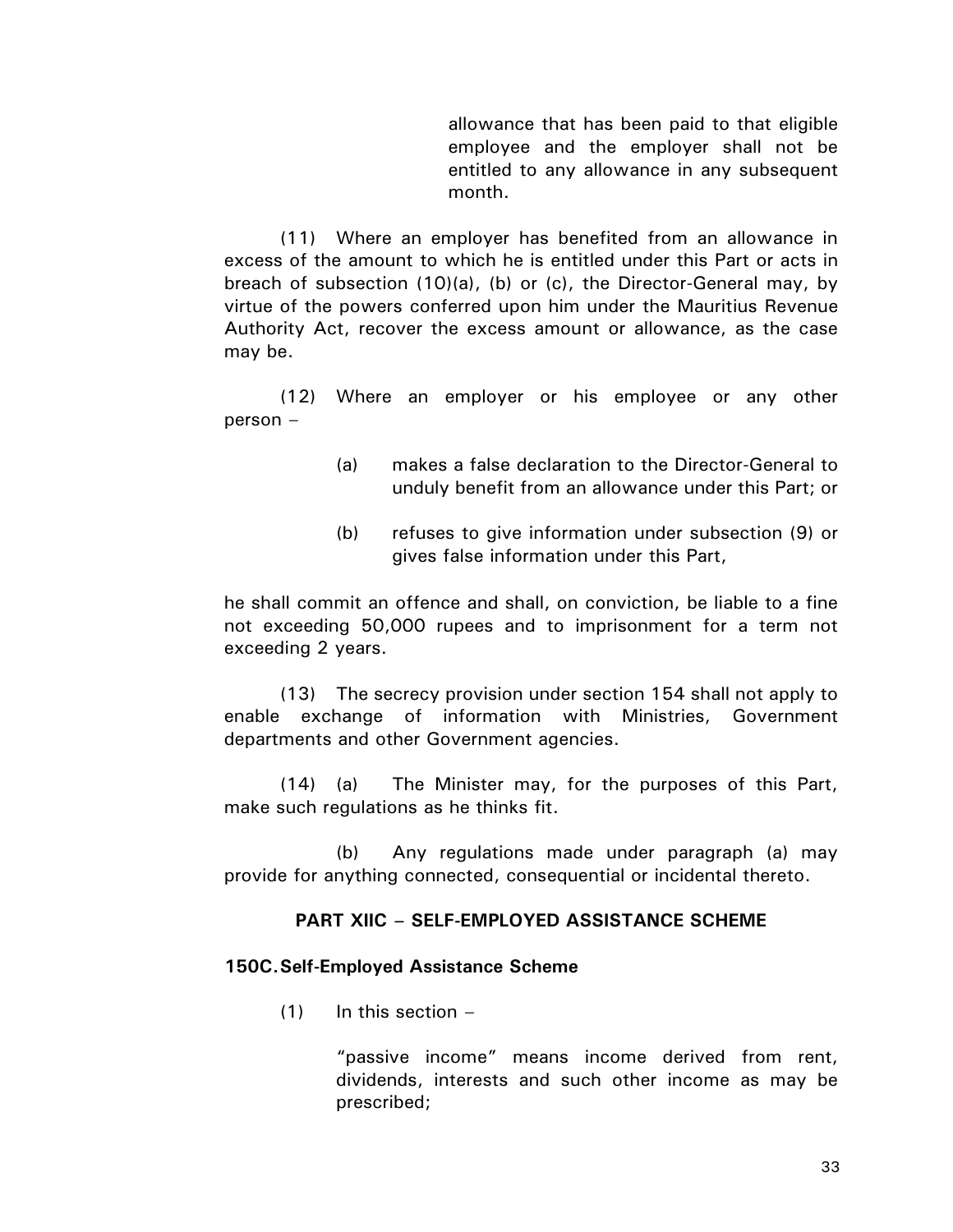allowance that has been paid to that eligible employee and the employer shall not be entitled to any allowance in any subsequent month.

(11) Where an employer has benefited from an allowance in excess of the amount to which he is entitled under this Part or acts in breach of subsection (10)(a), (b) or (c), the Director-General may, by virtue of the powers conferred upon him under the Mauritius Revenue Authority Act, recover the excess amount or allowance, as the case may be.

(12) Where an employer or his employee or any other person –

- (a) makes a false declaration to the Director-General to unduly benefit from an allowance under this Part; or
- (b) refuses to give information under subsection (9) or gives false information under this Part,

he shall commit an offence and shall, on conviction, be liable to a fine not exceeding 50,000 rupees and to imprisonment for a term not exceeding 2 years.

(13) The secrecy provision under section 154 shall not apply to enable exchange of information with Ministries, Government departments and other Government agencies.

(14) (a) The Minister may, for the purposes of this Part, make such regulations as he thinks fit.

(b) Any regulations made under paragraph (a) may provide for anything connected, consequential or incidental thereto.

### **PART XIIC – SELF-EMPLOYED ASSISTANCE SCHEME**

#### **150C.Self-Employed Assistance Scheme**

 $(1)$  In this section –

"passive income" means income derived from rent, dividends, interests and such other income as may be prescribed;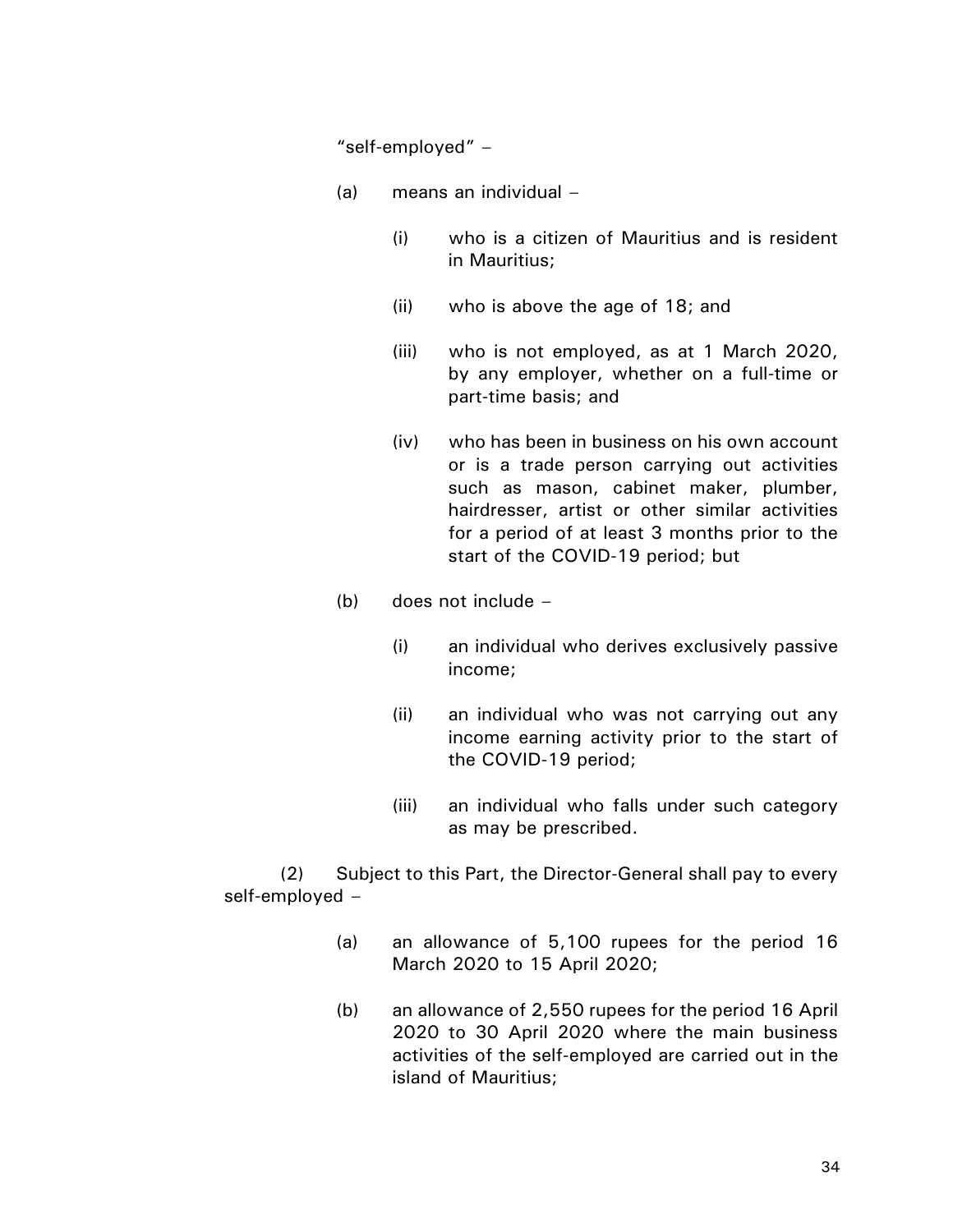"self-employed" –

- (a) means an individual
	- (i) who is a citizen of Mauritius and is resident in Mauritius;
	- (ii) who is above the age of 18; and
	- (iii) who is not employed, as at 1 March 2020, by any employer, whether on a full-time or part-time basis; and
	- (iv) who has been in business on his own account or is a trade person carrying out activities such as mason, cabinet maker, plumber, hairdresser, artist or other similar activities for a period of at least 3 months prior to the start of the COVID-19 period; but
- (b) does not include
	- (i) an individual who derives exclusively passive income;
	- (ii) an individual who was not carrying out any income earning activity prior to the start of the COVID-19 period;
	- (iii) an individual who falls under such category as may be prescribed.

(2) Subject to this Part, the Director-General shall pay to every self-employed –

- (a) an allowance of 5,100 rupees for the period 16 March 2020 to 15 April 2020;
- (b) an allowance of 2,550 rupees for the period 16 April 2020 to 30 April 2020 where the main business activities of the self-employed are carried out in the island of Mauritius;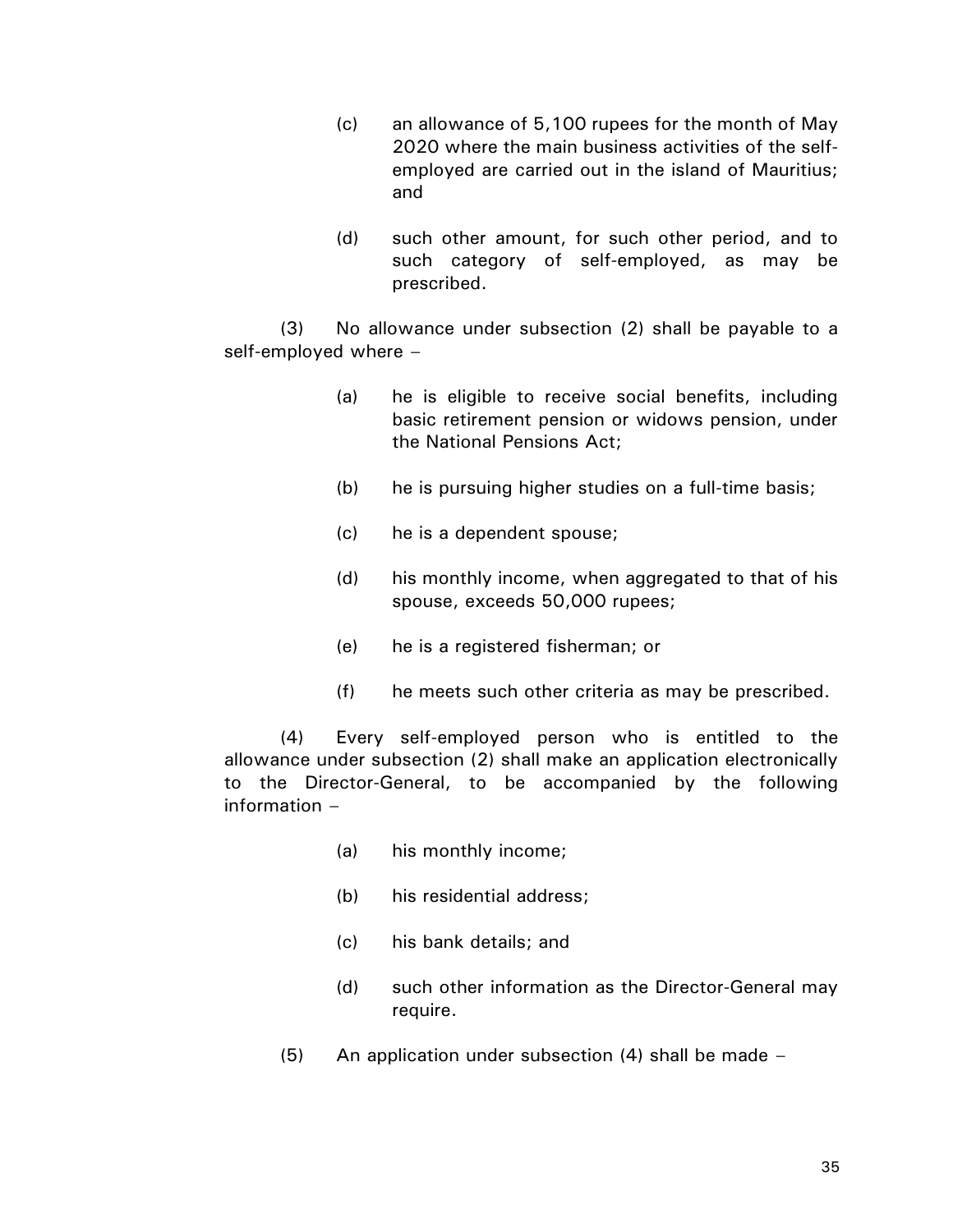- (c) an allowance of 5,100 rupees for the month of May 2020 where the main business activities of the selfemployed are carried out in the island of Mauritius; and
- (d) such other amount, for such other period, and to such category of self-employed, as may be prescribed.

(3) No allowance under subsection (2) shall be payable to a self-employed where –

- (a) he is eligible to receive social benefits, including basic retirement pension or widows pension, under the National Pensions Act;
- (b) he is pursuing higher studies on a full-time basis;
- (c) he is a dependent spouse;
- (d) his monthly income, when aggregated to that of his spouse, exceeds 50,000 rupees;
- (e) he is a registered fisherman; or
- (f) he meets such other criteria as may be prescribed.

(4) Every self-employed person who is entitled to the allowance under subsection (2) shall make an application electronically to the Director-General, to be accompanied by the following information –

- (a) his monthly income;
- (b) his residential address;
- (c) his bank details; and
- (d) such other information as the Director-General may require.
- (5) An application under subsection (4) shall be made –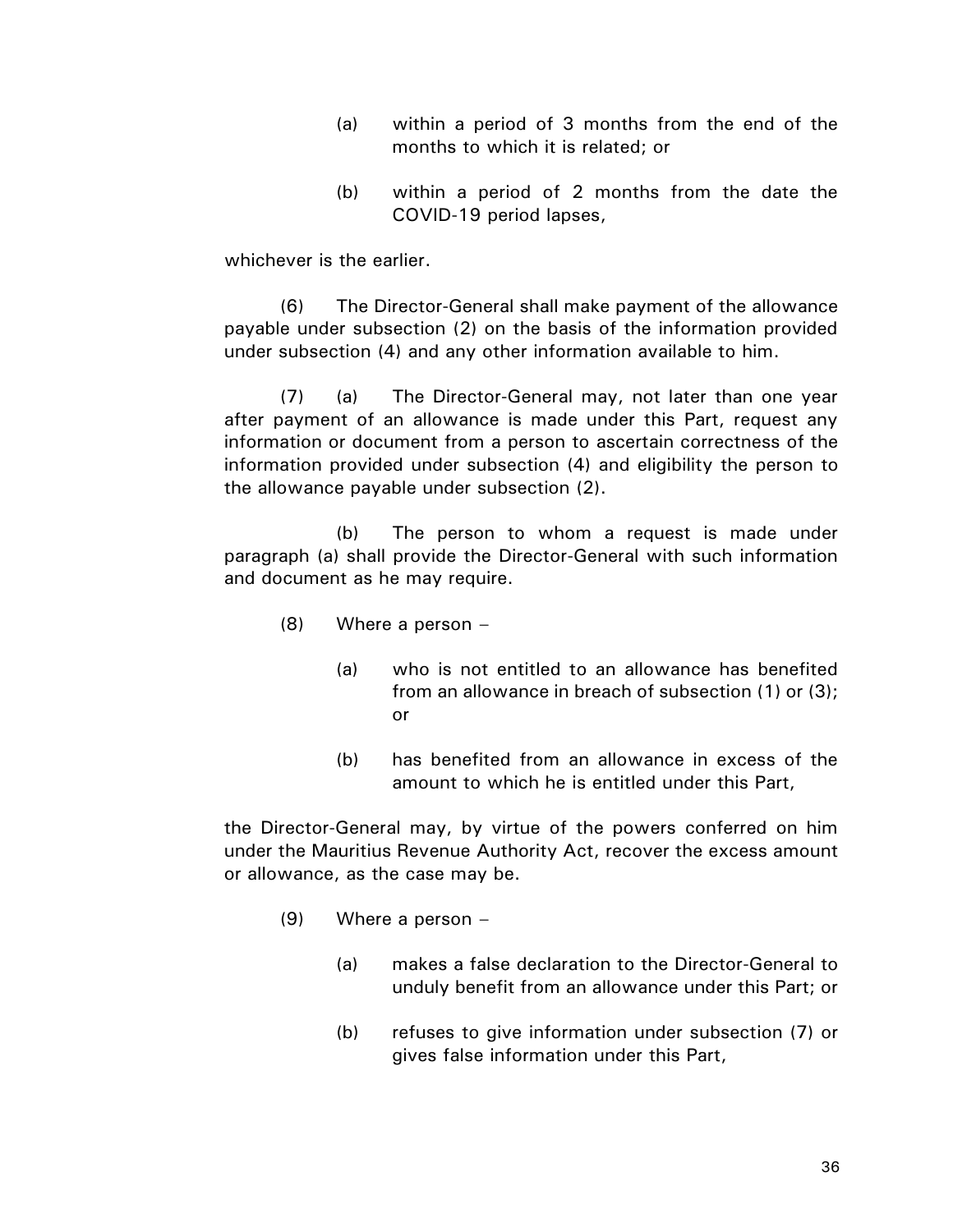- (a) within a period of 3 months from the end of the months to which it is related; or
- (b) within a period of 2 months from the date the COVID-19 period lapses,

whichever is the earlier.

(6) The Director-General shall make payment of the allowance payable under subsection (2) on the basis of the information provided under subsection (4) and any other information available to him.

(7) (a) The Director-General may, not later than one year after payment of an allowance is made under this Part, request any information or document from a person to ascertain correctness of the information provided under subsection (4) and eligibility the person to the allowance payable under subsection (2).

(b) The person to whom a request is made under paragraph (a) shall provide the Director-General with such information and document as he may require.

- (8) Where a person
	- (a) who is not entitled to an allowance has benefited from an allowance in breach of subsection (1) or (3); or
	- (b) has benefited from an allowance in excess of the amount to which he is entitled under this Part,

the Director-General may, by virtue of the powers conferred on him under the Mauritius Revenue Authority Act, recover the excess amount or allowance, as the case may be.

- (9) Where a person
	- (a) makes a false declaration to the Director-General to unduly benefit from an allowance under this Part; or
	- (b) refuses to give information under subsection (7) or gives false information under this Part,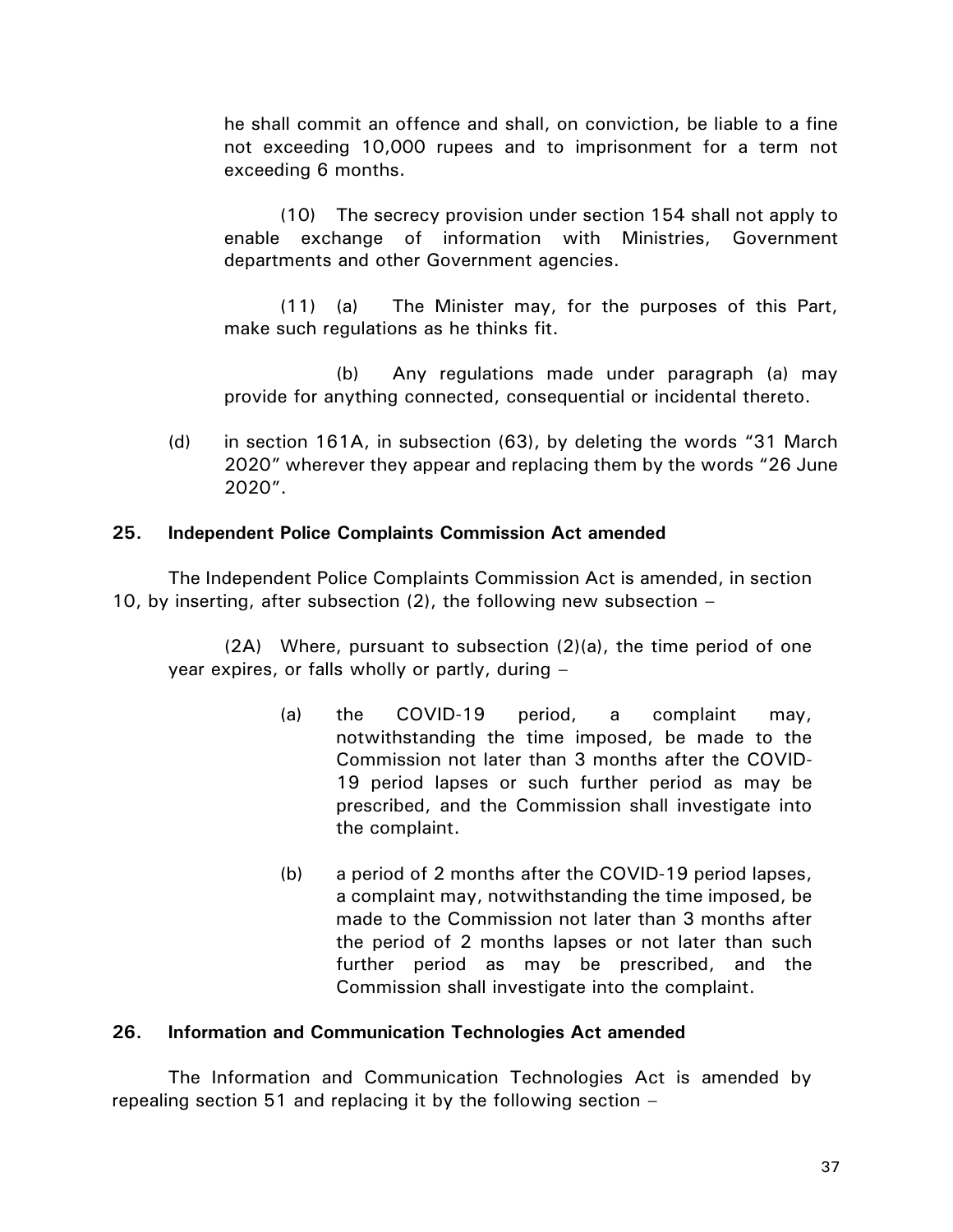he shall commit an offence and shall, on conviction, be liable to a fine not exceeding 10,000 rupees and to imprisonment for a term not exceeding 6 months.

(10) The secrecy provision under section 154 shall not apply to enable exchange of information with Ministries, Government departments and other Government agencies.

(11) (a) The Minister may, for the purposes of this Part, make such regulations as he thinks fit.

(b) Any regulations made under paragraph (a) may provide for anything connected, consequential or incidental thereto.

(d) in section 161A, in subsection (63), by deleting the words "31 March 2020" wherever they appear and replacing them by the words "26 June 2020".

# **25. Independent Police Complaints Commission Act amended**

The Independent Police Complaints Commission Act is amended, in section 10, by inserting, after subsection (2), the following new subsection –

(2A) Where, pursuant to subsection (2)(a), the time period of one year expires, or falls wholly or partly, during –

- (a) the COVID-19 period, a complaint may, notwithstanding the time imposed, be made to the Commission not later than 3 months after the COVID-19 period lapses or such further period as may be prescribed, and the Commission shall investigate into the complaint.
- (b) a period of 2 months after the COVID-19 period lapses, a complaint may, notwithstanding the time imposed, be made to the Commission not later than 3 months after the period of 2 months lapses or not later than such further period as may be prescribed, and the Commission shall investigate into the complaint.

# **26. Information and Communication Technologies Act amended**

The Information and Communication Technologies Act is amended by repealing section 51 and replacing it by the following section –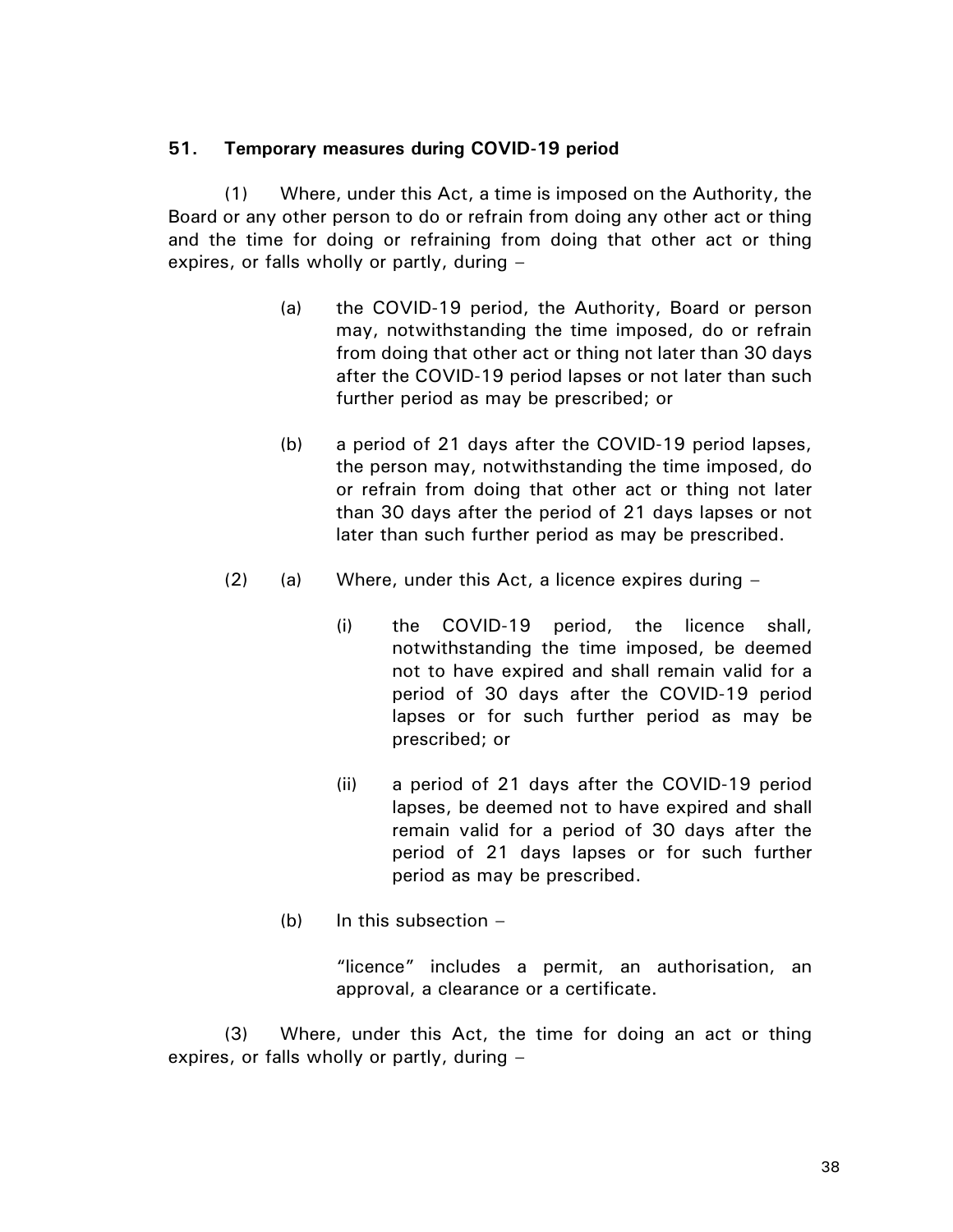## **51. Temporary measures during COVID-19 period**

(1) Where, under this Act, a time is imposed on the Authority, the Board or any other person to do or refrain from doing any other act or thing and the time for doing or refraining from doing that other act or thing expires, or falls wholly or partly, during –

- (a) the COVID-19 period, the Authority, Board or person may, notwithstanding the time imposed, do or refrain from doing that other act or thing not later than 30 days after the COVID-19 period lapses or not later than such further period as may be prescribed; or
- (b) a period of 21 days after the COVID-19 period lapses, the person may, notwithstanding the time imposed, do or refrain from doing that other act or thing not later than 30 days after the period of 21 days lapses or not later than such further period as may be prescribed.
- (2) (a) Where, under this Act, a licence expires during
	- (i) the COVID-19 period, the licence shall, notwithstanding the time imposed, be deemed not to have expired and shall remain valid for a period of 30 days after the COVID-19 period lapses or for such further period as may be prescribed; or
	- (ii) a period of 21 days after the COVID-19 period lapses, be deemed not to have expired and shall remain valid for a period of 30 days after the period of 21 days lapses or for such further period as may be prescribed.
	- (b) In this subsection –

"licence" includes a permit, an authorisation, an approval, a clearance or a certificate.

(3) Where, under this Act, the time for doing an act or thing expires, or falls wholly or partly, during –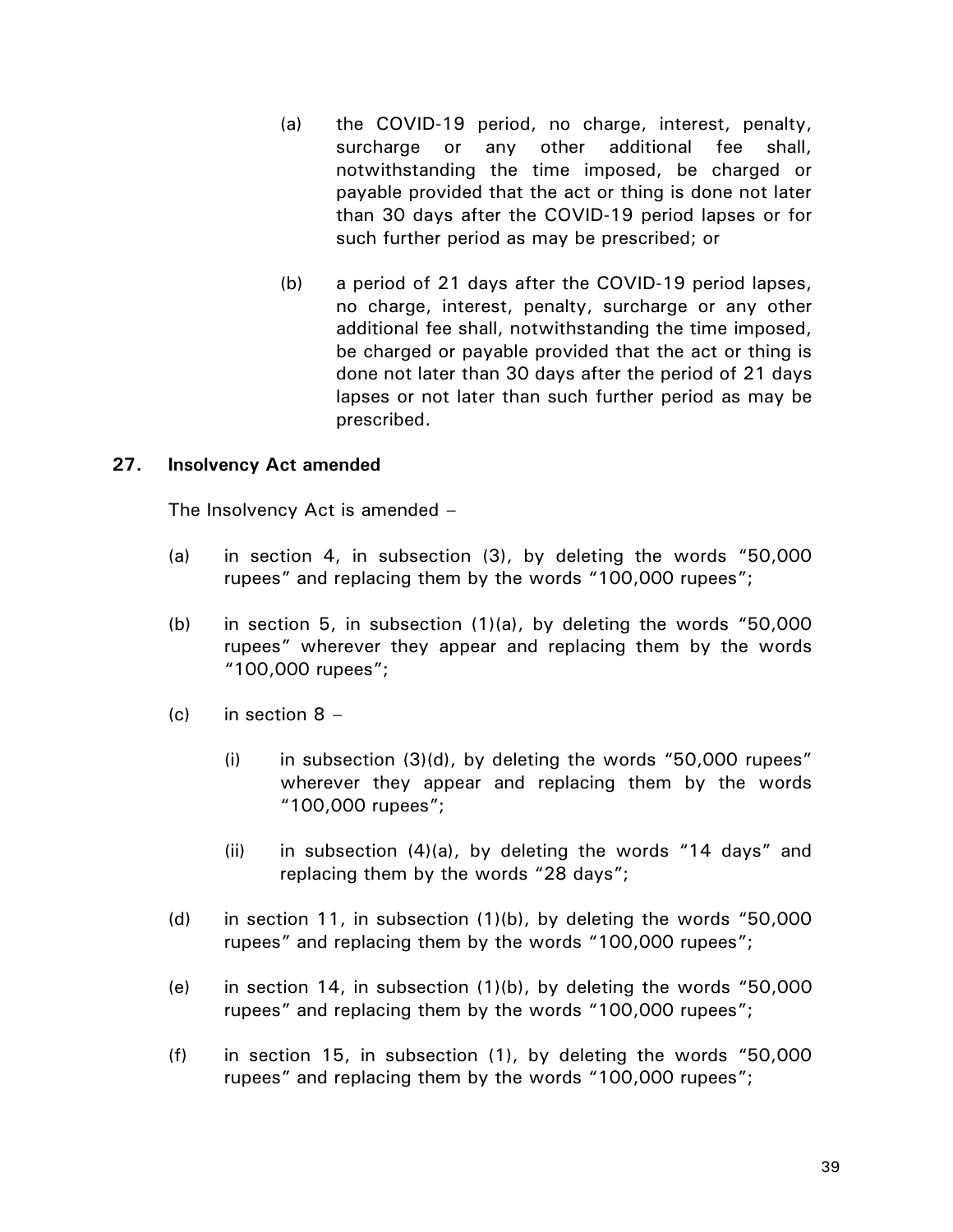- (a) the COVID-19 period, no charge, interest, penalty, surcharge or any other additional fee shall, notwithstanding the time imposed, be charged or payable provided that the act or thing is done not later than 30 days after the COVID-19 period lapses or for such further period as may be prescribed; or
- (b) a period of 21 days after the COVID-19 period lapses, no charge, interest, penalty, surcharge or any other additional fee shall, notwithstanding the time imposed, be charged or payable provided that the act or thing is done not later than 30 days after the period of 21 days lapses or not later than such further period as may be prescribed.

## **27. Insolvency Act amended**

The Insolvency Act is amended –

- (a) in section 4, in subsection (3), by deleting the words "50,000 rupees" and replacing them by the words "100,000 rupees";
- (b) in section 5, in subsection (1)(a), by deleting the words "50,000 rupees" wherever they appear and replacing them by the words "100,000 rupees";
- (c) in section  $8 -$ 
	- (i) in subsection (3)(d), by deleting the words "50,000 rupees" wherever they appear and replacing them by the words "100,000 rupees";
	- (ii) in subsection (4)(a), by deleting the words "14 days" and replacing them by the words "28 days";
- (d) in section 11, in subsection (1)(b), by deleting the words "50,000 rupees" and replacing them by the words "100,000 rupees";
- (e) in section 14, in subsection (1)(b), by deleting the words "50,000 rupees" and replacing them by the words "100,000 rupees";
- (f) in section 15, in subsection (1), by deleting the words "50,000 rupees" and replacing them by the words "100,000 rupees";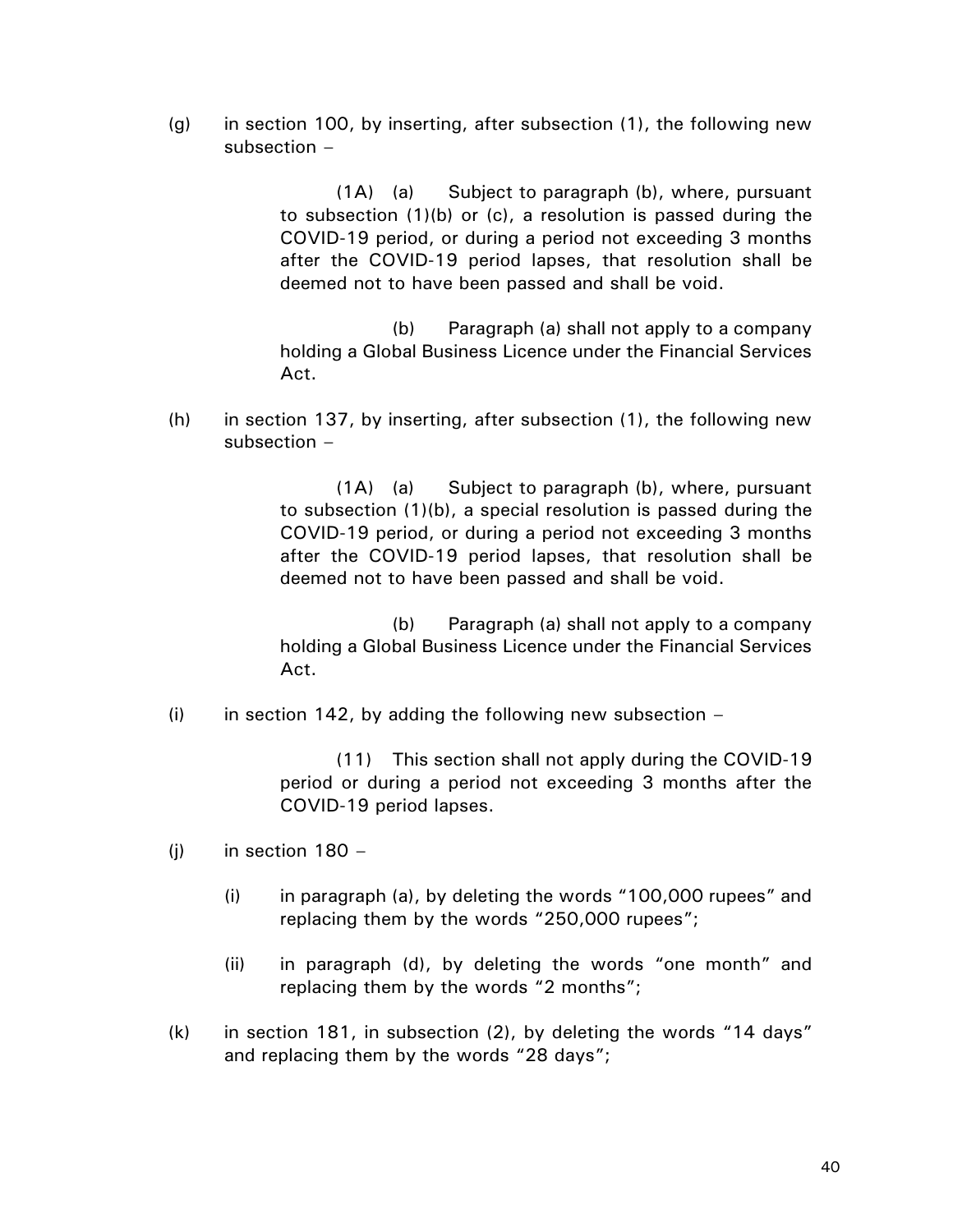(g) in section 100, by inserting, after subsection (1), the following new subsection –

> (1A) (a) Subject to paragraph (b), where, pursuant to subsection (1)(b) or (c), a resolution is passed during the COVID-19 period, or during a period not exceeding 3 months after the COVID-19 period lapses, that resolution shall be deemed not to have been passed and shall be void.

> (b) Paragraph (a) shall not apply to a company holding a Global Business Licence under the Financial Services Act.

(h) in section 137, by inserting, after subsection (1), the following new subsection –

> (1A) (a) Subject to paragraph (b), where, pursuant to subsection (1)(b), a special resolution is passed during the COVID-19 period, or during a period not exceeding 3 months after the COVID-19 period lapses, that resolution shall be deemed not to have been passed and shall be void.

> (b) Paragraph (a) shall not apply to a company holding a Global Business Licence under the Financial Services Act.

(i) in section 142, by adding the following new subsection  $-$ 

(11) This section shall not apply during the COVID-19 period or during a period not exceeding 3 months after the COVID-19 period lapses.

- (i) in section  $180 -$ 
	- (i) in paragraph (a), by deleting the words "100,000 rupees" and replacing them by the words "250,000 rupees";
	- (ii) in paragraph (d), by deleting the words "one month" and replacing them by the words "2 months";
- (k) in section 181, in subsection (2), by deleting the words "14 days" and replacing them by the words "28 days";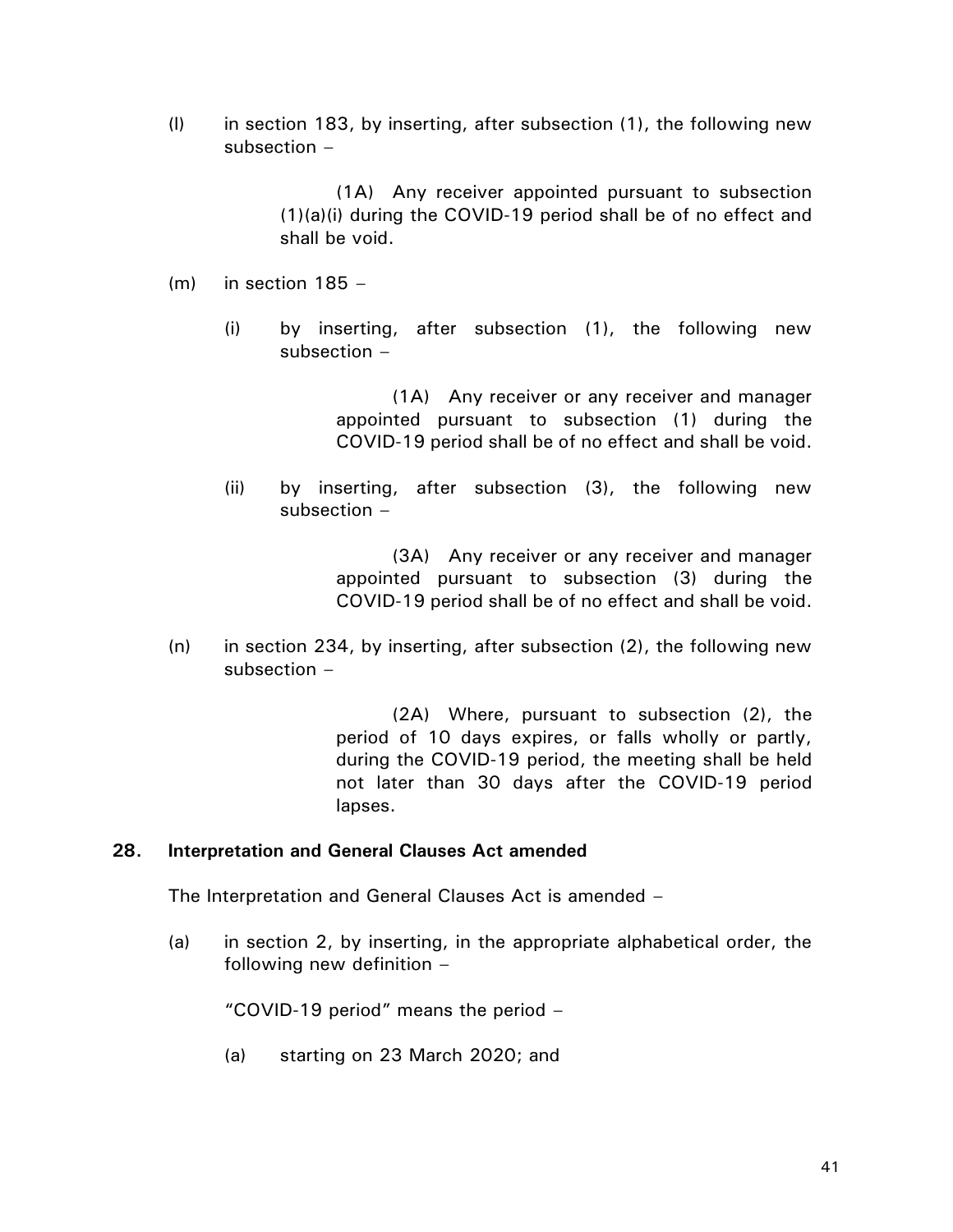(l) in section 183, by inserting, after subsection (1), the following new subsection –

> (1A) Any receiver appointed pursuant to subsection (1)(a)(i) during the COVID-19 period shall be of no effect and shall be void.

- $(m)$  in section 185
	- (i) by inserting, after subsection (1), the following new subsection –

(1A) Any receiver or any receiver and manager appointed pursuant to subsection (1) during the COVID-19 period shall be of no effect and shall be void.

(ii) by inserting, after subsection (3), the following new subsection –

> (3A) Any receiver or any receiver and manager appointed pursuant to subsection (3) during the COVID-19 period shall be of no effect and shall be void.

 $(n)$  in section 234, by inserting, after subsection (2), the following new subsection –

> (2A) Where, pursuant to subsection (2), the period of 10 days expires, or falls wholly or partly, during the COVID-19 period, the meeting shall be held not later than 30 days after the COVID-19 period lapses.

## **28. Interpretation and General Clauses Act amended**

The Interpretation and General Clauses Act is amended –

(a) in section 2, by inserting, in the appropriate alphabetical order, the following new definition –

"COVID-19 period" means the period –

(a) starting on 23 March 2020; and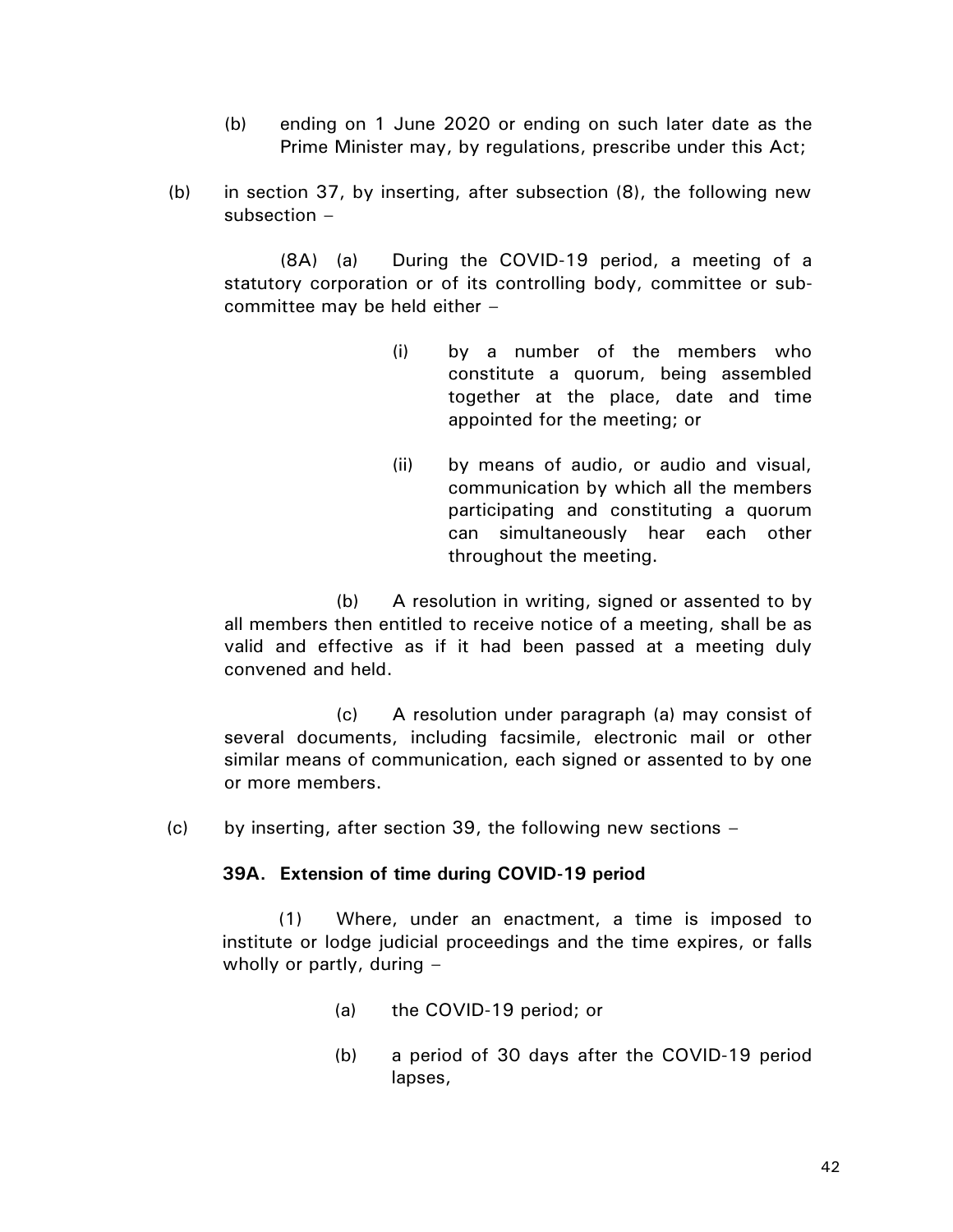- (b) ending on 1 June 2020 or ending on such later date as the Prime Minister may, by regulations, prescribe under this Act;
- (b) in section 37, by inserting, after subsection (8), the following new subsection –

(8A) (a) During the COVID-19 period, a meeting of a statutory corporation or of its controlling body, committee or subcommittee may be held either –

- (i) by a number of the members who constitute a quorum, being assembled together at the place, date and time appointed for the meeting; or
- (ii) by means of audio, or audio and visual, communication by which all the members participating and constituting a quorum can simultaneously hear each other throughout the meeting.

(b) A resolution in writing, signed or assented to by all members then entitled to receive notice of a meeting, shall be as valid and effective as if it had been passed at a meeting duly convened and held.

(c) A resolution under paragraph (a) may consist of several documents, including facsimile, electronic mail or other similar means of communication, each signed or assented to by one or more members.

 $(c)$  by inserting, after section 39, the following new sections –

# **39A. Extension of time during COVID-19 period**

(1) Where, under an enactment, a time is imposed to institute or lodge judicial proceedings and the time expires, or falls wholly or partly, during –

- (a) the COVID-19 period; or
- (b) a period of 30 days after the COVID-19 period lapses,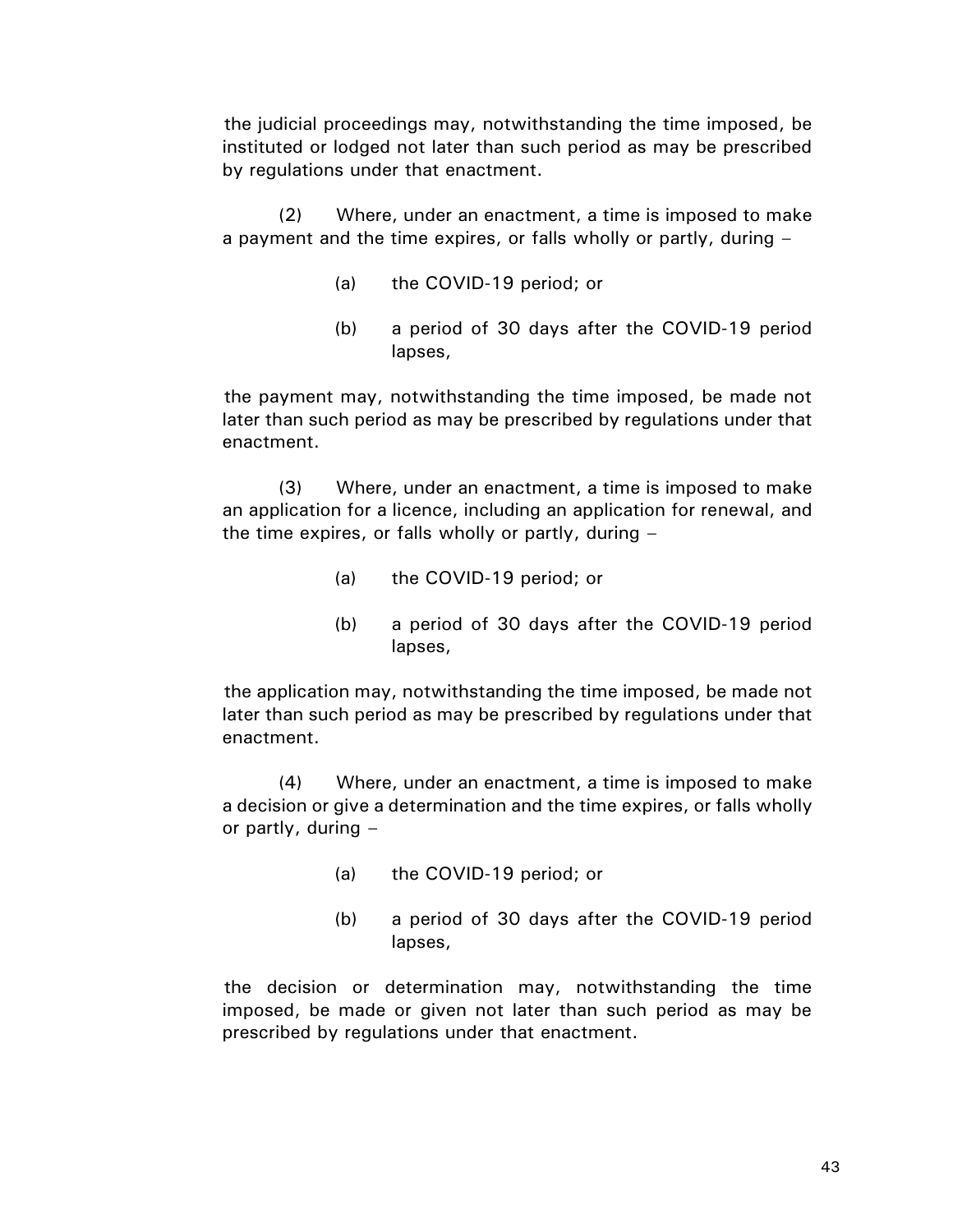the judicial proceedings may, notwithstanding the time imposed, be instituted or lodged not later than such period as may be prescribed by regulations under that enactment.

(2) Where, under an enactment, a time is imposed to make a payment and the time expires, or falls wholly or partly, during –

- (a) the COVID-19 period; or
- (b) a period of 30 days after the COVID-19 period lapses,

the payment may, notwithstanding the time imposed, be made not later than such period as may be prescribed by regulations under that enactment.

(3) Where, under an enactment, a time is imposed to make an application for a licence, including an application for renewal, and the time expires, or falls wholly or partly, during –

- (a) the COVID-19 period; or
- (b) a period of 30 days after the COVID-19 period lapses,

the application may, notwithstanding the time imposed, be made not later than such period as may be prescribed by regulations under that enactment.

(4) Where, under an enactment, a time is imposed to make a decision or give a determination and the time expires, or falls wholly or partly, during  $-$ 

- (a) the COVID-19 period; or
- (b) a period of 30 days after the COVID-19 period lapses,

the decision or determination may, notwithstanding the time imposed, be made or given not later than such period as may be prescribed by regulations under that enactment.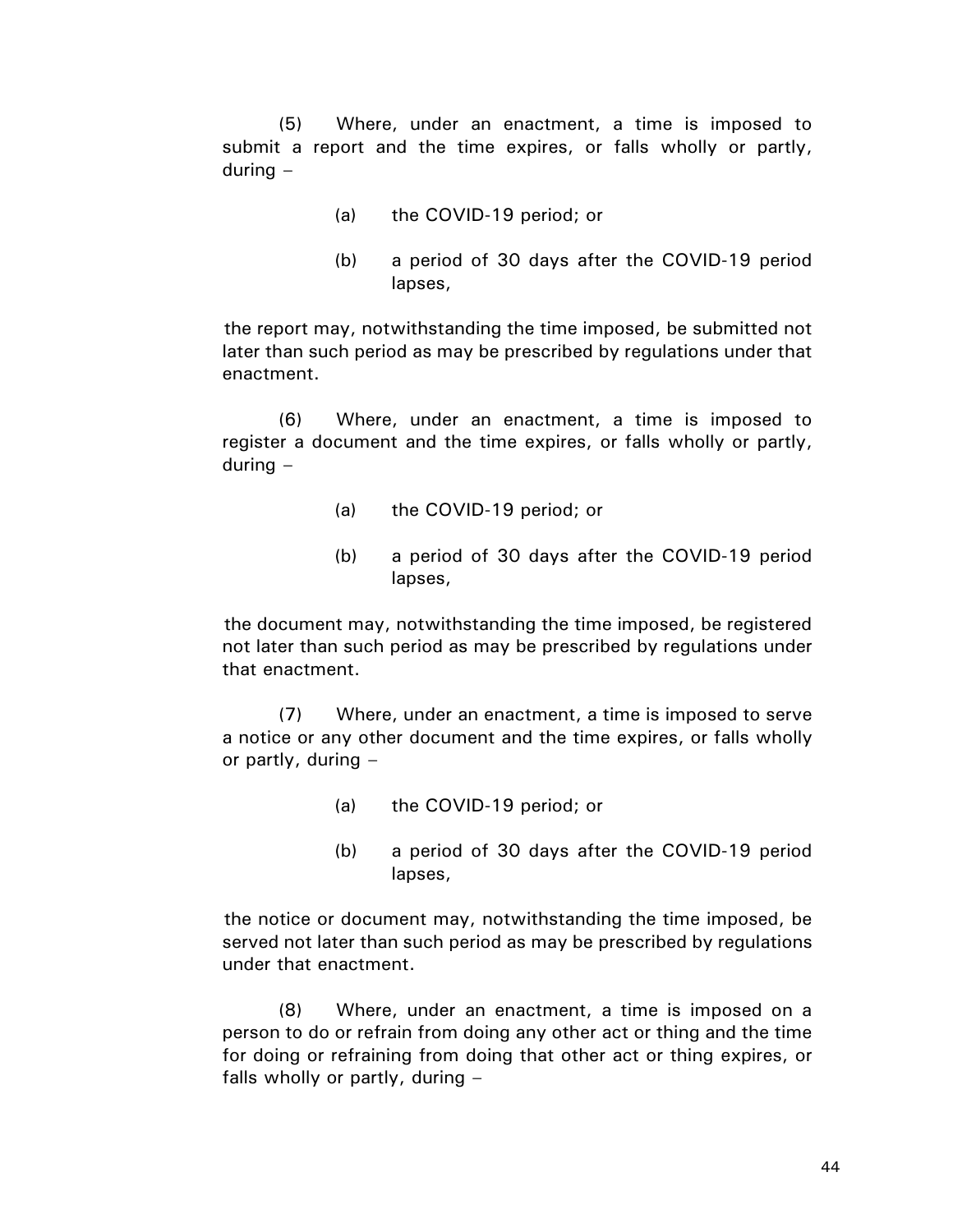(5) Where, under an enactment, a time is imposed to submit a report and the time expires, or falls wholly or partly, during –

- (a) the COVID-19 period; or
- (b) a period of 30 days after the COVID-19 period lapses,

the report may, notwithstanding the time imposed, be submitted not later than such period as may be prescribed by regulations under that enactment.

(6) Where, under an enactment, a time is imposed to register a document and the time expires, or falls wholly or partly, during –

- (a) the COVID-19 period; or
- (b) a period of 30 days after the COVID-19 period lapses,

the document may, notwithstanding the time imposed, be registered not later than such period as may be prescribed by regulations under that enactment.

(7) Where, under an enactment, a time is imposed to serve a notice or any other document and the time expires, or falls wholly or partly, during  $-$ 

- (a) the COVID-19 period; or
- (b) a period of 30 days after the COVID-19 period lapses,

the notice or document may, notwithstanding the time imposed, be served not later than such period as may be prescribed by regulations under that enactment.

(8) Where, under an enactment, a time is imposed on a person to do or refrain from doing any other act or thing and the time for doing or refraining from doing that other act or thing expires, or falls wholly or partly, during –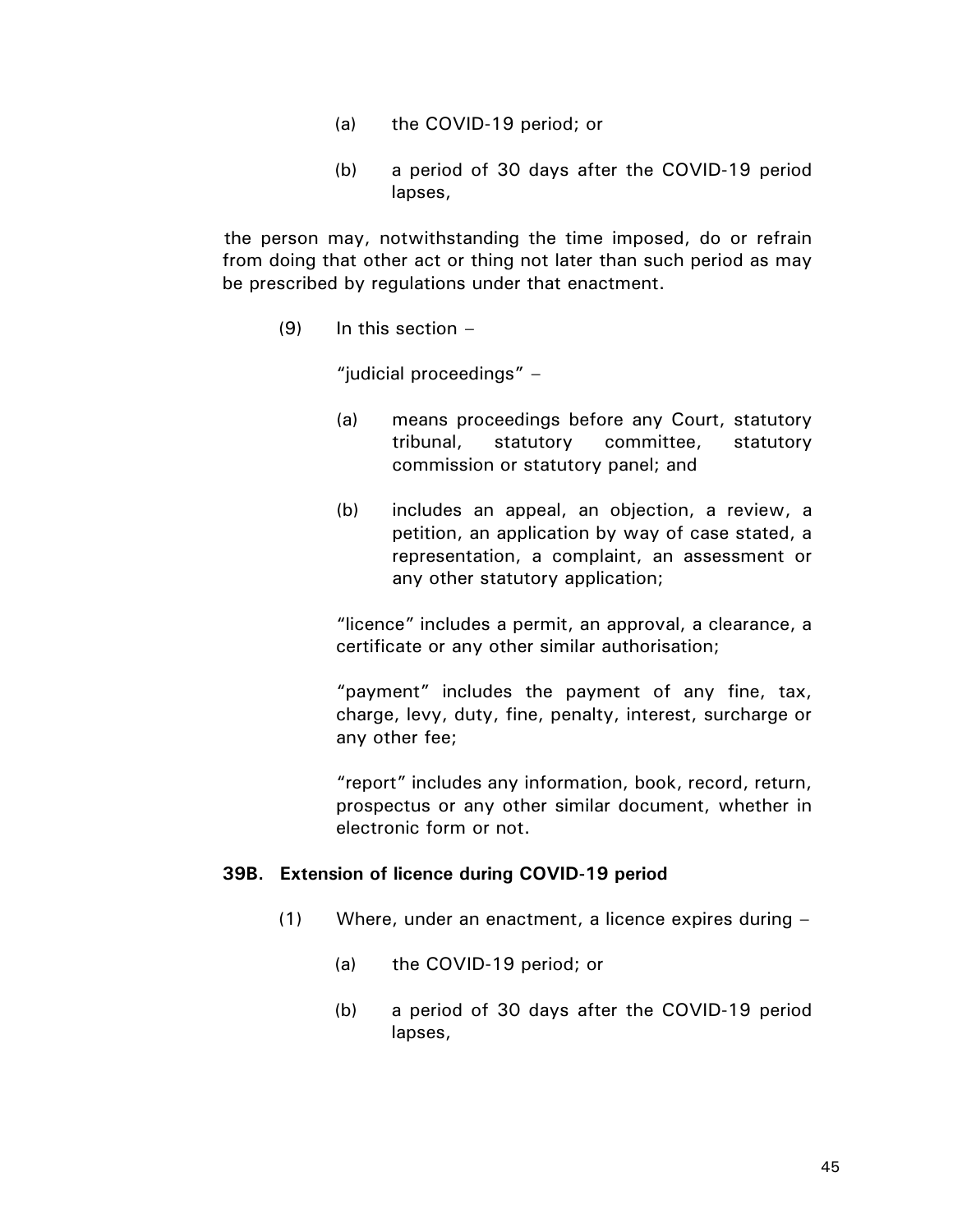- (a) the COVID-19 period; or
- (b) a period of 30 days after the COVID-19 period lapses,

the person may, notwithstanding the time imposed, do or refrain from doing that other act or thing not later than such period as may be prescribed by regulations under that enactment.

 $(9)$  In this section  $-$ 

"judicial proceedings" –

- (a) means proceedings before any Court, statutory tribunal, statutory committee, statutory commission or statutory panel; and
- (b) includes an appeal, an objection, a review, a petition, an application by way of case stated, a representation, a complaint, an assessment or any other statutory application;

"licence" includes a permit, an approval, a clearance, a certificate or any other similar authorisation;

"payment" includes the payment of any fine, tax, charge, levy, duty, fine, penalty, interest, surcharge or any other fee;

"report" includes any information, book, record, return, prospectus or any other similar document, whether in electronic form or not.

## **39B. Extension of licence during COVID-19 period**

- (1) Where, under an enactment, a licence expires during
	- (a) the COVID-19 period; or
	- (b) a period of 30 days after the COVID-19 period lapses,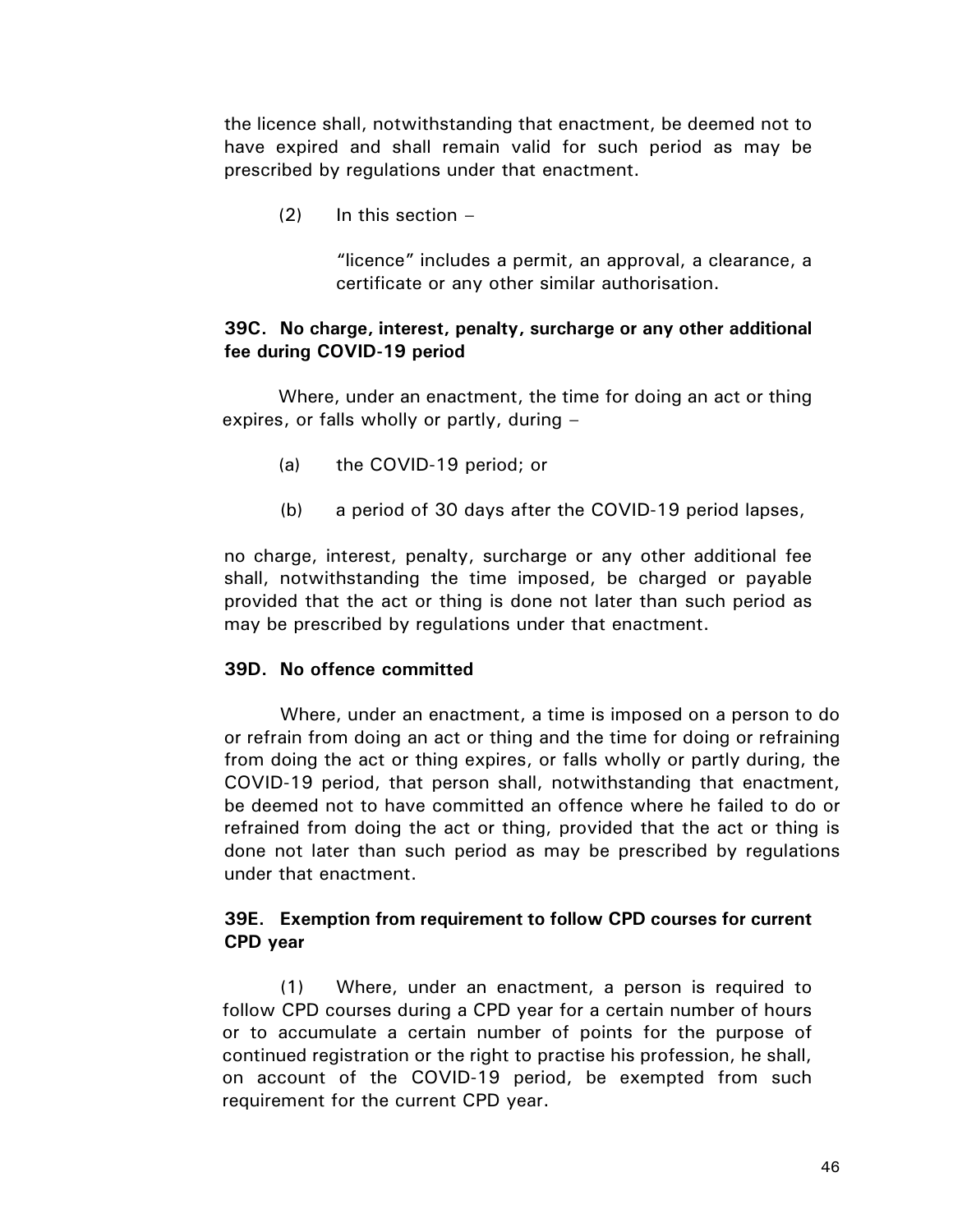the licence shall, notwithstanding that enactment, be deemed not to have expired and shall remain valid for such period as may be prescribed by regulations under that enactment.

 $(2)$  In this section –

"licence" includes a permit, an approval, a clearance, a certificate or any other similar authorisation.

## **39C. No charge, interest, penalty, surcharge or any other additional fee during COVID-19 period**

Where, under an enactment, the time for doing an act or thing expires, or falls wholly or partly, during –

- (a) the COVID-19 period; or
- (b) a period of 30 days after the COVID-19 period lapses,

no charge, interest, penalty, surcharge or any other additional fee shall, notwithstanding the time imposed, be charged or payable provided that the act or thing is done not later than such period as may be prescribed by regulations under that enactment.

## **39D. No offence committed**

Where, under an enactment, a time is imposed on a person to do or refrain from doing an act or thing and the time for doing or refraining from doing the act or thing expires, or falls wholly or partly during, the COVID-19 period, that person shall, notwithstanding that enactment, be deemed not to have committed an offence where he failed to do or refrained from doing the act or thing, provided that the act or thing is done not later than such period as may be prescribed by regulations under that enactment.

# **39E. Exemption from requirement to follow CPD courses for current CPD year**

(1) Where, under an enactment, a person is required to follow CPD courses during a CPD year for a certain number of hours or to accumulate a certain number of points for the purpose of continued registration or the right to practise his profession, he shall, on account of the COVID-19 period, be exempted from such requirement for the current CPD year.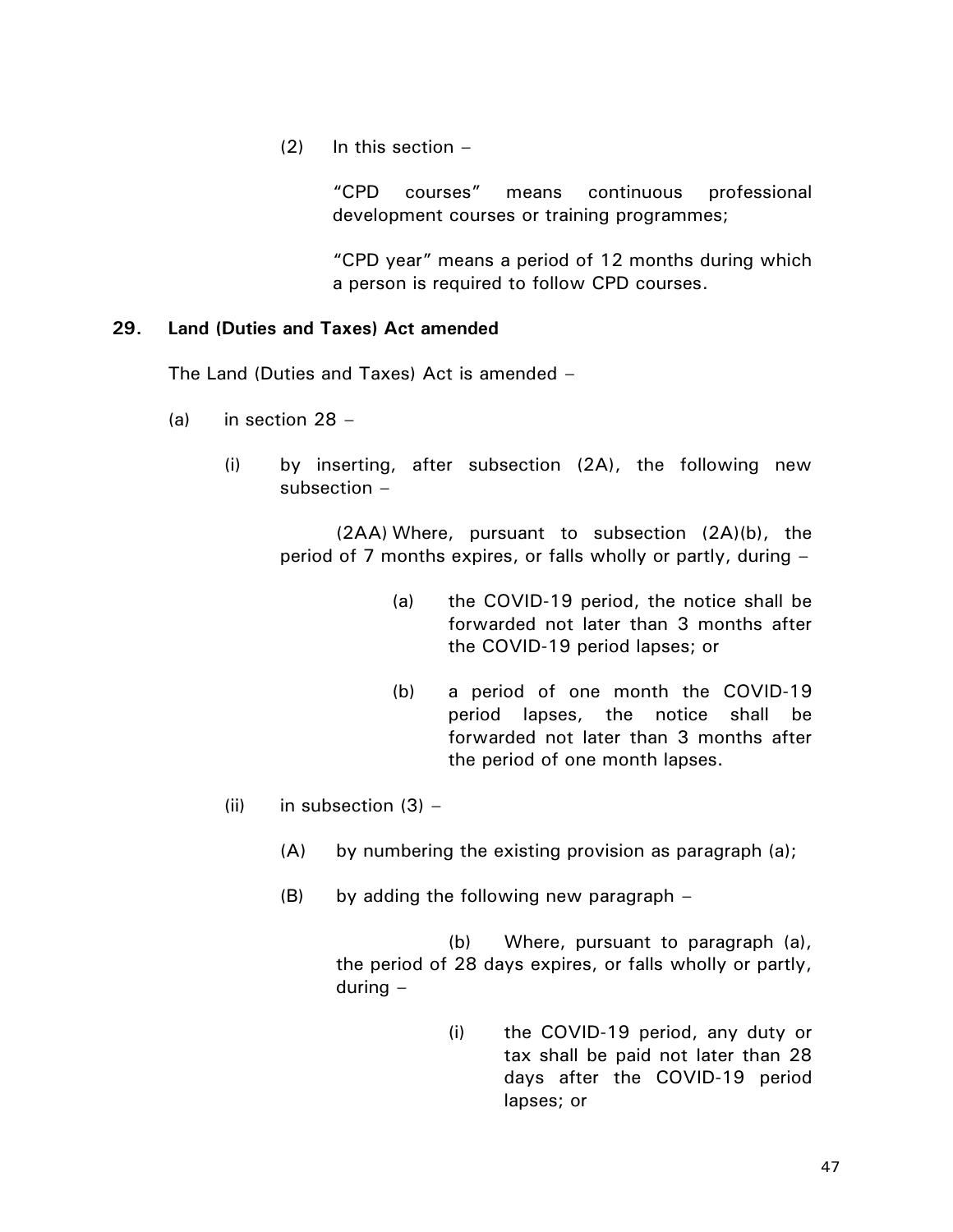$(2)$  In this section –

"CPD courses" means continuous professional development courses or training programmes;

"CPD year" means a period of 12 months during which a person is required to follow CPD courses.

## **29. Land (Duties and Taxes) Act amended**

The Land (Duties and Taxes) Act is amended –

- (a) in section 28
	- (i) by inserting, after subsection (2A), the following new subsection –

(2AA) Where, pursuant to subsection (2A)(b), the period of 7 months expires, or falls wholly or partly, during –

- (a) the COVID-19 period, the notice shall be forwarded not later than 3 months after the COVID-19 period lapses; or
- (b) a period of one month the COVID-19 period lapses, the notice shall be forwarded not later than 3 months after the period of one month lapses.
- (ii) in subsection  $(3)$ 
	- (A) by numbering the existing provision as paragraph (a);
	- (B) by adding the following new paragraph –

(b) Where, pursuant to paragraph (a), the period of 28 days expires, or falls wholly or partly, during –

> (i) the COVID-19 period, any duty or tax shall be paid not later than 28 days after the COVID-19 period lapses; or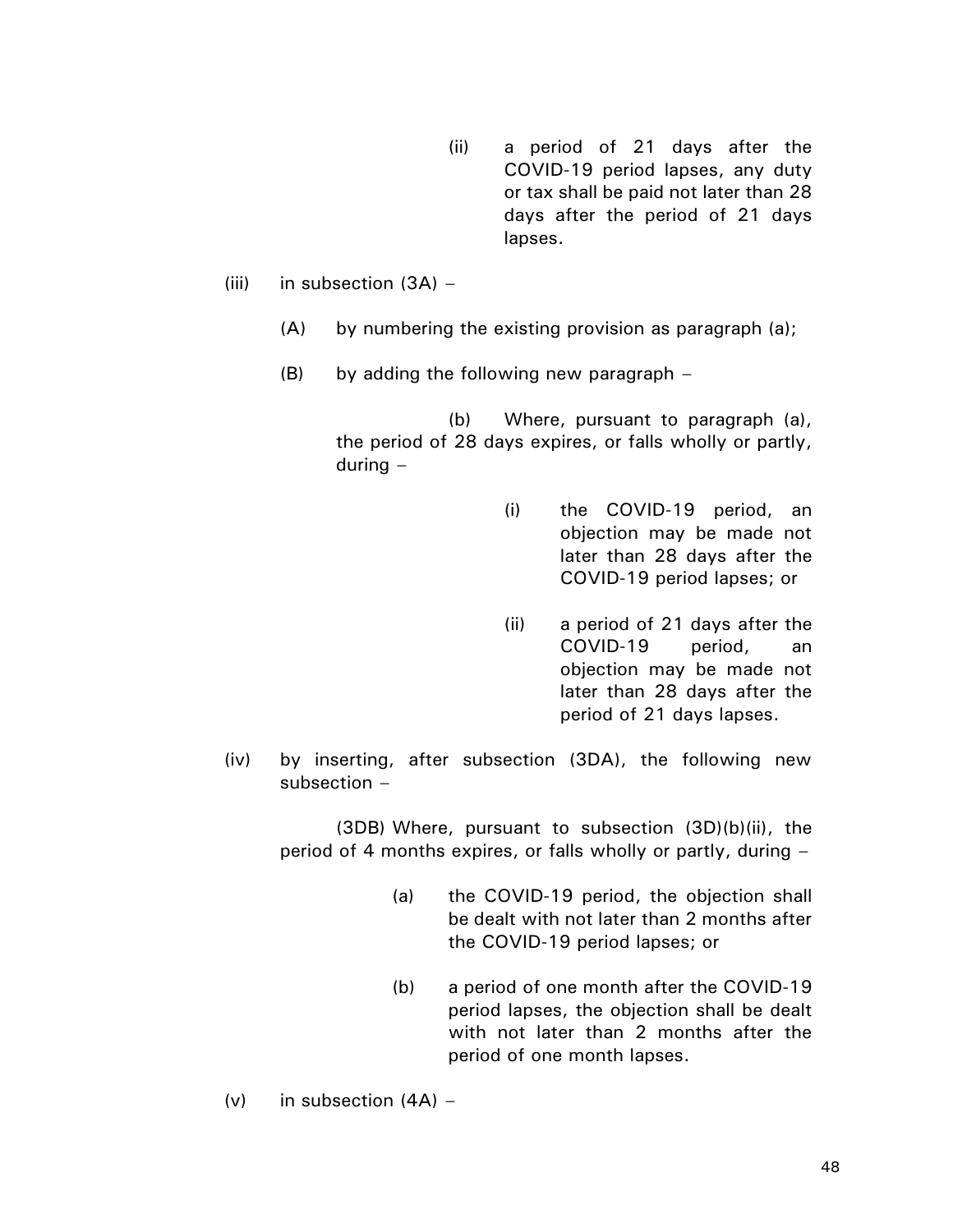- (ii) a period of 21 days after the COVID-19 period lapses, any duty or tax shall be paid not later than 28 days after the period of 21 days lapses.
- (iii) in subsection  $(3A)$ 
	- (A) by numbering the existing provision as paragraph (a);
	- (B) by adding the following new paragraph –

(b) Where, pursuant to paragraph (a), the period of 28 days expires, or falls wholly or partly, during –

- (i) the COVID-19 period, an objection may be made not later than 28 days after the COVID-19 period lapses; or
- (ii) a period of 21 days after the COVID-19 period, an objection may be made not later than 28 days after the period of 21 days lapses.
- (iv) by inserting, after subsection (3DA), the following new subsection –

(3DB) Where, pursuant to subsection (3D)(b)(ii), the period of 4 months expires, or falls wholly or partly, during –

- (a) the COVID-19 period, the objection shall be dealt with not later than 2 months after the COVID-19 period lapses; or
- (b) a period of one month after the COVID-19 period lapses, the objection shall be dealt with not later than 2 months after the period of one month lapses.
- (v) in subsection  $(4A)$  –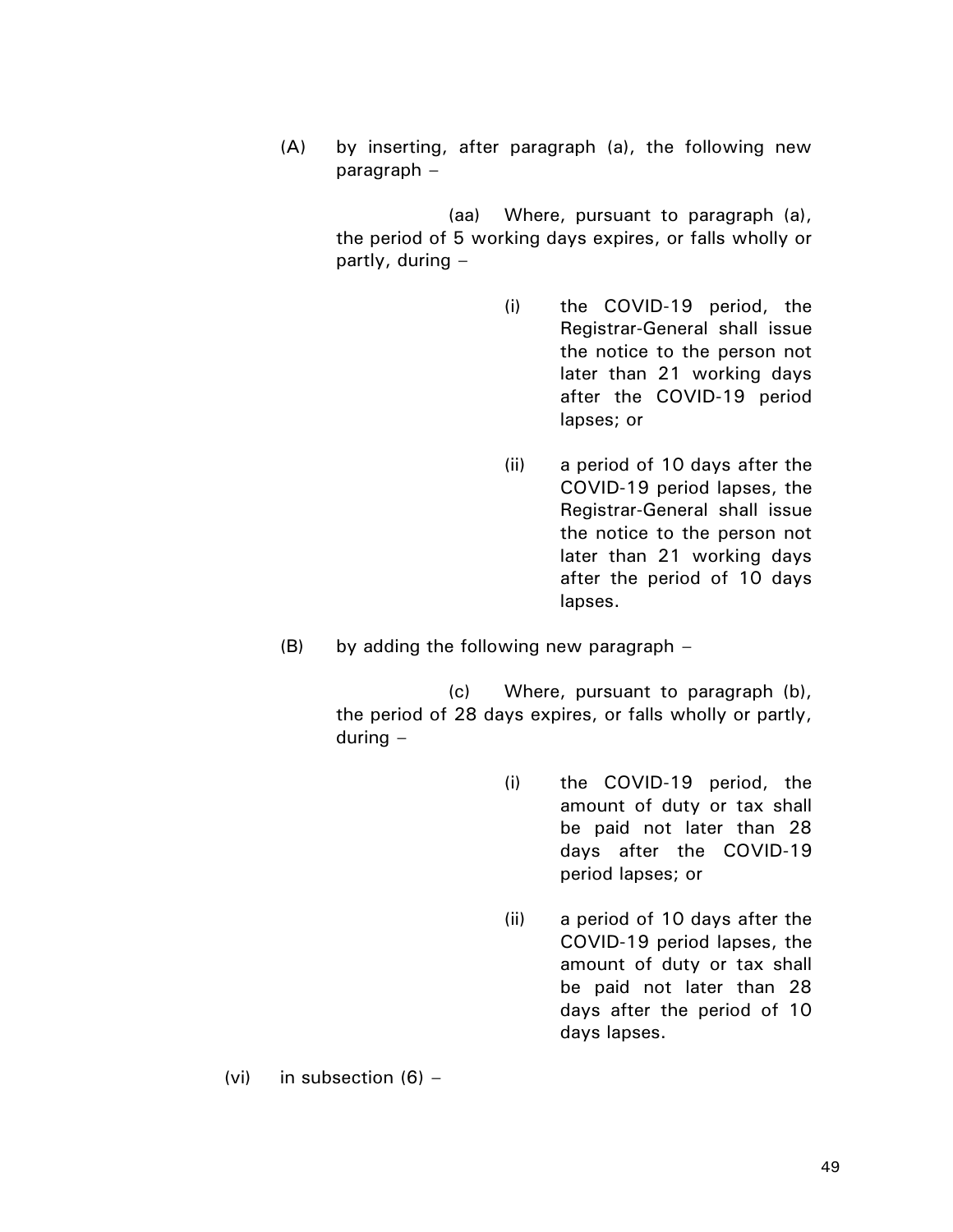(A) by inserting, after paragraph (a), the following new paragraph –

> (aa) Where, pursuant to paragraph (a), the period of 5 working days expires, or falls wholly or partly, during –

- (i) the COVID-19 period, the Registrar-General shall issue the notice to the person not later than 21 working days after the COVID-19 period lapses; or
- (ii) a period of 10 days after the COVID-19 period lapses, the Registrar-General shall issue the notice to the person not later than 21 working days after the period of 10 days lapses.
- (B) by adding the following new paragraph –

(c) Where, pursuant to paragraph (b), the period of 28 days expires, or falls wholly or partly, during –

- (i) the COVID-19 period, the amount of duty or tax shall be paid not later than 28 days after the COVID-19 period lapses; or
- (ii) a period of 10 days after the COVID-19 period lapses, the amount of duty or tax shall be paid not later than 28 days after the period of 10 days lapses.

(vi) in subsection  $(6)$  –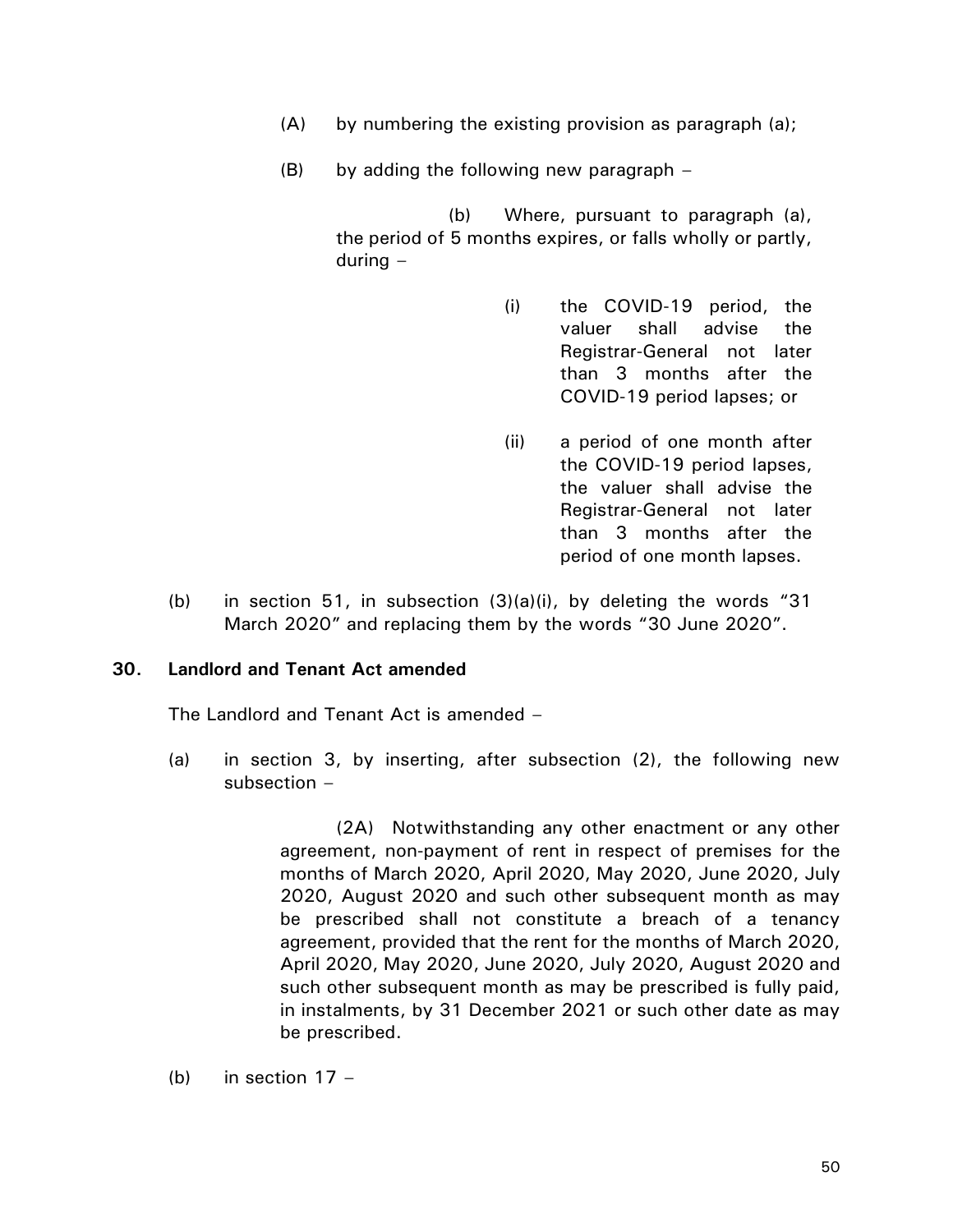- (A) by numbering the existing provision as paragraph (a);
- (B) by adding the following new paragraph –

(b) Where, pursuant to paragraph (a), the period of 5 months expires, or falls wholly or partly, during –

- (i) the COVID-19 period, the valuer shall advise the Registrar-General not later than 3 months after the COVID-19 period lapses; or
- (ii) a period of one month after the COVID-19 period lapses, the valuer shall advise the Registrar-General not later than 3 months after the period of one month lapses.
- (b) in section 51, in subsection (3)(a)(i), by deleting the words "31 March 2020" and replacing them by the words "30 June 2020".

## **30. Landlord and Tenant Act amended**

The Landlord and Tenant Act is amended –

(a) in section 3, by inserting, after subsection (2), the following new subsection –

> (2A) Notwithstanding any other enactment or any other agreement, non-payment of rent in respect of premises for the months of March 2020, April 2020, May 2020, June 2020, July 2020, August 2020 and such other subsequent month as may be prescribed shall not constitute a breach of a tenancy agreement, provided that the rent for the months of March 2020, April 2020, May 2020, June 2020, July 2020, August 2020 and such other subsequent month as may be prescribed is fully paid, in instalments, by 31 December 2021 or such other date as may be prescribed.

(b) in section  $17 -$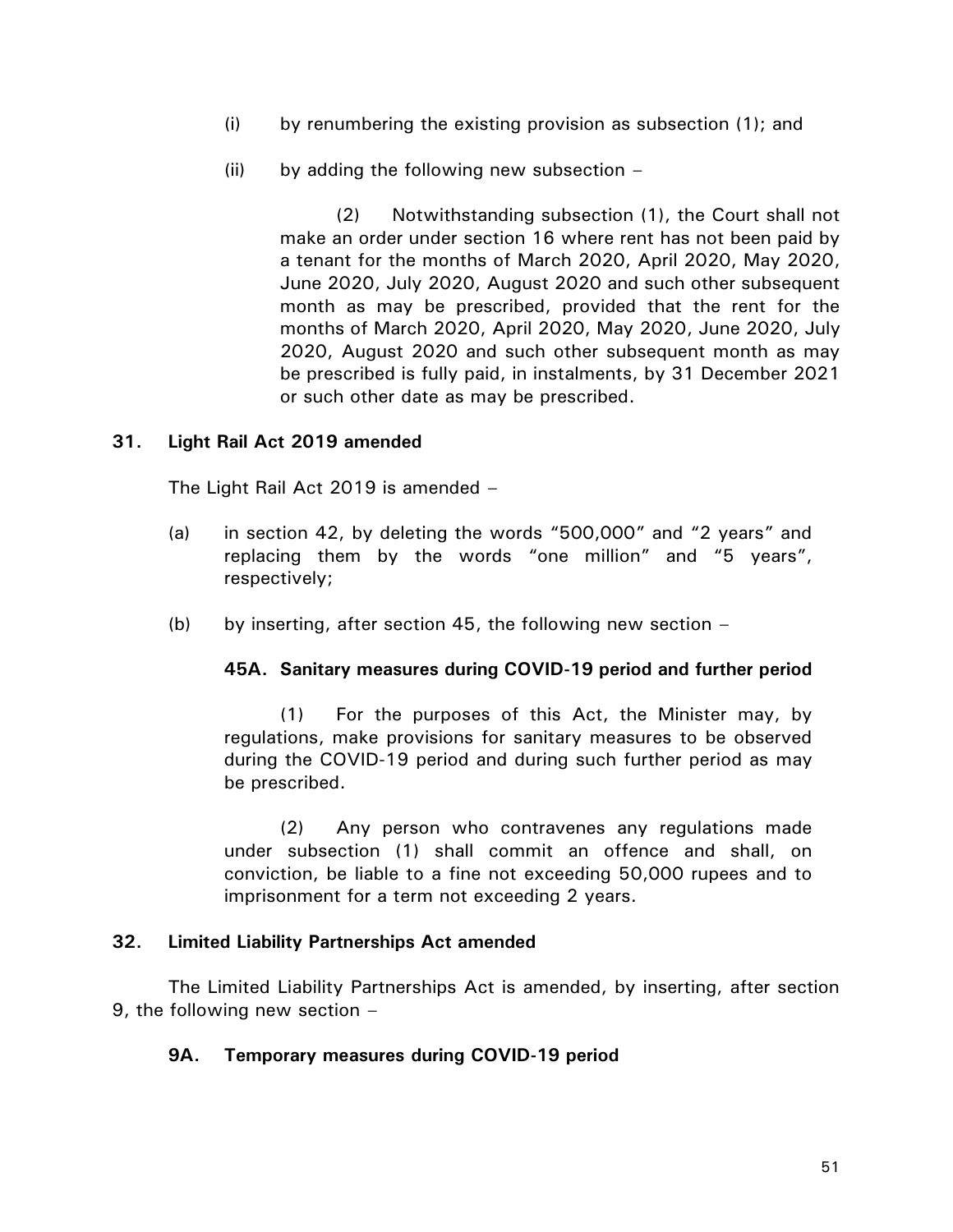- (i) by renumbering the existing provision as subsection (1); and
- (ii) by adding the following new subsection  $-$

(2) Notwithstanding subsection (1), the Court shall not make an order under section 16 where rent has not been paid by a tenant for the months of March 2020, April 2020, May 2020, June 2020, July 2020, August 2020 and such other subsequent month as may be prescribed, provided that the rent for the months of March 2020, April 2020, May 2020, June 2020, July 2020, August 2020 and such other subsequent month as may be prescribed is fully paid, in instalments, by 31 December 2021 or such other date as may be prescribed.

## **31. Light Rail Act 2019 amended**

The Light Rail Act 2019 is amended –

- (a) in section 42, by deleting the words "500,000" and "2 years" and replacing them by the words "one million" and "5 years", respectively;
- (b) by inserting, after section 45, the following new section  $-$

## **45A. Sanitary measures during COVID-19 period and further period**

(1) For the purposes of this Act, the Minister may, by regulations, make provisions for sanitary measures to be observed during the COVID-19 period and during such further period as may be prescribed.

(2) Any person who contravenes any regulations made under subsection (1) shall commit an offence and shall, on conviction, be liable to a fine not exceeding 50,000 rupees and to imprisonment for a term not exceeding 2 years.

## **32. Limited Liability Partnerships Act amended**

The Limited Liability Partnerships Act is amended, by inserting, after section 9, the following new section –

## **9A. Temporary measures during COVID-19 period**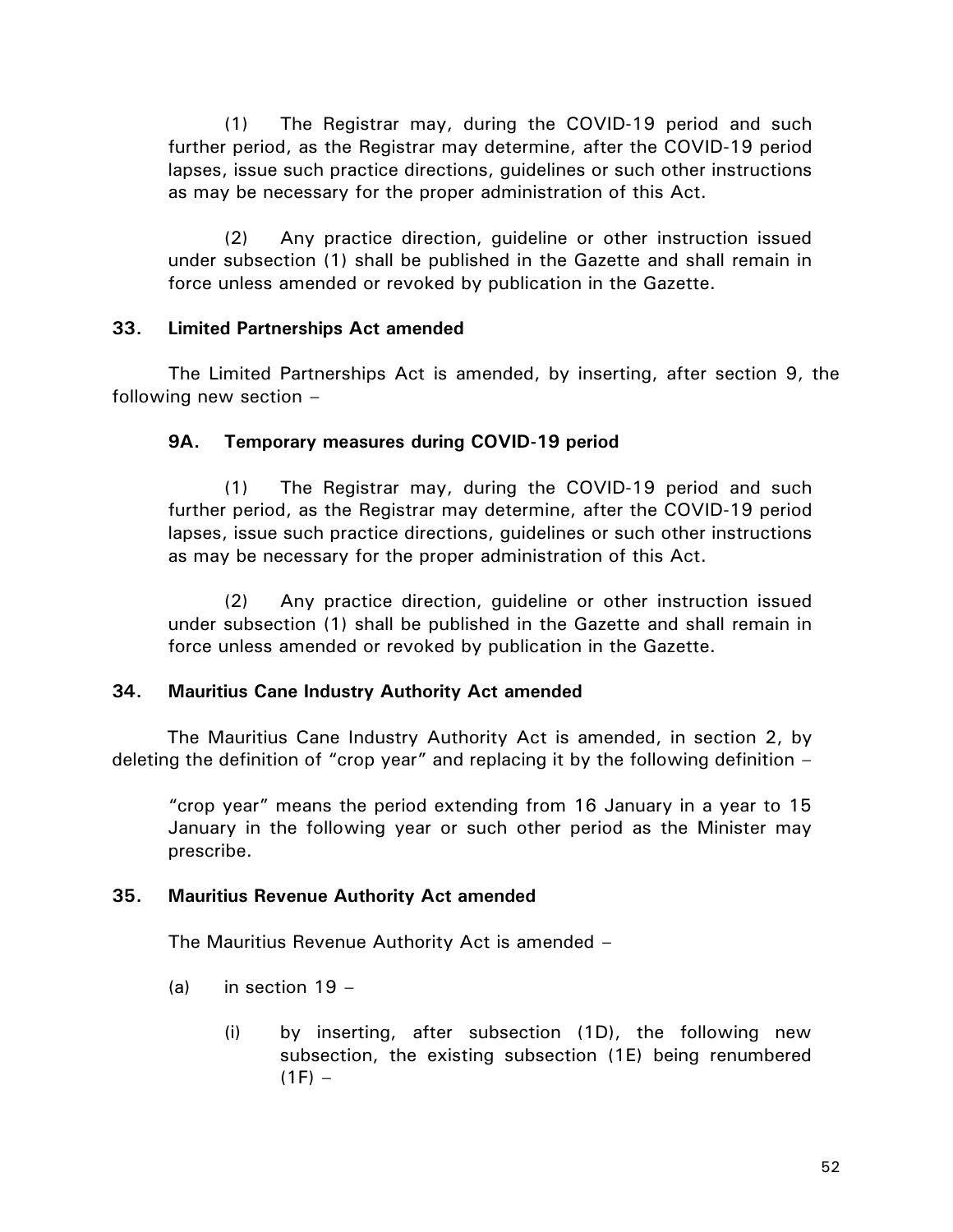(1) The Registrar may, during the COVID-19 period and such further period, as the Registrar may determine, after the COVID-19 period lapses, issue such practice directions, guidelines or such other instructions as may be necessary for the proper administration of this Act.

(2) Any practice direction, guideline or other instruction issued under subsection (1) shall be published in the Gazette and shall remain in force unless amended or revoked by publication in the Gazette.

# **33. Limited Partnerships Act amended**

The Limited Partnerships Act is amended, by inserting, after section 9, the following new section –

# **9A. Temporary measures during COVID-19 period**

(1) The Registrar may, during the COVID-19 period and such further period, as the Registrar may determine, after the COVID-19 period lapses, issue such practice directions, guidelines or such other instructions as may be necessary for the proper administration of this Act.

(2) Any practice direction, guideline or other instruction issued under subsection (1) shall be published in the Gazette and shall remain in force unless amended or revoked by publication in the Gazette.

# **34. Mauritius Cane Industry Authority Act amended**

The Mauritius Cane Industry Authority Act is amended, in section 2, by deleting the definition of "crop year" and replacing it by the following definition –

"crop year" means the period extending from 16 January in a year to 15 January in the following year or such other period as the Minister may prescribe.

# **35. Mauritius Revenue Authority Act amended**

The Mauritius Revenue Authority Act is amended –

- (a) in section  $19 -$ 
	- (i) by inserting, after subsection (1D), the following new subsection, the existing subsection (1E) being renumbered  $(1F) -$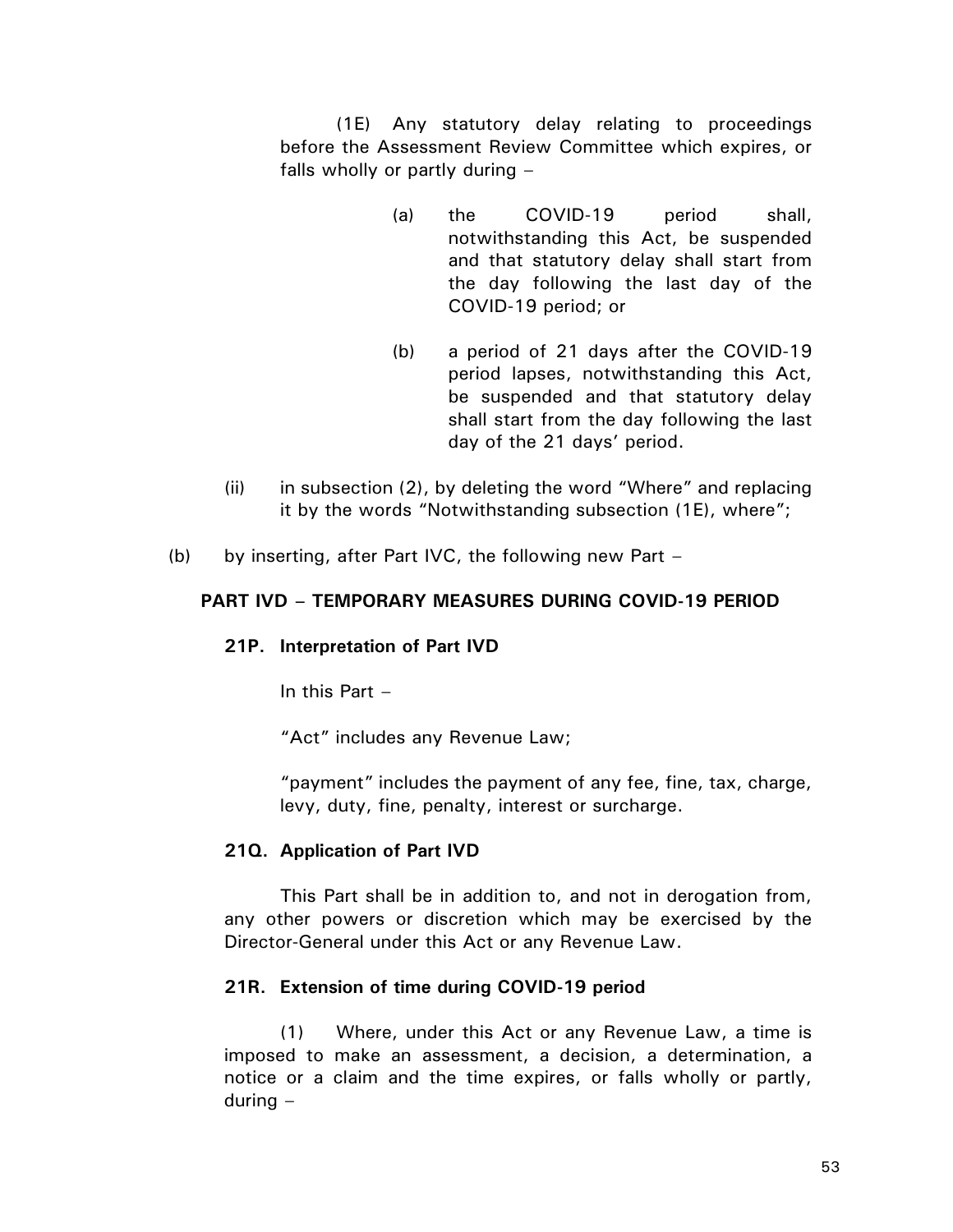(1E) Any statutory delay relating to proceedings before the Assessment Review Committee which expires, or falls wholly or partly during –

- (a) the COVID-19 period shall, notwithstanding this Act, be suspended and that statutory delay shall start from the day following the last day of the COVID-19 period; or
- (b) a period of 21 days after the COVID-19 period lapses, notwithstanding this Act, be suspended and that statutory delay shall start from the day following the last day of the 21 days' period.
- (ii) in subsection (2), by deleting the word "Where" and replacing it by the words "Notwithstanding subsection (1E), where";
- (b) by inserting, after Part IVC, the following new Part –

## **PART IVD – TEMPORARY MEASURES DURING COVID-19 PERIOD**

# **21P. Interpretation of Part IVD**

In this Part –

"Act" includes any Revenue Law;

"payment" includes the payment of any fee, fine, tax, charge, levy, duty, fine, penalty, interest or surcharge.

# **21Q. Application of Part IVD**

This Part shall be in addition to, and not in derogation from, any other powers or discretion which may be exercised by the Director-General under this Act or any Revenue Law.

## **21R. Extension of time during COVID-19 period**

(1) Where, under this Act or any Revenue Law, a time is imposed to make an assessment, a decision, a determination, a notice or a claim and the time expires, or falls wholly or partly, during –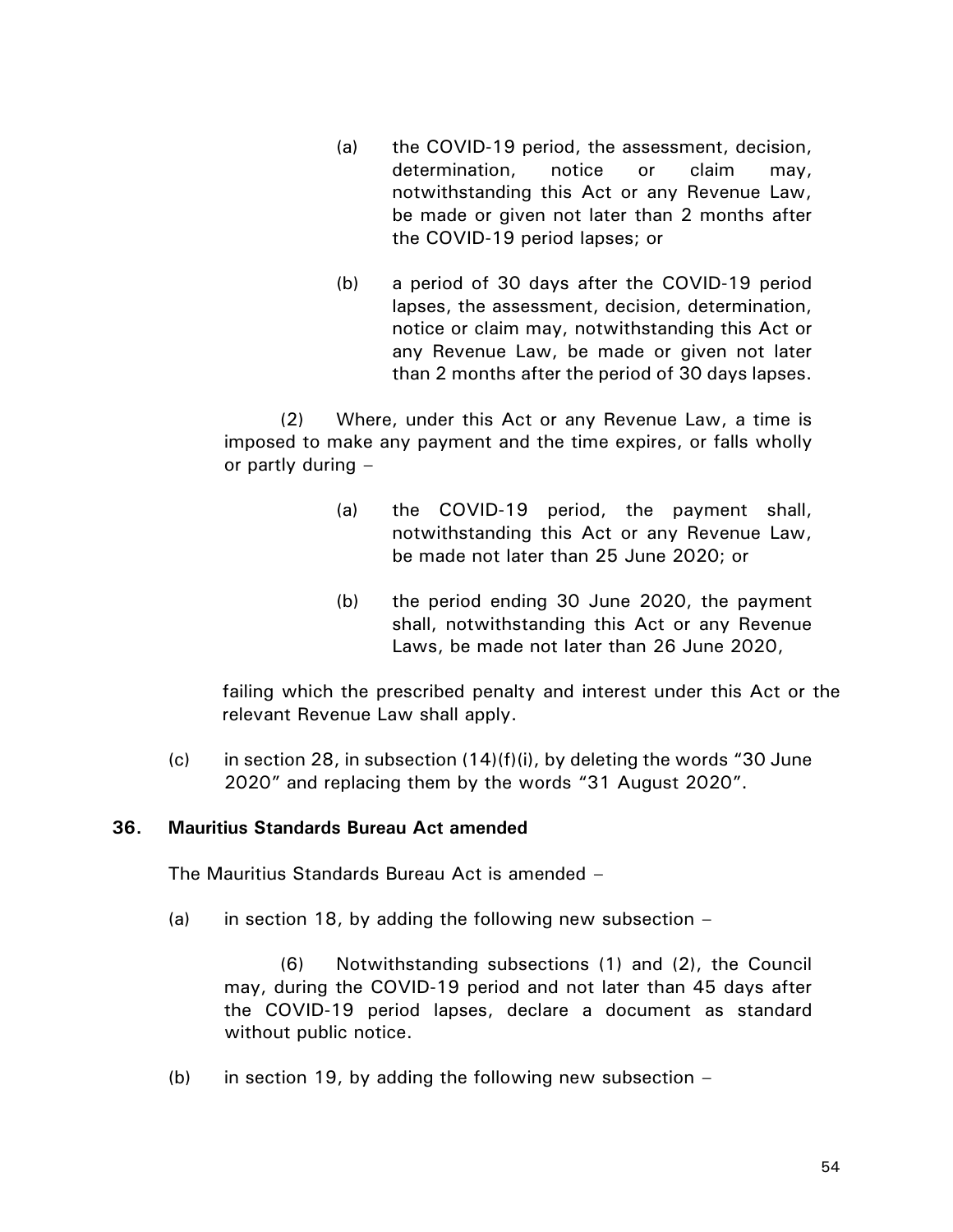- (a) the COVID-19 period, the assessment, decision, determination, notice or claim may, notwithstanding this Act or any Revenue Law, be made or given not later than 2 months after the COVID-19 period lapses; or
- (b) a period of 30 days after the COVID-19 period lapses, the assessment, decision, determination, notice or claim may, notwithstanding this Act or any Revenue Law, be made or given not later than 2 months after the period of 30 days lapses.

(2) Where, under this Act or any Revenue Law, a time is imposed to make any payment and the time expires, or falls wholly or partly during –

- (a) the COVID-19 period, the payment shall, notwithstanding this Act or any Revenue Law, be made not later than 25 June 2020; or
- (b) the period ending 30 June 2020, the payment shall, notwithstanding this Act or any Revenue Laws, be made not later than 26 June 2020,

failing which the prescribed penalty and interest under this Act or the relevant Revenue Law shall apply.

(c) in section 28, in subsection (14)(f)(i), by deleting the words "30 June 2020" and replacing them by the words "31 August 2020".

# **36. Mauritius Standards Bureau Act amended**

The Mauritius Standards Bureau Act is amended –

(a) in section 18, by adding the following new subsection  $-$ 

(6) Notwithstanding subsections (1) and (2), the Council may, during the COVID-19 period and not later than 45 days after the COVID-19 period lapses, declare a document as standard without public notice.

(b) in section 19, by adding the following new subsection  $-$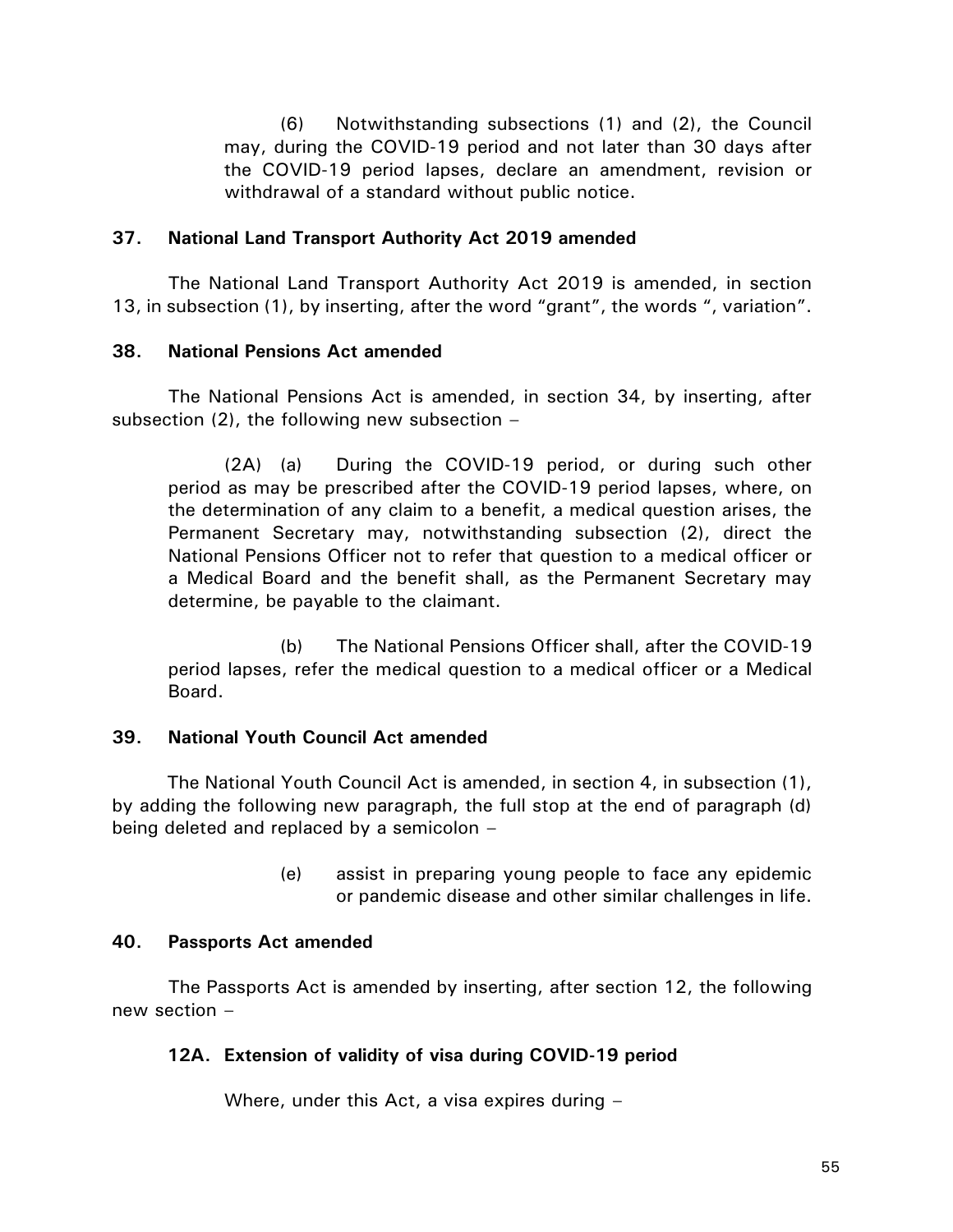(6) Notwithstanding subsections (1) and (2), the Council may, during the COVID-19 period and not later than 30 days after the COVID-19 period lapses, declare an amendment, revision or withdrawal of a standard without public notice.

## **37. National Land Transport Authority Act 2019 amended**

The National Land Transport Authority Act 2019 is amended, in section 13, in subsection (1), by inserting, after the word "grant", the words ", variation".

## **38. National Pensions Act amended**

The National Pensions Act is amended, in section 34, by inserting, after subsection  $(2)$ , the following new subsection  $-$ 

(2A) (a) During the COVID-19 period, or during such other period as may be prescribed after the COVID-19 period lapses, where, on the determination of any claim to a benefit, a medical question arises, the Permanent Secretary may, notwithstanding subsection (2), direct the National Pensions Officer not to refer that question to a medical officer or a Medical Board and the benefit shall, as the Permanent Secretary may determine, be payable to the claimant.

(b) The National Pensions Officer shall, after the COVID-19 period lapses, refer the medical question to a medical officer or a Medical Board.

# **39. National Youth Council Act amended**

The National Youth Council Act is amended, in section 4, in subsection (1), by adding the following new paragraph, the full stop at the end of paragraph (d) being deleted and replaced by a semicolon –

> (e) assist in preparing young people to face any epidemic or pandemic disease and other similar challenges in life.

# **40. Passports Act amended**

The Passports Act is amended by inserting, after section 12, the following new section –

# **12A. Extension of validity of visa during COVID-19 period**

Where, under this Act, a visa expires during –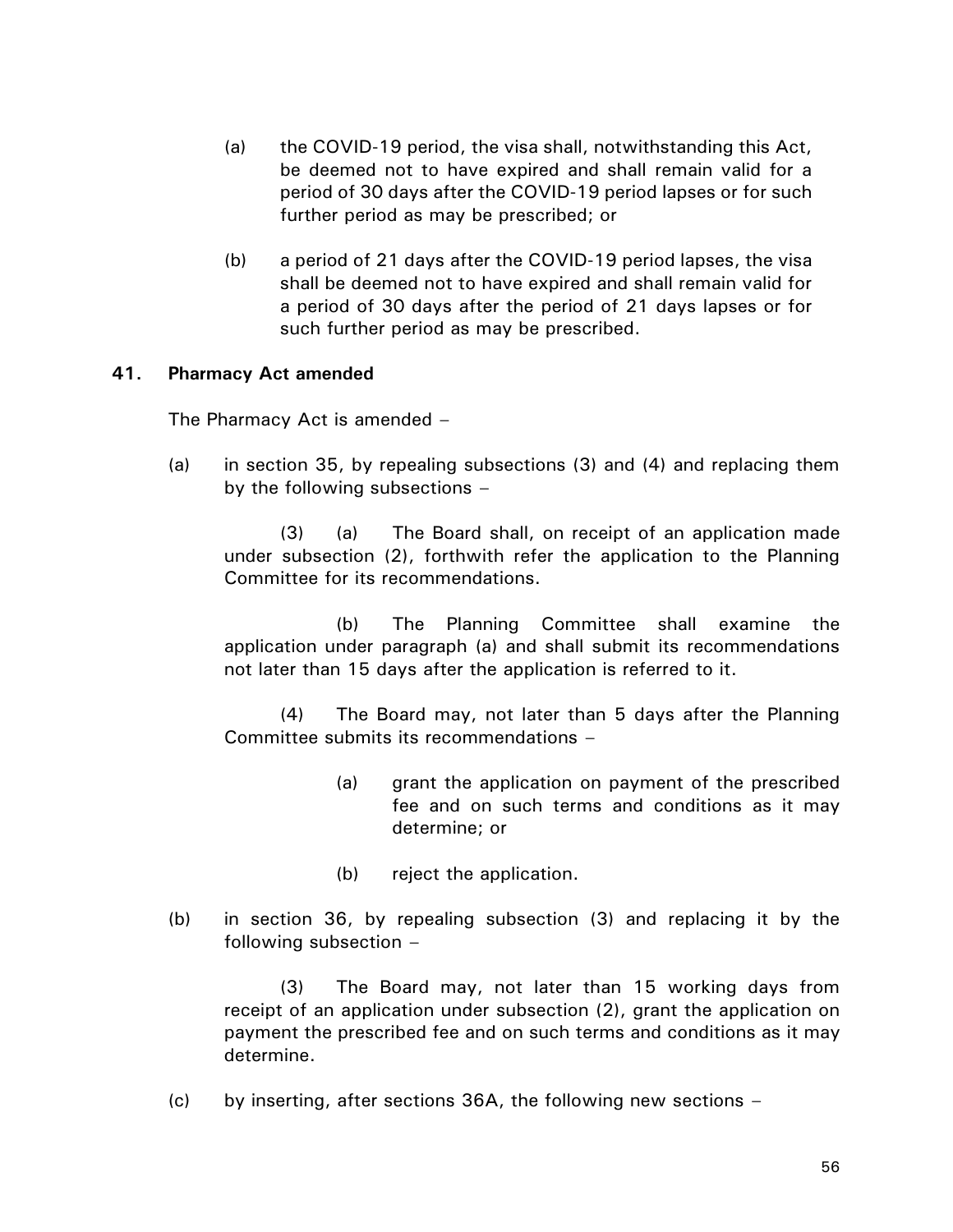- (a) the COVID-19 period, the visa shall, notwithstanding this Act, be deemed not to have expired and shall remain valid for a period of 30 days after the COVID-19 period lapses or for such further period as may be prescribed; or
- (b) a period of 21 days after the COVID-19 period lapses, the visa shall be deemed not to have expired and shall remain valid for a period of 30 days after the period of 21 days lapses or for such further period as may be prescribed.

## **41. Pharmacy Act amended**

The Pharmacy Act is amended –

(a) in section 35, by repealing subsections (3) and (4) and replacing them by the following subsections –

(3) (a) The Board shall, on receipt of an application made under subsection (2), forthwith refer the application to the Planning Committee for its recommendations.

(b) The Planning Committee shall examine the application under paragraph (a) and shall submit its recommendations not later than 15 days after the application is referred to it.

(4) The Board may, not later than 5 days after the Planning Committee submits its recommendations –

- (a) grant the application on payment of the prescribed fee and on such terms and conditions as it may determine; or
- (b) reject the application.
- (b) in section 36, by repealing subsection (3) and replacing it by the following subsection –

(3) The Board may, not later than 15 working days from receipt of an application under subsection (2), grant the application on payment the prescribed fee and on such terms and conditions as it may determine.

(c) by inserting, after sections 36A, the following new sections –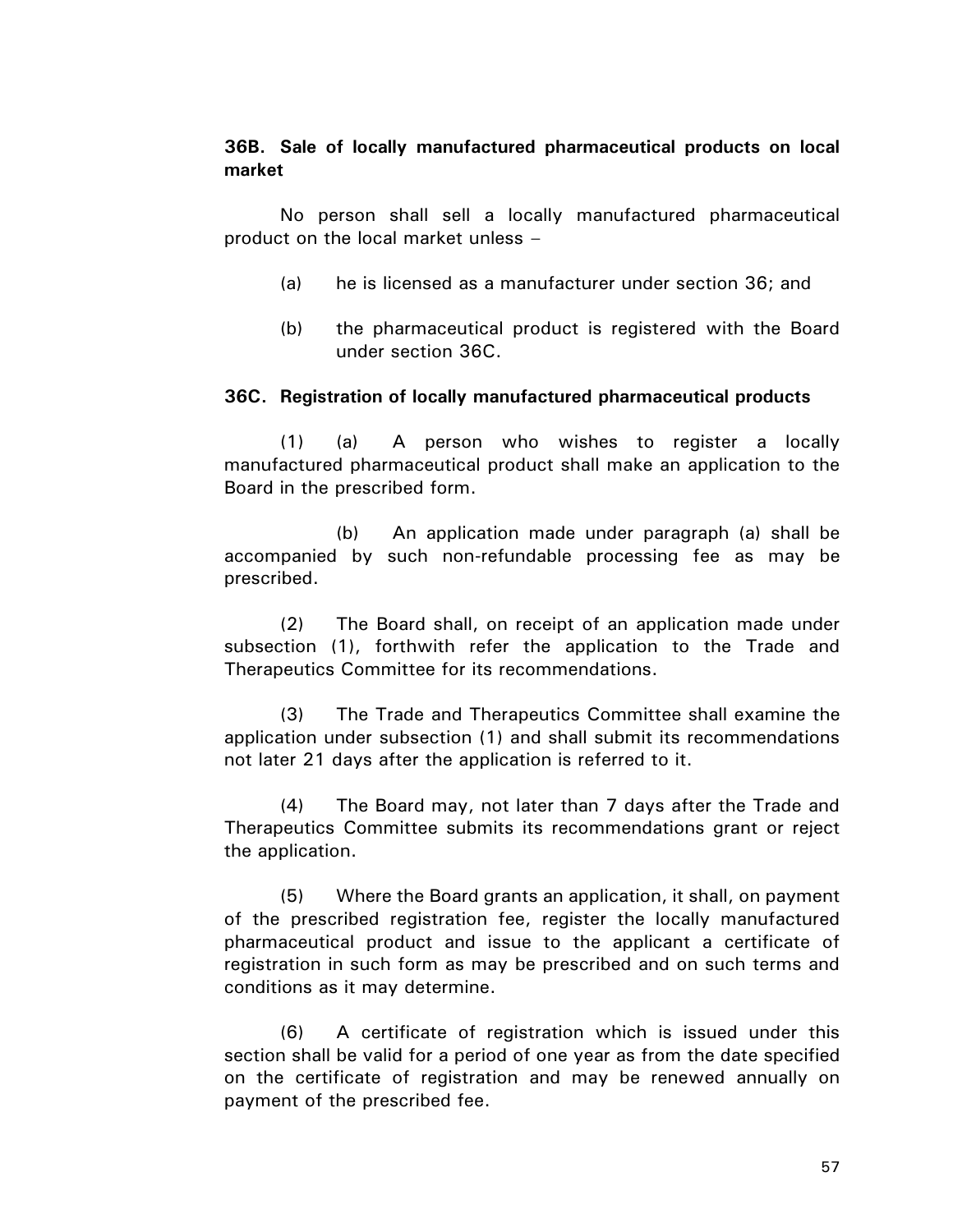# **36B. Sale of locally manufactured pharmaceutical products on local market**

No person shall sell a locally manufactured pharmaceutical product on the local market unless –

- (a) he is licensed as a manufacturer under section 36; and
- (b) the pharmaceutical product is registered with the Board under section 36C.

## **36C. Registration of locally manufactured pharmaceutical products**

(1) (a) A person who wishes to register a locally manufactured pharmaceutical product shall make an application to the Board in the prescribed form.

(b) An application made under paragraph (a) shall be accompanied by such non-refundable processing fee as may be prescribed.

(2) The Board shall, on receipt of an application made under subsection (1), forthwith refer the application to the Trade and Therapeutics Committee for its recommendations.

(3) The Trade and Therapeutics Committee shall examine the application under subsection (1) and shall submit its recommendations not later 21 days after the application is referred to it.

(4) The Board may, not later than 7 days after the Trade and Therapeutics Committee submits its recommendations grant or reject the application.

(5) Where the Board grants an application, it shall, on payment of the prescribed registration fee, register the locally manufactured pharmaceutical product and issue to the applicant a certificate of registration in such form as may be prescribed and on such terms and conditions as it may determine.

(6) A certificate of registration which is issued under this section shall be valid for a period of one year as from the date specified on the certificate of registration and may be renewed annually on payment of the prescribed fee.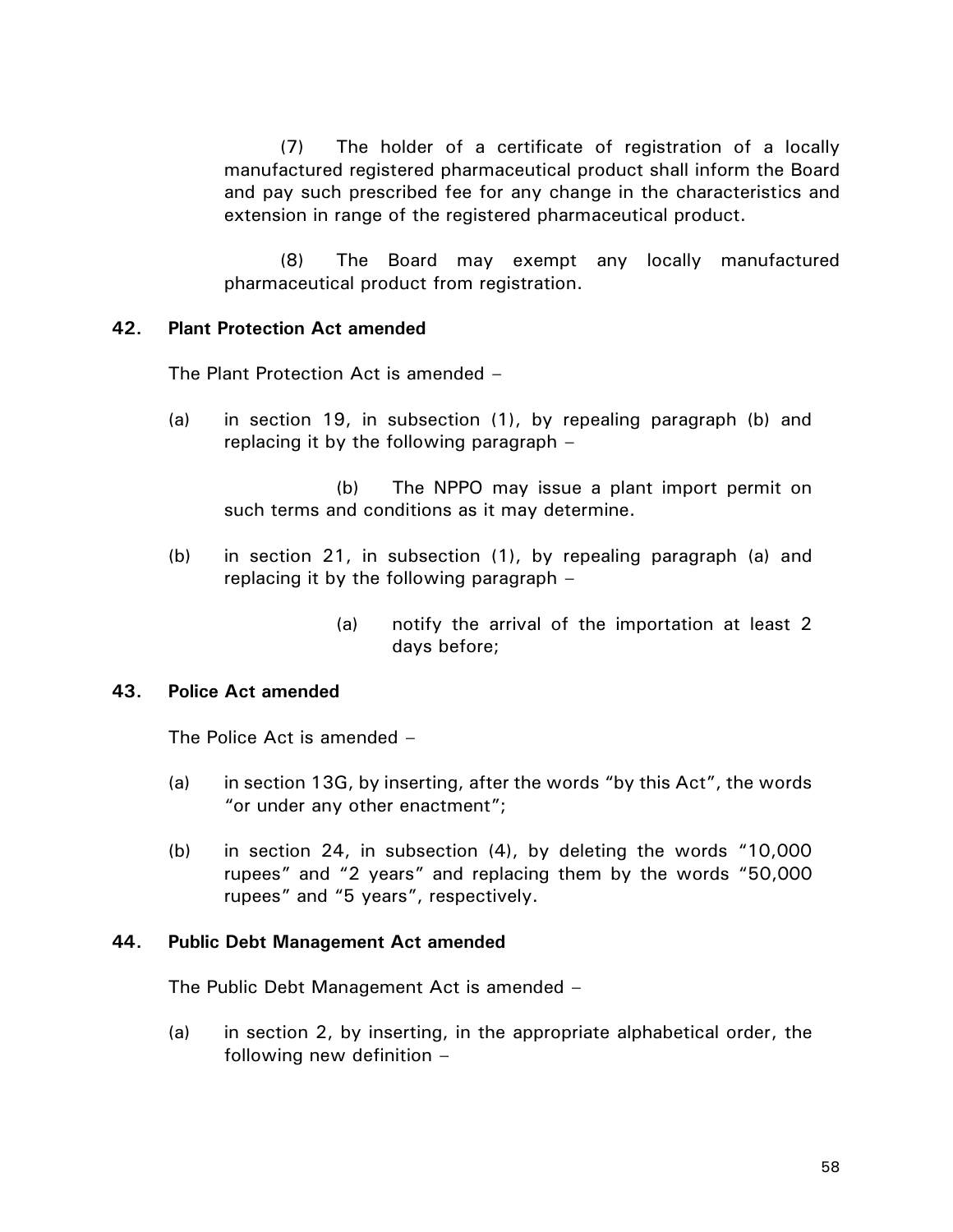(7) The holder of a certificate of registration of a locally manufactured registered pharmaceutical product shall inform the Board and pay such prescribed fee for any change in the characteristics and extension in range of the registered pharmaceutical product.

(8) The Board may exempt any locally manufactured pharmaceutical product from registration.

## **42. Plant Protection Act amended**

The Plant Protection Act is amended –

(a) in section 19, in subsection (1), by repealing paragraph (b) and replacing it by the following paragraph –

(b) The NPPO may issue a plant import permit on such terms and conditions as it may determine.

- (b) in section 21, in subsection (1), by repealing paragraph (a) and replacing it by the following paragraph –
	- (a) notify the arrival of the importation at least 2 days before;

#### **43. Police Act amended**

The Police Act is amended –

- (a) in section 13G, by inserting, after the words "by this Act", the words "or under any other enactment";
- (b) in section 24, in subsection (4), by deleting the words "10,000 rupees" and "2 years" and replacing them by the words "50,000 rupees" and "5 years", respectively.

#### **44. Public Debt Management Act amended**

The Public Debt Management Act is amended –

(a) in section 2, by inserting, in the appropriate alphabetical order, the following new definition –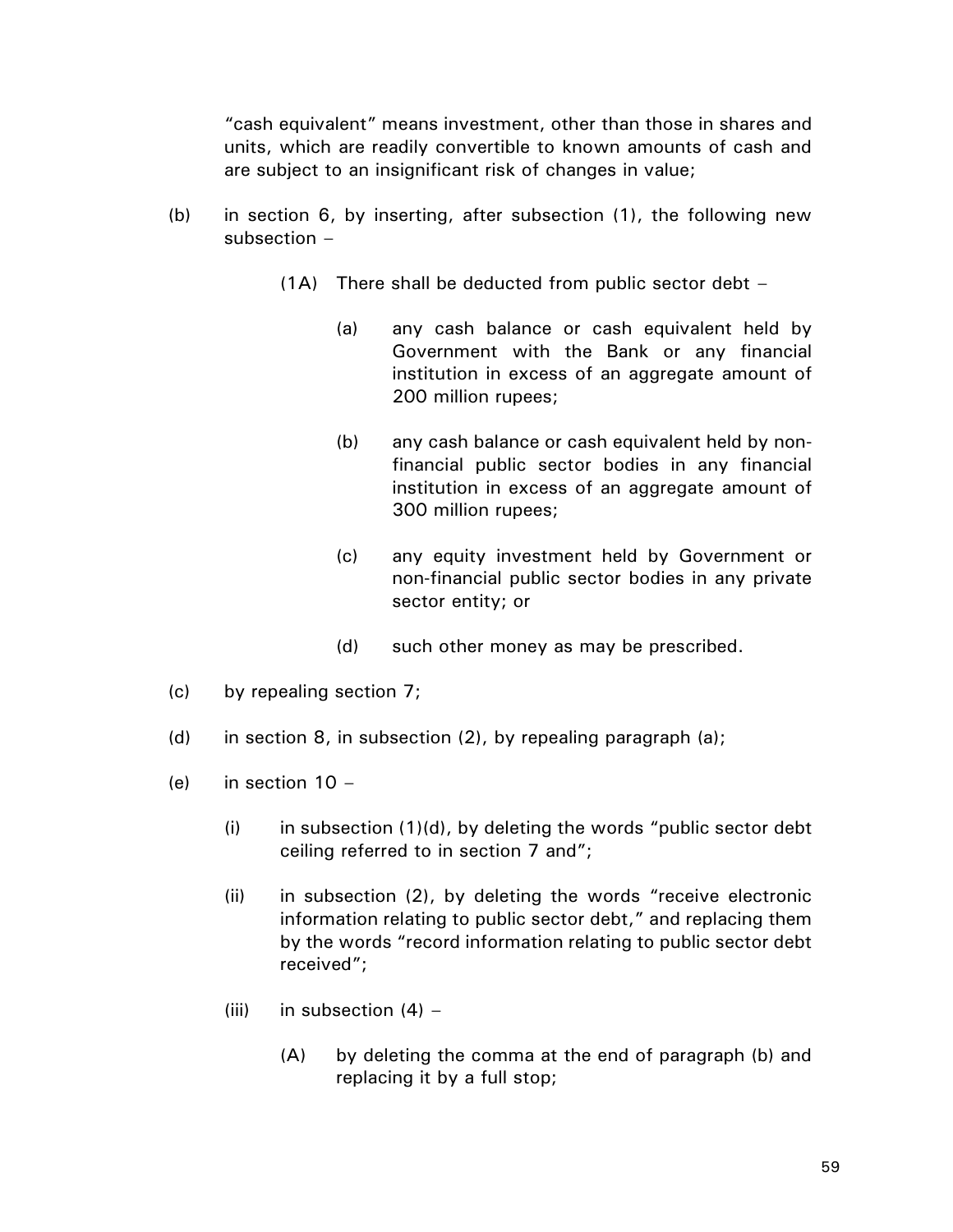"cash equivalent" means investment, other than those in shares and units, which are readily convertible to known amounts of cash and are subject to an insignificant risk of changes in value;

- (b) in section 6, by inserting, after subsection (1), the following new subsection –
	- (1A) There shall be deducted from public sector debt
		- (a) any cash balance or cash equivalent held by Government with the Bank or any financial institution in excess of an aggregate amount of 200 million rupees;
		- (b) any cash balance or cash equivalent held by nonfinancial public sector bodies in any financial institution in excess of an aggregate amount of 300 million rupees;
		- (c) any equity investment held by Government or non-financial public sector bodies in any private sector entity; or
		- (d) such other money as may be prescribed.
- (c) by repealing section 7;
- (d) in section 8, in subsection  $(2)$ , by repealing paragraph  $(a)$ ;
- (e) in section  $10 -$ 
	- $(i)$  in subsection  $(1)(d)$ , by deleting the words "public sector debt ceiling referred to in section 7 and";
	- (ii) in subsection (2), by deleting the words "receive electronic information relating to public sector debt," and replacing them by the words "record information relating to public sector debt received";
	- (iii) in subsection  $(4)$ 
		- (A) by deleting the comma at the end of paragraph (b) and replacing it by a full stop;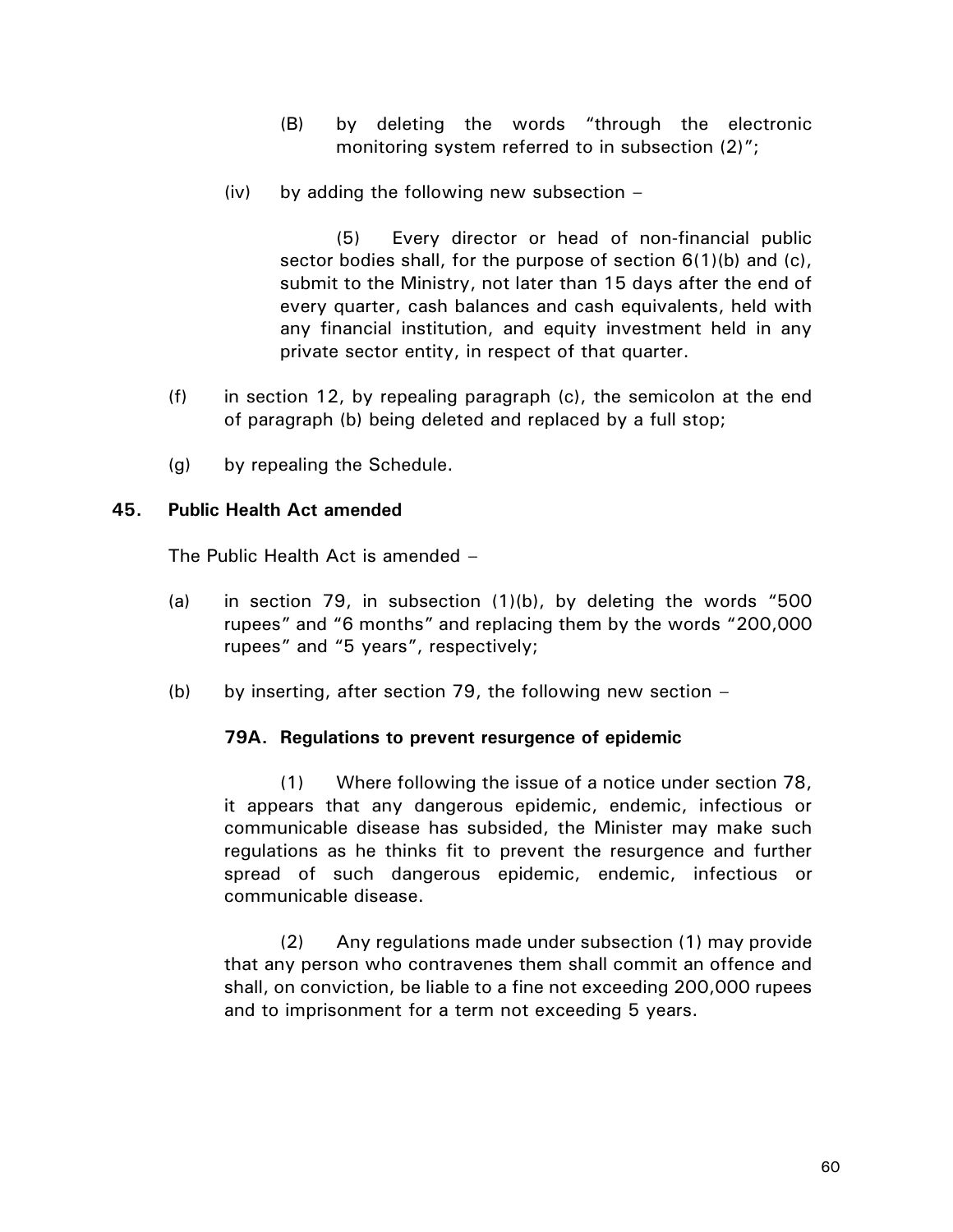- (B) by deleting the words "through the electronic monitoring system referred to in subsection (2)";
- $(iv)$  by adding the following new subsection  $-$

(5) Every director or head of non-financial public sector bodies shall, for the purpose of section 6(1)(b) and (c), submit to the Ministry, not later than 15 days after the end of every quarter, cash balances and cash equivalents, held with any financial institution, and equity investment held in any private sector entity, in respect of that quarter.

- (f) in section 12, by repealing paragraph (c), the semicolon at the end of paragraph (b) being deleted and replaced by a full stop;
- (g) by repealing the Schedule.

## **45. Public Health Act amended**

The Public Health Act is amended –

- (a) in section 79, in subsection  $(1)(b)$ , by deleting the words "500 rupees" and "6 months" and replacing them by the words "200,000 rupees" and "5 years", respectively;
- (b) by inserting, after section 79, the following new section  $-$

## **79A. Regulations to prevent resurgence of epidemic**

(1) Where following the issue of a notice under section 78, it appears that any dangerous epidemic, endemic, infectious or communicable disease has subsided, the Minister may make such regulations as he thinks fit to prevent the resurgence and further spread of such dangerous epidemic, endemic, infectious or communicable disease.

(2) Any regulations made under subsection (1) may provide that any person who contravenes them shall commit an offence and shall, on conviction, be liable to a fine not exceeding 200,000 rupees and to imprisonment for a term not exceeding 5 years.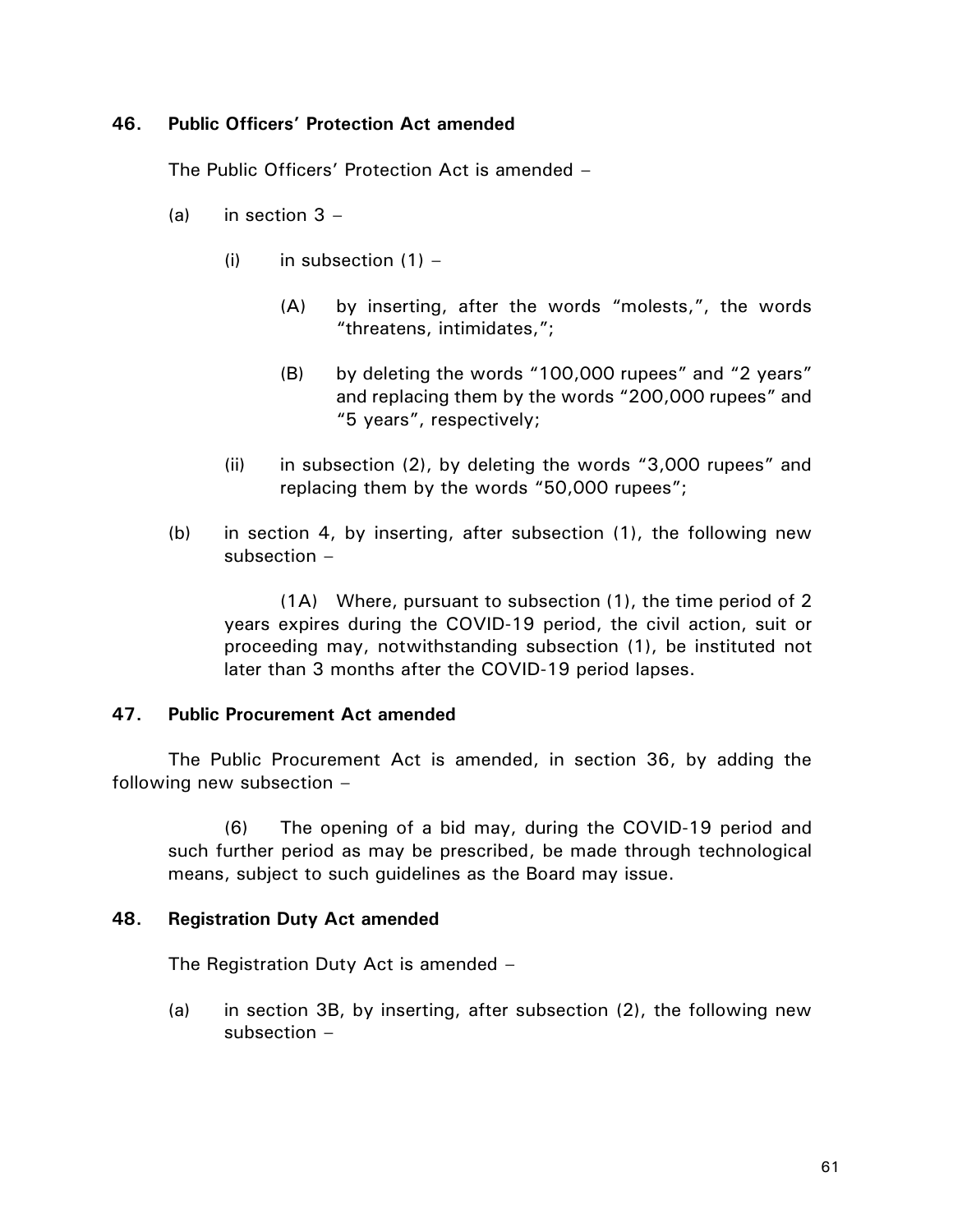## **46. Public Officers' Protection Act amended**

The Public Officers' Protection Act is amended –

- (a) in section  $3 -$ 
	- (i) in subsection  $(1)$ 
		- (A) by inserting, after the words "molests,", the words "threatens, intimidates,";
		- (B) by deleting the words "100,000 rupees" and "2 years" and replacing them by the words "200,000 rupees" and "5 years", respectively;
	- (ii) in subsection (2), by deleting the words "3,000 rupees" and replacing them by the words "50,000 rupees";
- (b) in section 4, by inserting, after subsection (1), the following new subsection –

(1A) Where, pursuant to subsection (1), the time period of 2 years expires during the COVID-19 period, the civil action, suit or proceeding may, notwithstanding subsection (1), be instituted not later than 3 months after the COVID-19 period lapses.

# **47. Public Procurement Act amended**

The Public Procurement Act is amended, in section 36, by adding the following new subsection –

(6) The opening of a bid may, during the COVID-19 period and such further period as may be prescribed, be made through technological means, subject to such guidelines as the Board may issue.

## **48. Registration Duty Act amended**

The Registration Duty Act is amended –

(a) in section 3B, by inserting, after subsection (2), the following new subsection –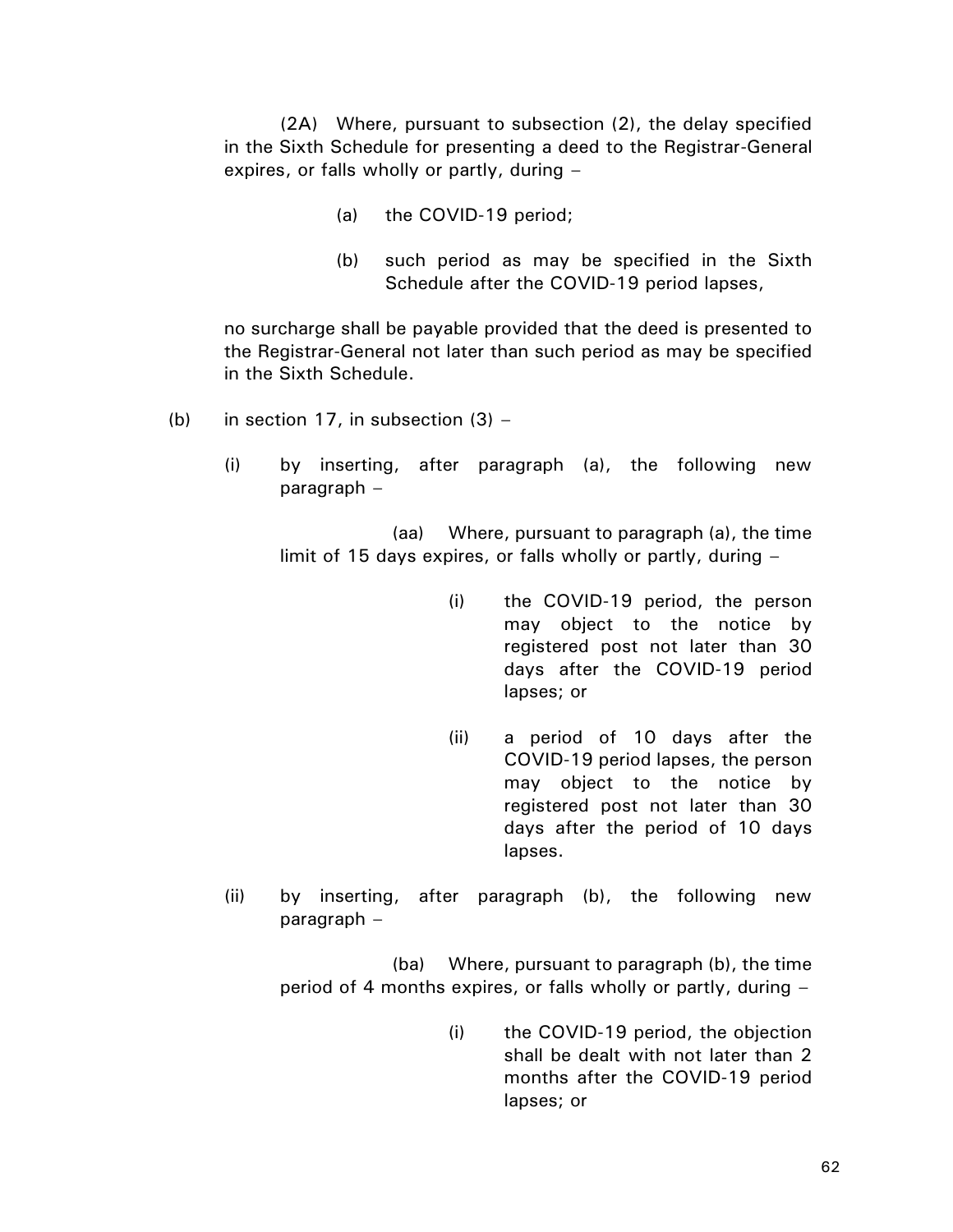(2A) Where, pursuant to subsection (2), the delay specified in the Sixth Schedule for presenting a deed to the Registrar-General expires, or falls wholly or partly, during –

- (a) the COVID-19 period;
- (b) such period as may be specified in the Sixth Schedule after the COVID-19 period lapses,

no surcharge shall be payable provided that the deed is presented to the Registrar-General not later than such period as may be specified in the Sixth Schedule.

- (b) in section 17, in subsection  $(3)$ 
	- (i) by inserting, after paragraph (a), the following new paragraph –

(aa) Where, pursuant to paragraph (a), the time limit of 15 days expires, or falls wholly or partly, during –

- (i) the COVID-19 period, the person may object to the notice by registered post not later than 30 days after the COVID-19 period lapses; or
- (ii) a period of 10 days after the COVID-19 period lapses, the person may object to the notice by registered post not later than 30 days after the period of 10 days lapses.
- (ii) by inserting, after paragraph (b), the following new paragraph –

(ba) Where, pursuant to paragraph (b), the time period of 4 months expires, or falls wholly or partly, during –

> (i) the COVID-19 period, the objection shall be dealt with not later than 2 months after the COVID-19 period lapses; or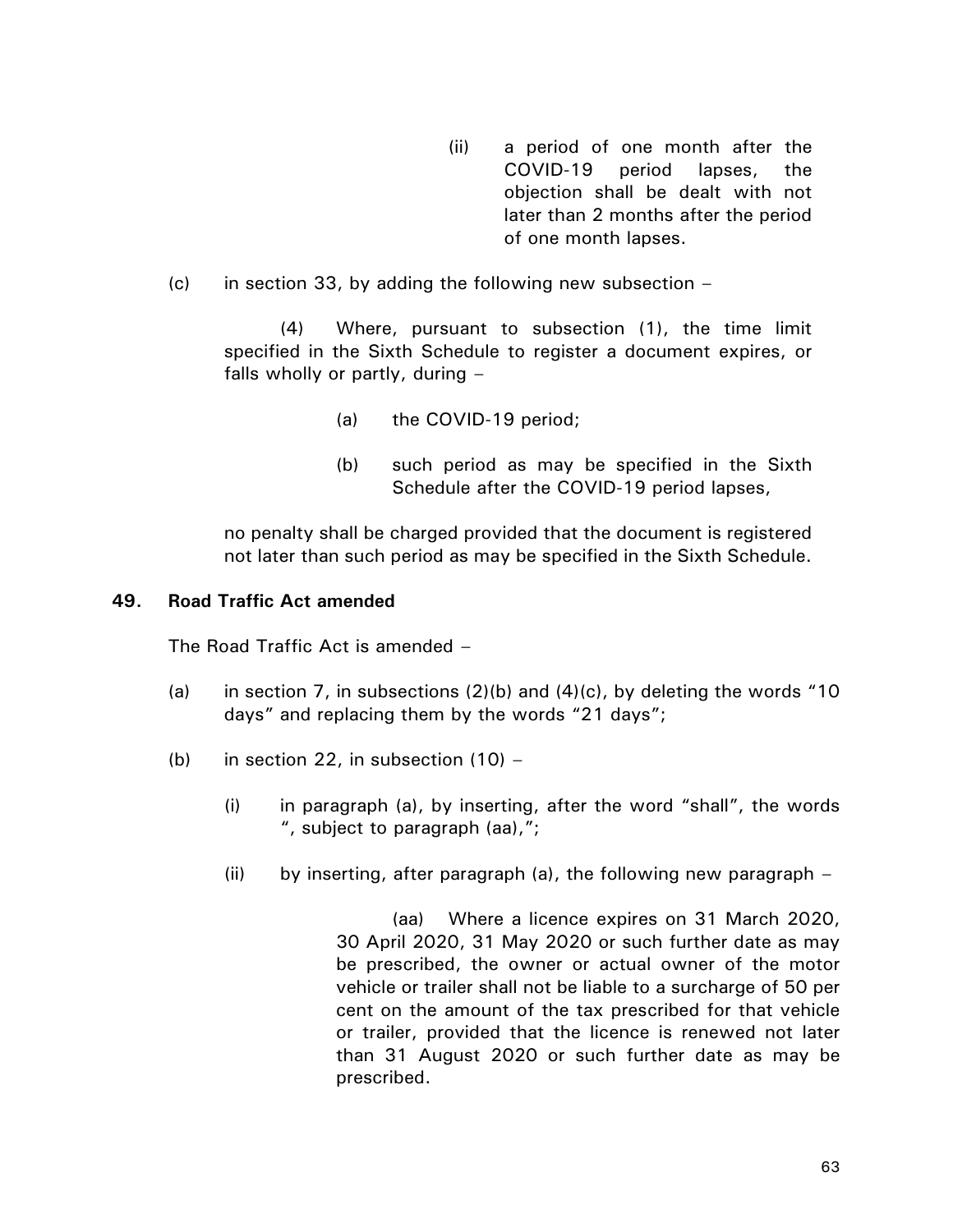- (ii) a period of one month after the COVID-19 period lapses, the objection shall be dealt with not later than 2 months after the period of one month lapses.
- (c) in section 33, by adding the following new subsection  $-$

(4) Where, pursuant to subsection (1), the time limit specified in the Sixth Schedule to register a document expires, or falls wholly or partly, during –

- (a) the COVID-19 period;
- (b) such period as may be specified in the Sixth Schedule after the COVID-19 period lapses,

no penalty shall be charged provided that the document is registered not later than such period as may be specified in the Sixth Schedule.

## **49. Road Traffic Act amended**

The Road Traffic Act is amended –

- (a) in section 7, in subsections  $(2)(b)$  and  $(4)(c)$ , by deleting the words "10 days" and replacing them by the words "21 days";
- (b) in section 22, in subsection  $(10)$ 
	- (i) in paragraph (a), by inserting, after the word "shall", the words ", subject to paragraph (aa),";
	- (ii) by inserting, after paragraph (a), the following new paragraph  $-$

(aa) Where a licence expires on 31 March 2020, 30 April 2020, 31 May 2020 or such further date as may be prescribed, the owner or actual owner of the motor vehicle or trailer shall not be liable to a surcharge of 50 per cent on the amount of the tax prescribed for that vehicle or trailer, provided that the licence is renewed not later than 31 August 2020 or such further date as may be prescribed.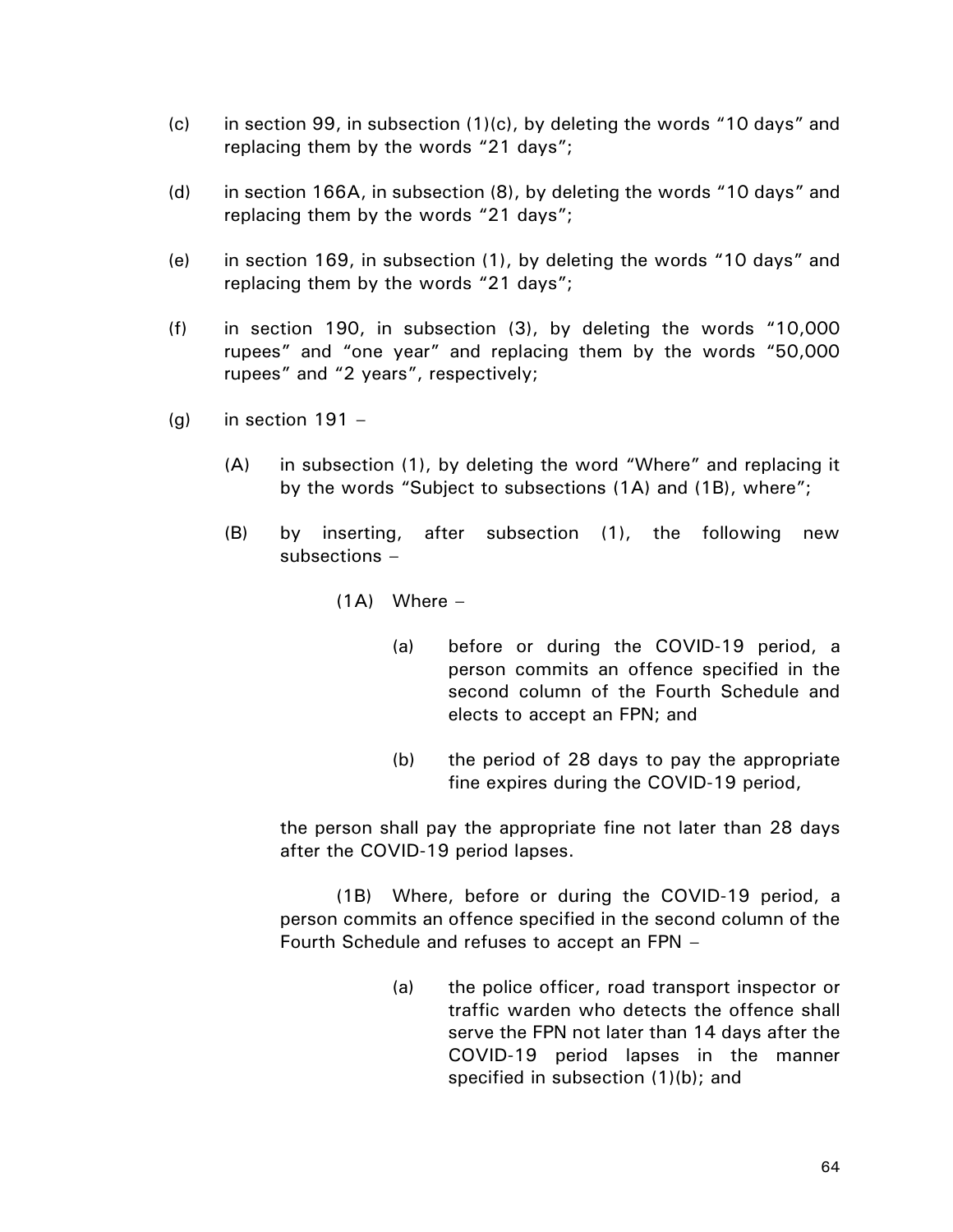- (c) in section 99, in subsection (1)(c), by deleting the words "10 days" and replacing them by the words "21 days";
- (d) in section 166A, in subsection (8), by deleting the words "10 days" and replacing them by the words "21 days";
- (e) in section 169, in subsection (1), by deleting the words "10 days" and replacing them by the words "21 days";
- (f) in section 190, in subsection (3), by deleting the words "10,000 rupees" and "one year" and replacing them by the words "50,000 rupees" and "2 years", respectively;
- $(g)$  in section 191
	- (A) in subsection (1), by deleting the word "Where" and replacing it by the words "Subject to subsections (1A) and (1B), where";
	- (B) by inserting, after subsection (1), the following new subsections –
		- $(1A)$  Where
			- (a) before or during the COVID-19 period, a person commits an offence specified in the second column of the Fourth Schedule and elects to accept an FPN; and
			- (b) the period of 28 days to pay the appropriate fine expires during the COVID-19 period,

the person shall pay the appropriate fine not later than 28 days after the COVID-19 period lapses.

(1B) Where, before or during the COVID-19 period, a person commits an offence specified in the second column of the Fourth Schedule and refuses to accept an FPN –

> (a) the police officer, road transport inspector or traffic warden who detects the offence shall serve the FPN not later than 14 days after the COVID-19 period lapses in the manner specified in subsection (1)(b); and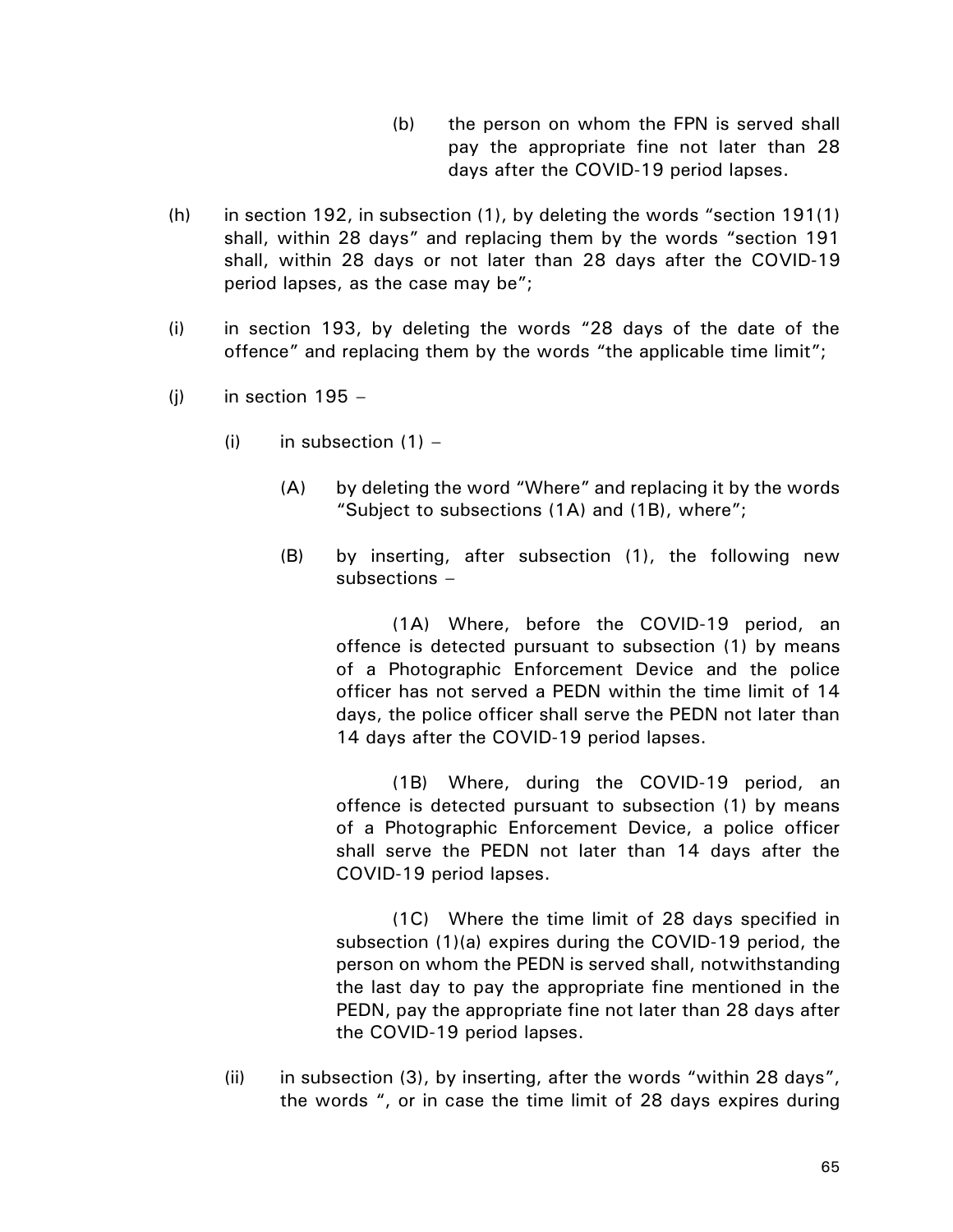- (b) the person on whom the FPN is served shall pay the appropriate fine not later than 28 days after the COVID-19 period lapses.
- (h) in section 192, in subsection (1), by deleting the words "section 191(1) shall, within 28 days" and replacing them by the words "section 191 shall, within 28 days or not later than 28 days after the COVID-19 period lapses, as the case may be";
- (i) in section 193, by deleting the words "28 days of the date of the offence" and replacing them by the words "the applicable time limit";
- $(i)$  in section 195
	- (i) in subsection  $(1)$ 
		- (A) by deleting the word "Where" and replacing it by the words "Subject to subsections (1A) and (1B), where";
		- (B) by inserting, after subsection (1), the following new subsections –

(1A) Where, before the COVID-19 period, an offence is detected pursuant to subsection (1) by means of a Photographic Enforcement Device and the police officer has not served a PEDN within the time limit of 14 days, the police officer shall serve the PEDN not later than 14 days after the COVID-19 period lapses.

(1B) Where, during the COVID-19 period, an offence is detected pursuant to subsection (1) by means of a Photographic Enforcement Device, a police officer shall serve the PEDN not later than 14 days after the COVID-19 period lapses.

(1C) Where the time limit of 28 days specified in subsection (1)(a) expires during the COVID-19 period, the person on whom the PEDN is served shall, notwithstanding the last day to pay the appropriate fine mentioned in the PEDN, pay the appropriate fine not later than 28 days after the COVID-19 period lapses.

(ii) in subsection (3), by inserting, after the words "within 28 days", the words ", or in case the time limit of 28 days expires during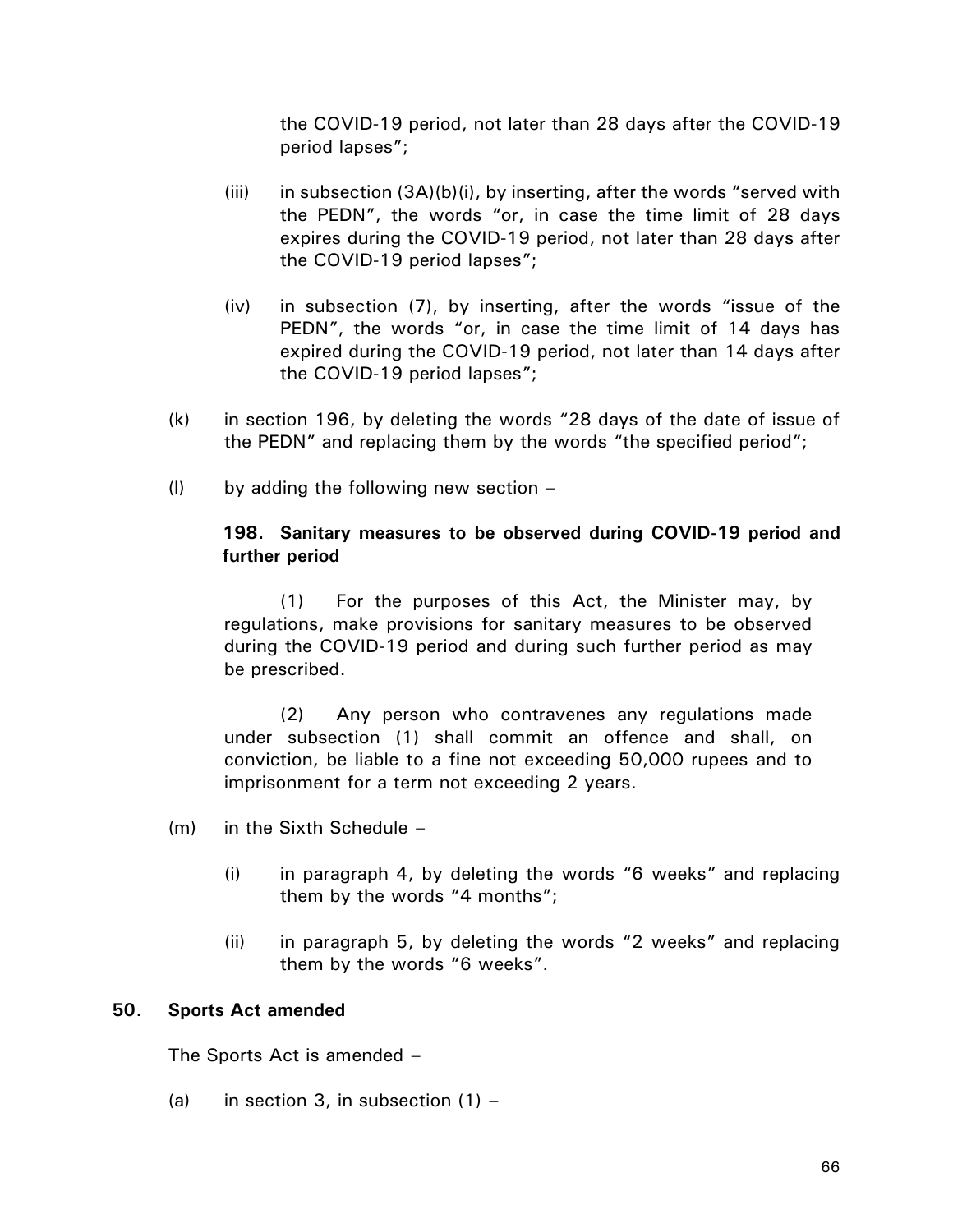the COVID-19 period, not later than 28 days after the COVID-19 period lapses";

- (iii) in subsection  $(3A)(b)(i)$ , by inserting, after the words "served with the PEDN", the words "or, in case the time limit of 28 days expires during the COVID-19 period, not later than 28 days after the COVID-19 period lapses";
- (iv) in subsection (7), by inserting, after the words "issue of the PEDN", the words "or, in case the time limit of 14 days has expired during the COVID-19 period, not later than 14 days after the COVID-19 period lapses";
- (k) in section 196, by deleting the words "28 days of the date of issue of the PEDN" and replacing them by the words "the specified period";
- $(1)$  by adding the following new section –

# **198. Sanitary measures to be observed during COVID-19 period and further period**

(1) For the purposes of this Act, the Minister may, by regulations, make provisions for sanitary measures to be observed during the COVID-19 period and during such further period as may be prescribed.

(2) Any person who contravenes any regulations made under subsection (1) shall commit an offence and shall, on conviction, be liable to a fine not exceeding 50,000 rupees and to imprisonment for a term not exceeding 2 years.

- (m) in the Sixth Schedule
	- (i) in paragraph 4, by deleting the words "6 weeks" and replacing them by the words "4 months";
	- (ii) in paragraph 5, by deleting the words "2 weeks" and replacing them by the words "6 weeks".

## **50. Sports Act amended**

The Sports Act is amended –

(a) in section 3, in subsection  $(1)$  –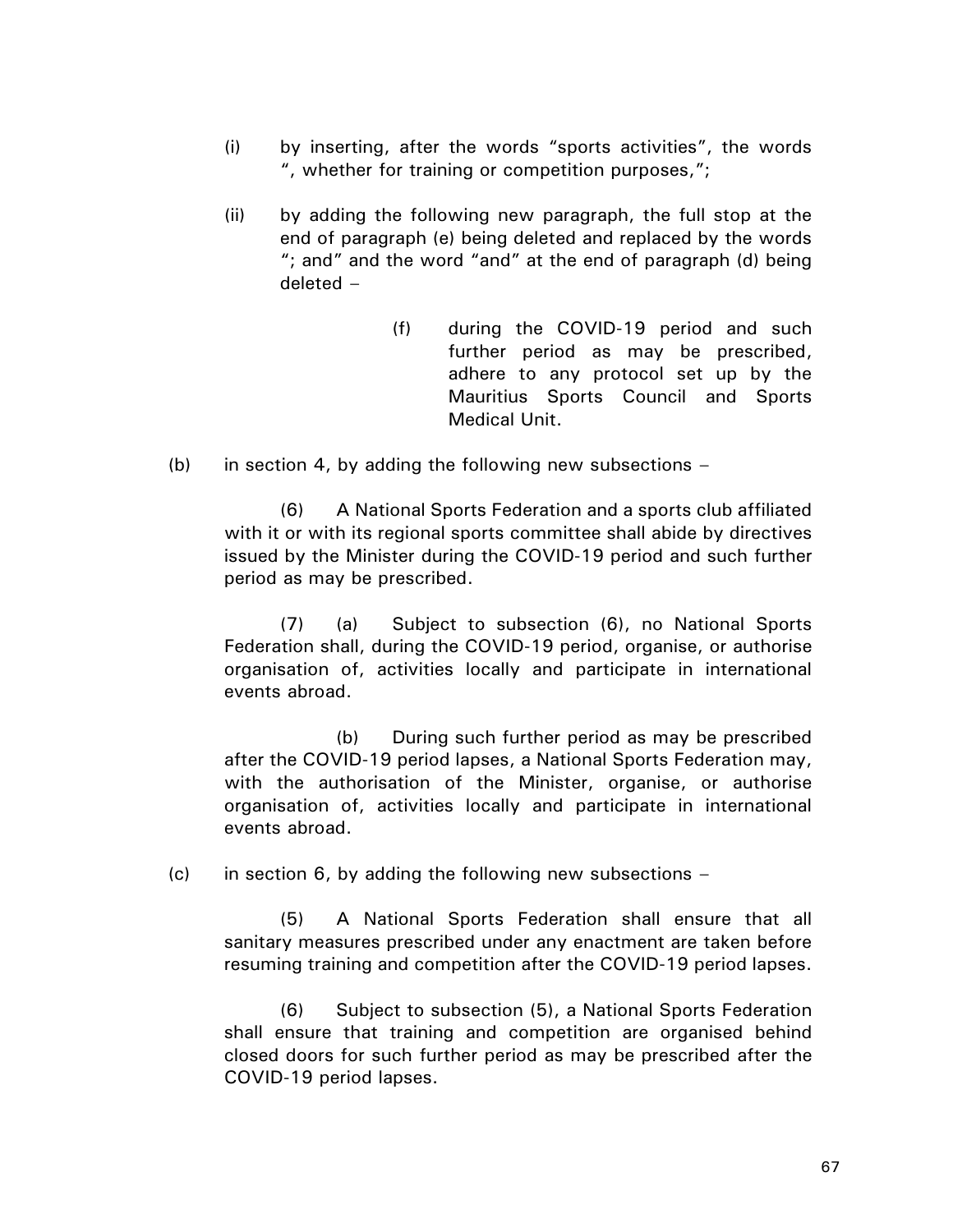- (i) by inserting, after the words "sports activities", the words ", whether for training or competition purposes,";
- (ii) by adding the following new paragraph, the full stop at the end of paragraph (e) being deleted and replaced by the words "; and" and the word "and" at the end of paragraph (d) being deleted –
	- (f) during the COVID-19 period and such further period as may be prescribed, adhere to any protocol set up by the Mauritius Sports Council and Sports Medical Unit.
- (b) in section 4, by adding the following new subsections  $-$

(6) A National Sports Federation and a sports club affiliated with it or with its regional sports committee shall abide by directives issued by the Minister during the COVID-19 period and such further period as may be prescribed.

(7) (a) Subject to subsection (6), no National Sports Federation shall, during the COVID-19 period, organise, or authorise organisation of, activities locally and participate in international events abroad.

(b) During such further period as may be prescribed after the COVID-19 period lapses, a National Sports Federation may, with the authorisation of the Minister, organise, or authorise organisation of, activities locally and participate in international events abroad.

(c) in section 6, by adding the following new subsections  $-$ 

(5) A National Sports Federation shall ensure that all sanitary measures prescribed under any enactment are taken before resuming training and competition after the COVID-19 period lapses.

(6) Subject to subsection (5), a National Sports Federation shall ensure that training and competition are organised behind closed doors for such further period as may be prescribed after the COVID-19 period lapses.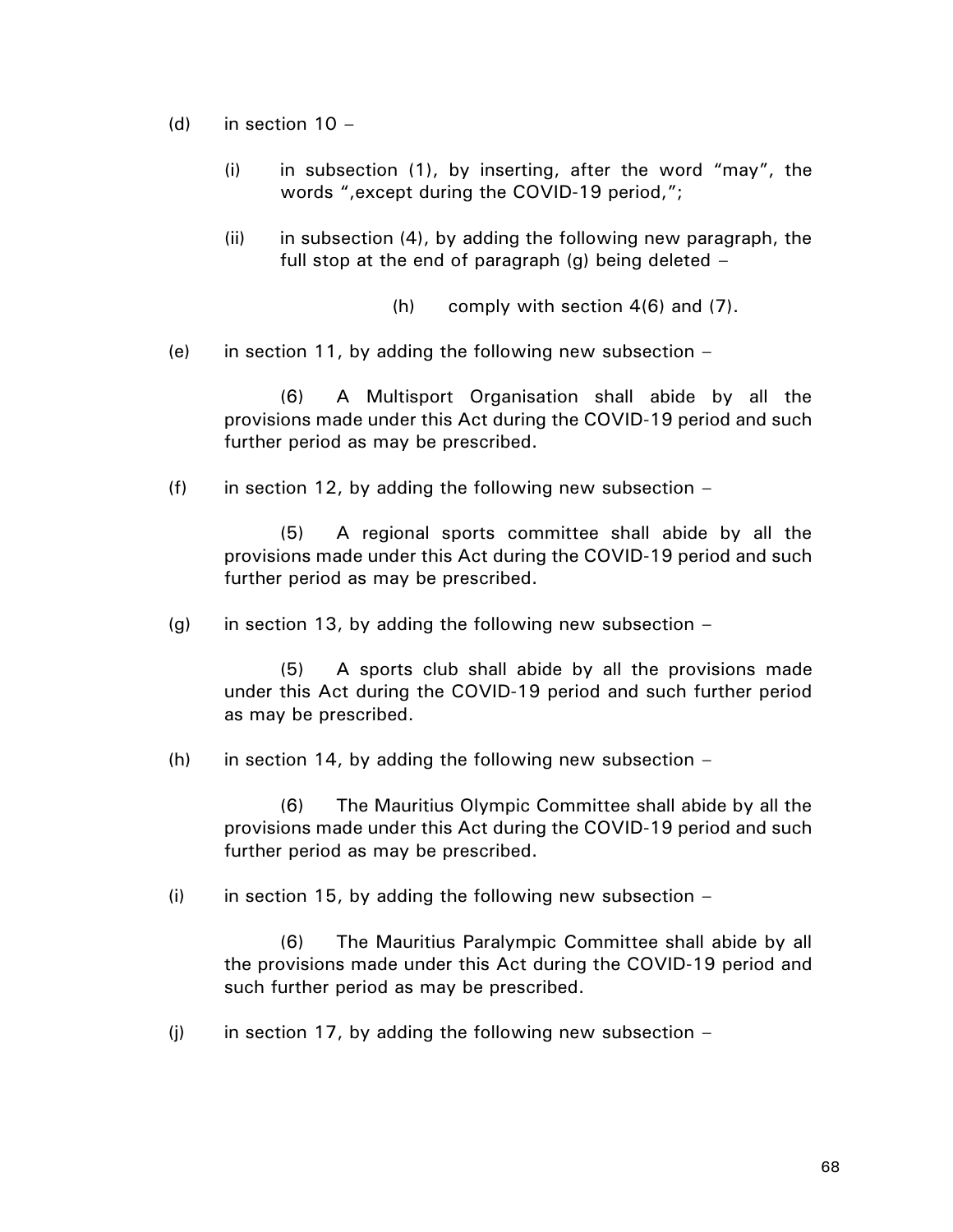- (d) in section  $10 -$ 
	- (i) in subsection (1), by inserting, after the word "may", the words ",except during the COVID-19 period,";
	- (ii) in subsection (4), by adding the following new paragraph, the full stop at the end of paragraph  $(q)$  being deleted  $-$

(h) comply with section 4(6) and (7).

(e) in section 11, by adding the following new subsection  $-$ 

(6) A Multisport Organisation shall abide by all the provisions made under this Act during the COVID-19 period and such further period as may be prescribed.

(f) in section 12, by adding the following new subsection  $-$ 

(5) A regional sports committee shall abide by all the provisions made under this Act during the COVID-19 period and such further period as may be prescribed.

(g) in section 13, by adding the following new subsection  $-$ 

(5) A sports club shall abide by all the provisions made under this Act during the COVID-19 period and such further period as may be prescribed.

(h) in section 14, by adding the following new subsection  $-$ 

(6) The Mauritius Olympic Committee shall abide by all the provisions made under this Act during the COVID-19 period and such further period as may be prescribed.

 $(i)$  in section 15, by adding the following new subsection –

(6) The Mauritius Paralympic Committee shall abide by all the provisions made under this Act during the COVID-19 period and such further period as may be prescribed.

(i) in section 17, by adding the following new subsection  $-$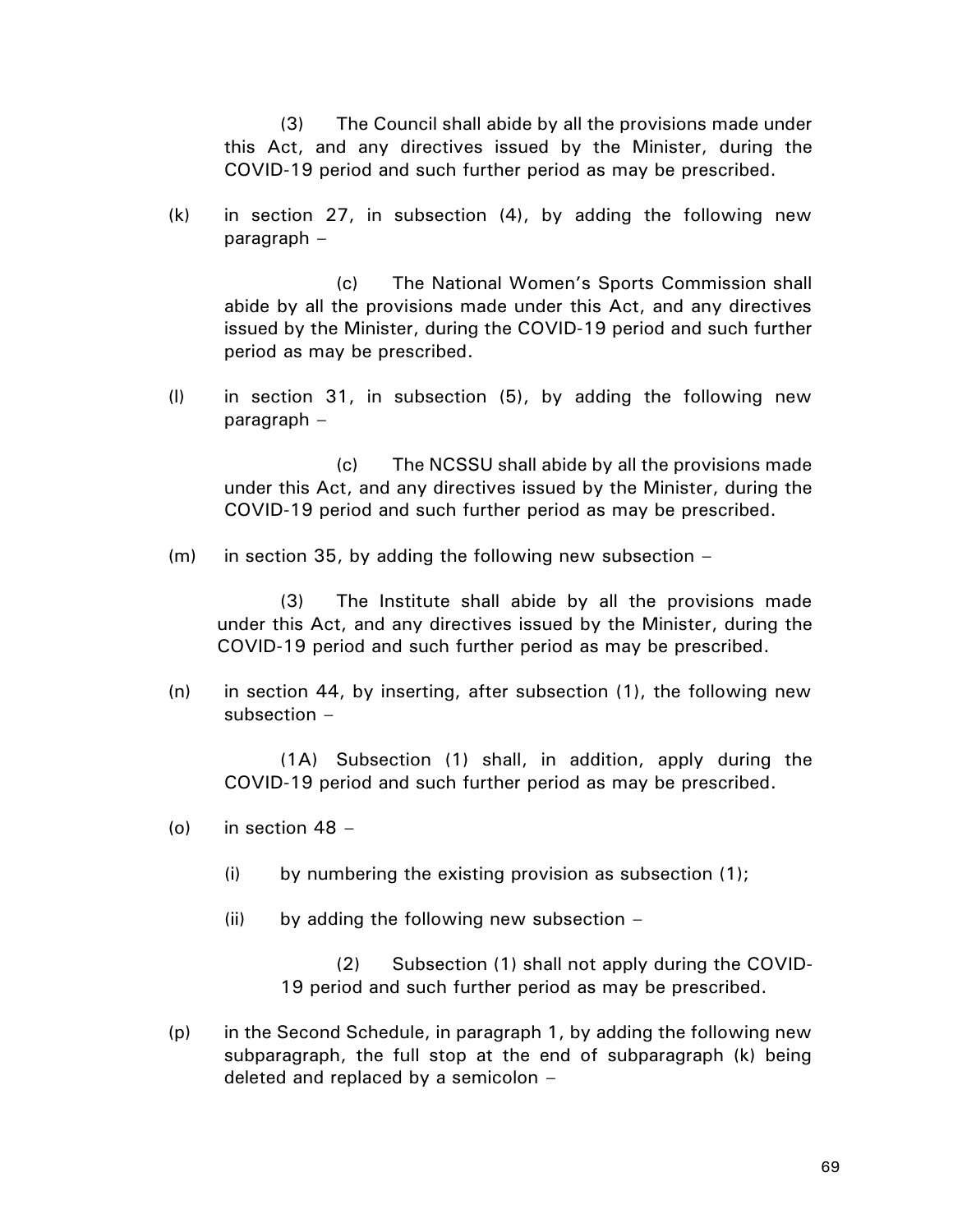(3) The Council shall abide by all the provisions made under this Act, and any directives issued by the Minister, during the COVID-19 period and such further period as may be prescribed.

(k) in section 27, in subsection (4), by adding the following new paragraph –

(c) The National Women's Sports Commission shall abide by all the provisions made under this Act, and any directives issued by the Minister, during the COVID-19 period and such further period as may be prescribed.

(l) in section 31, in subsection (5), by adding the following new paragraph –

(c) The NCSSU shall abide by all the provisions made under this Act, and any directives issued by the Minister, during the COVID-19 period and such further period as may be prescribed.

(m) in section 35, by adding the following new subsection –

(3) The Institute shall abide by all the provisions made under this Act, and any directives issued by the Minister, during the COVID-19 period and such further period as may be prescribed.

(n) in section 44, by inserting, after subsection (1), the following new subsection –

(1A) Subsection (1) shall, in addition, apply during the COVID-19 period and such further period as may be prescribed.

- (o) in section  $48 -$ 
	- $(i)$  by numbering the existing provision as subsection  $(1)$ ;
	- $(ii)$  by adding the following new subsection  $-i$

(2) Subsection (1) shall not apply during the COVID-19 period and such further period as may be prescribed.

(p) in the Second Schedule, in paragraph 1, by adding the following new subparagraph, the full stop at the end of subparagraph (k) being deleted and replaced by a semicolon –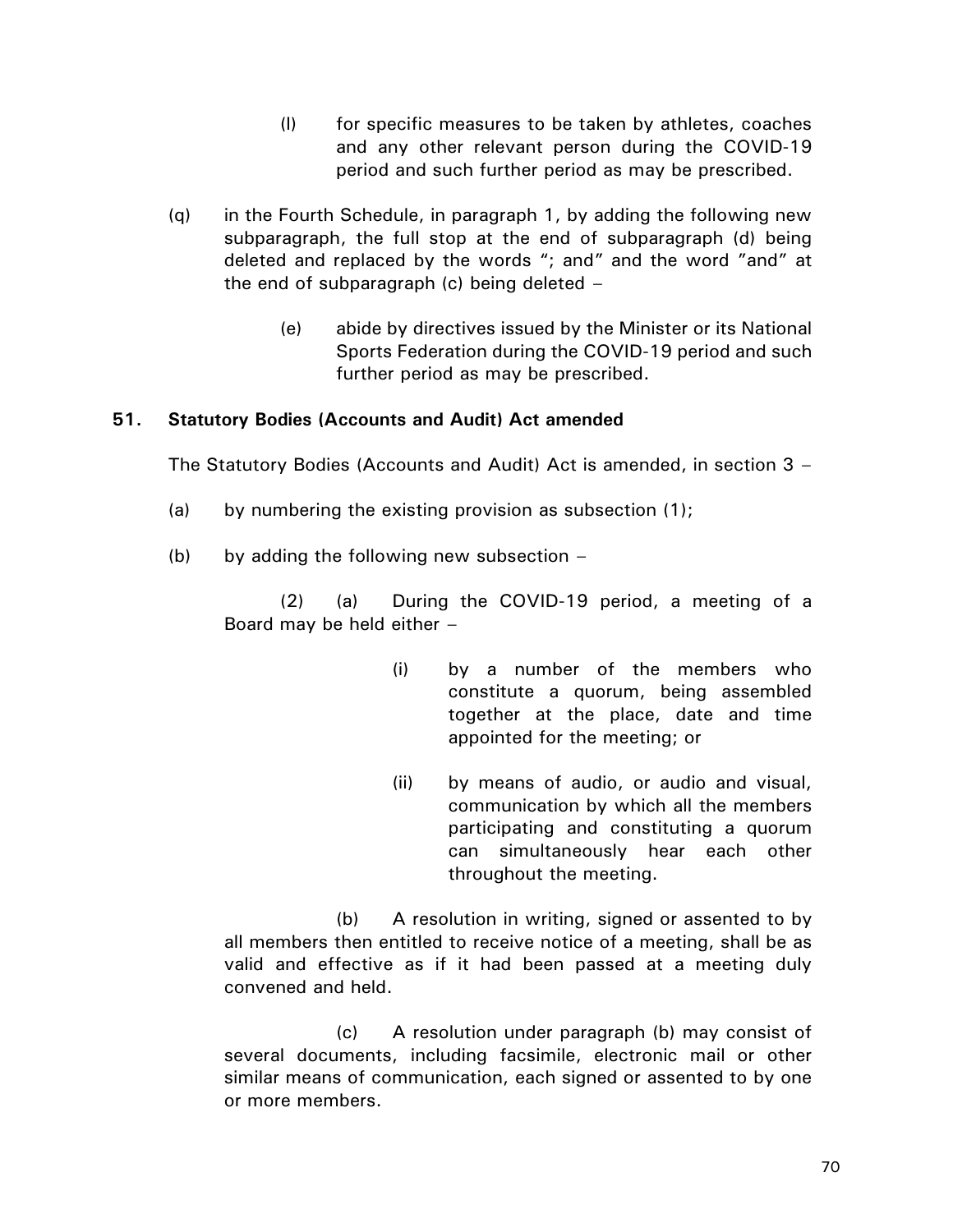- (l) for specific measures to be taken by athletes, coaches and any other relevant person during the COVID-19 period and such further period as may be prescribed.
- (q) in the Fourth Schedule, in paragraph 1, by adding the following new subparagraph, the full stop at the end of subparagraph (d) being deleted and replaced by the words "; and" and the word "and" at the end of subparagraph (c) being deleted –
	- (e) abide by directives issued by the Minister or its National Sports Federation during the COVID-19 period and such further period as may be prescribed.

# **51. Statutory Bodies (Accounts and Audit) Act amended**

The Statutory Bodies (Accounts and Audit) Act is amended, in section 3 –

- (a) by numbering the existing provision as subsection (1);
- (b) by adding the following new subsection  $-$

(2) (a) During the COVID-19 period, a meeting of a Board may be held either –

- (i) by a number of the members who constitute a quorum, being assembled together at the place, date and time appointed for the meeting; or
- (ii) by means of audio, or audio and visual, communication by which all the members participating and constituting a quorum can simultaneously hear each other throughout the meeting.

(b) A resolution in writing, signed or assented to by all members then entitled to receive notice of a meeting, shall be as valid and effective as if it had been passed at a meeting duly convened and held.

(c) A resolution under paragraph (b) may consist of several documents, including facsimile, electronic mail or other similar means of communication, each signed or assented to by one or more members.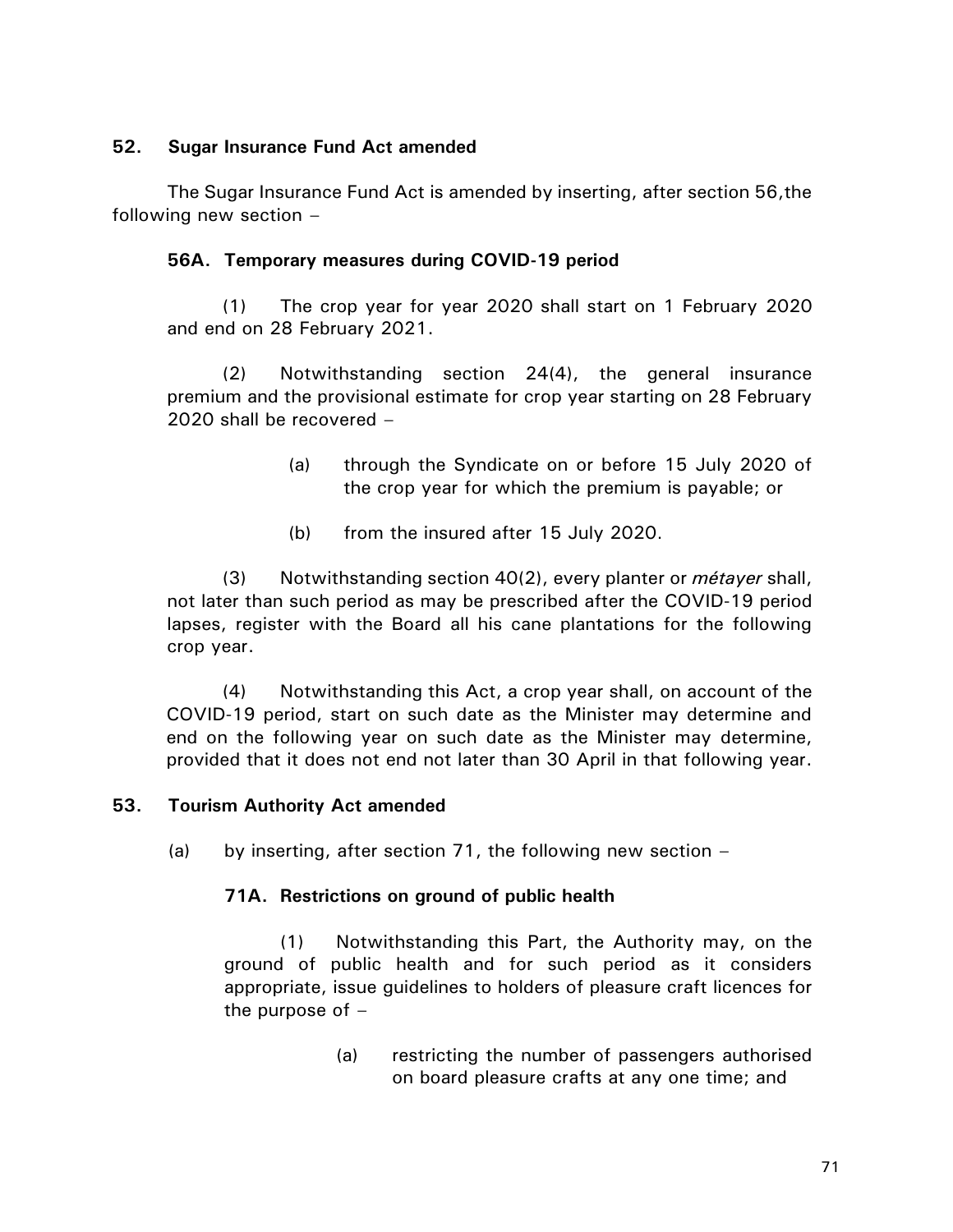## **52. Sugar Insurance Fund Act amended**

The Sugar Insurance Fund Act is amended by inserting, after section 56,the following new section –

## **56A. Temporary measures during COVID-19 period**

(1) The crop year for year 2020 shall start on 1 February 2020 and end on 28 February 2021.

(2) Notwithstanding section 24(4), the general insurance premium and the provisional estimate for crop year starting on 28 February 2020 shall be recovered –

- (a) through the Syndicate on or before 15 July 2020 of the crop year for which the premium is payable; or
- (b) from the insured after 15 July 2020.

(3) Notwithstanding section 40(2), every planter or *métayer* shall, not later than such period as may be prescribed after the COVID-19 period lapses, register with the Board all his cane plantations for the following crop year.

(4) Notwithstanding this Act, a crop year shall, on account of the COVID-19 period, start on such date as the Minister may determine and end on the following year on such date as the Minister may determine, provided that it does not end not later than 30 April in that following year.

## **53. Tourism Authority Act amended**

(a) by inserting, after section 71, the following new section  $-$ 

# **71A. Restrictions on ground of public health**

(1) Notwithstanding this Part, the Authority may, on the ground of public health and for such period as it considers appropriate, issue guidelines to holders of pleasure craft licences for the purpose of  $-$ 

> (a) restricting the number of passengers authorised on board pleasure crafts at any one time; and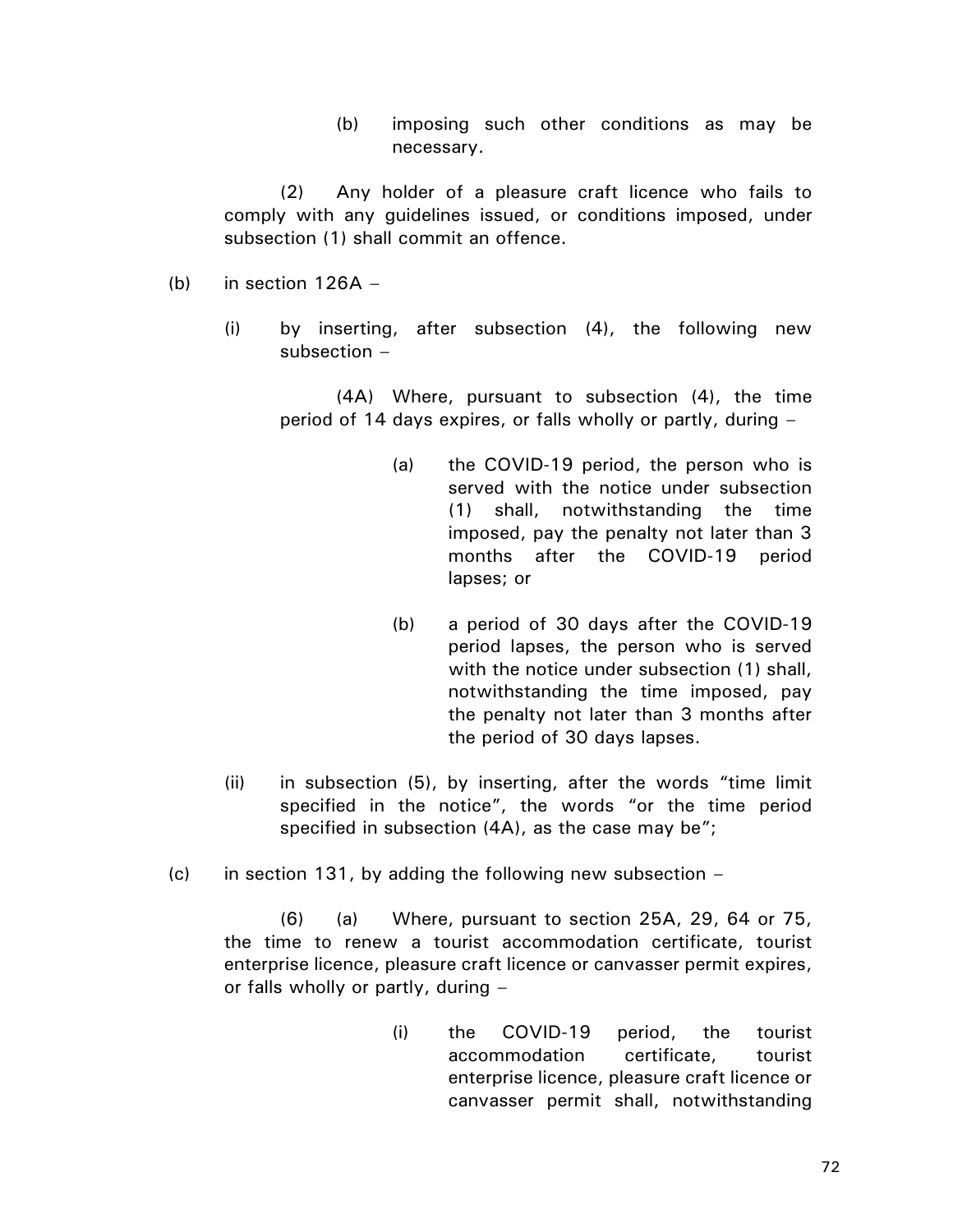(b) imposing such other conditions as may be necessary.

(2) Any holder of a pleasure craft licence who fails to comply with any guidelines issued, or conditions imposed, under subsection (1) shall commit an offence.

- (b) in section  $126A -$ 
	- (i) by inserting, after subsection (4), the following new subsection –

(4A) Where, pursuant to subsection (4), the time period of 14 days expires, or falls wholly or partly, during –

- (a) the COVID-19 period, the person who is served with the notice under subsection (1) shall, notwithstanding the time imposed, pay the penalty not later than 3 months after the COVID-19 period lapses; or
- (b) a period of 30 days after the COVID-19 period lapses, the person who is served with the notice under subsection (1) shall, notwithstanding the time imposed, pay the penalty not later than 3 months after the period of 30 days lapses.
- (ii) in subsection (5), by inserting, after the words "time limit specified in the notice", the words "or the time period specified in subsection (4A), as the case may be";
- (c) in section 131, by adding the following new subsection  $-$

(6) (a) Where, pursuant to section 25A, 29, 64 or 75, the time to renew a tourist accommodation certificate, tourist enterprise licence, pleasure craft licence or canvasser permit expires, or falls wholly or partly, during –

> (i) the COVID-19 period, the tourist accommodation certificate, tourist enterprise licence, pleasure craft licence or canvasser permit shall, notwithstanding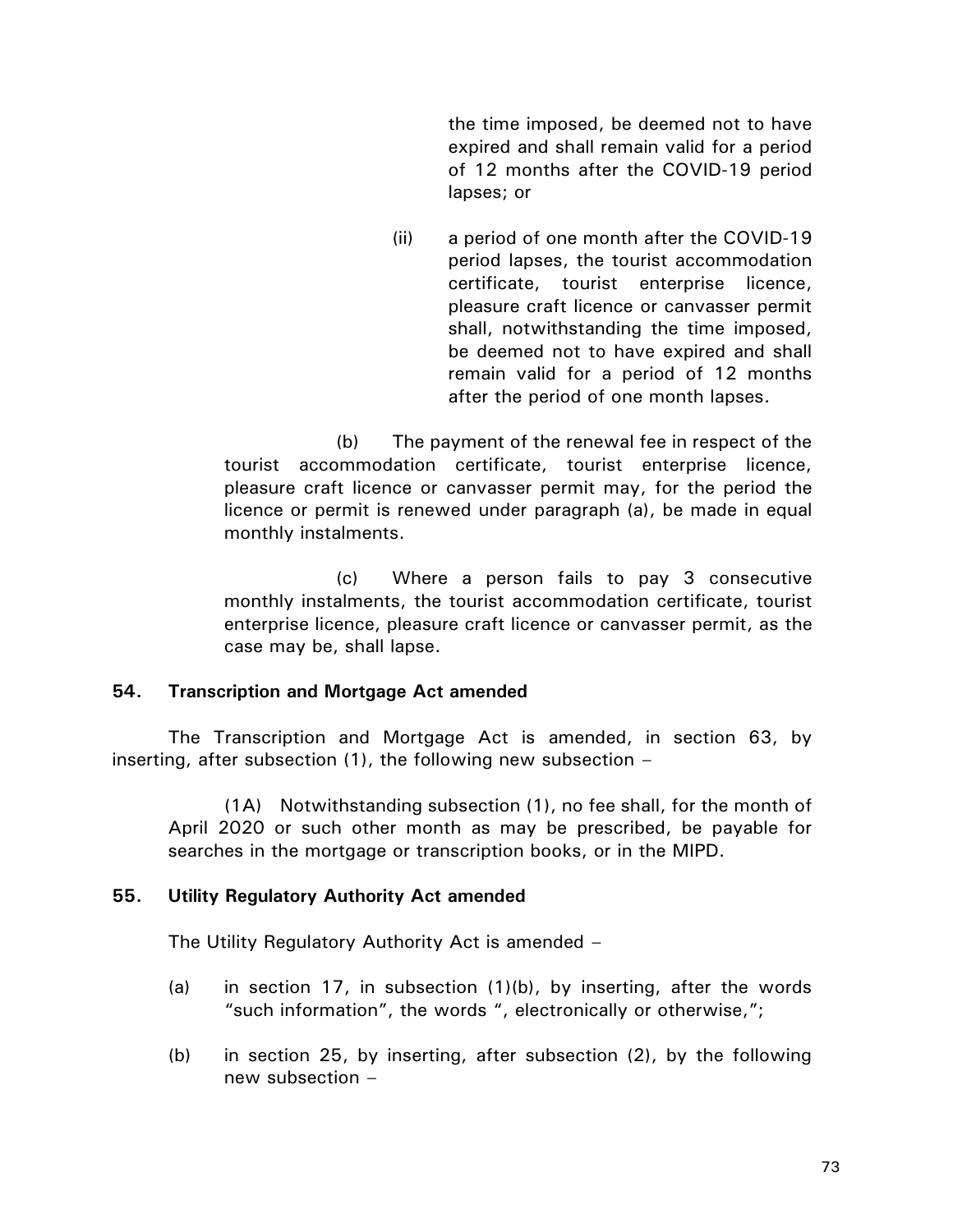the time imposed, be deemed not to have expired and shall remain valid for a period of 12 months after the COVID-19 period lapses; or

(ii) a period of one month after the COVID-19 period lapses, the tourist accommodation certificate, tourist enterprise licence, pleasure craft licence or canvasser permit shall, notwithstanding the time imposed, be deemed not to have expired and shall remain valid for a period of 12 months after the period of one month lapses.

(b) The payment of the renewal fee in respect of the tourist accommodation certificate, tourist enterprise licence, pleasure craft licence or canvasser permit may, for the period the licence or permit is renewed under paragraph (a), be made in equal monthly instalments.

(c) Where a person fails to pay 3 consecutive monthly instalments, the tourist accommodation certificate, tourist enterprise licence, pleasure craft licence or canvasser permit, as the case may be, shall lapse.

#### **54. Transcription and Mortgage Act amended**

The Transcription and Mortgage Act is amended, in section 63, by inserting, after subsection (1), the following new subsection –

(1A) Notwithstanding subsection (1), no fee shall, for the month of April 2020 or such other month as may be prescribed, be payable for searches in the mortgage or transcription books, or in the MIPD.

## **55. Utility Regulatory Authority Act amended**

The Utility Regulatory Authority Act is amended –

- (a) in section 17, in subsection (1)(b), by inserting, after the words "such information", the words ", electronically or otherwise,";
- (b) in section 25, by inserting, after subsection (2), by the following new subsection –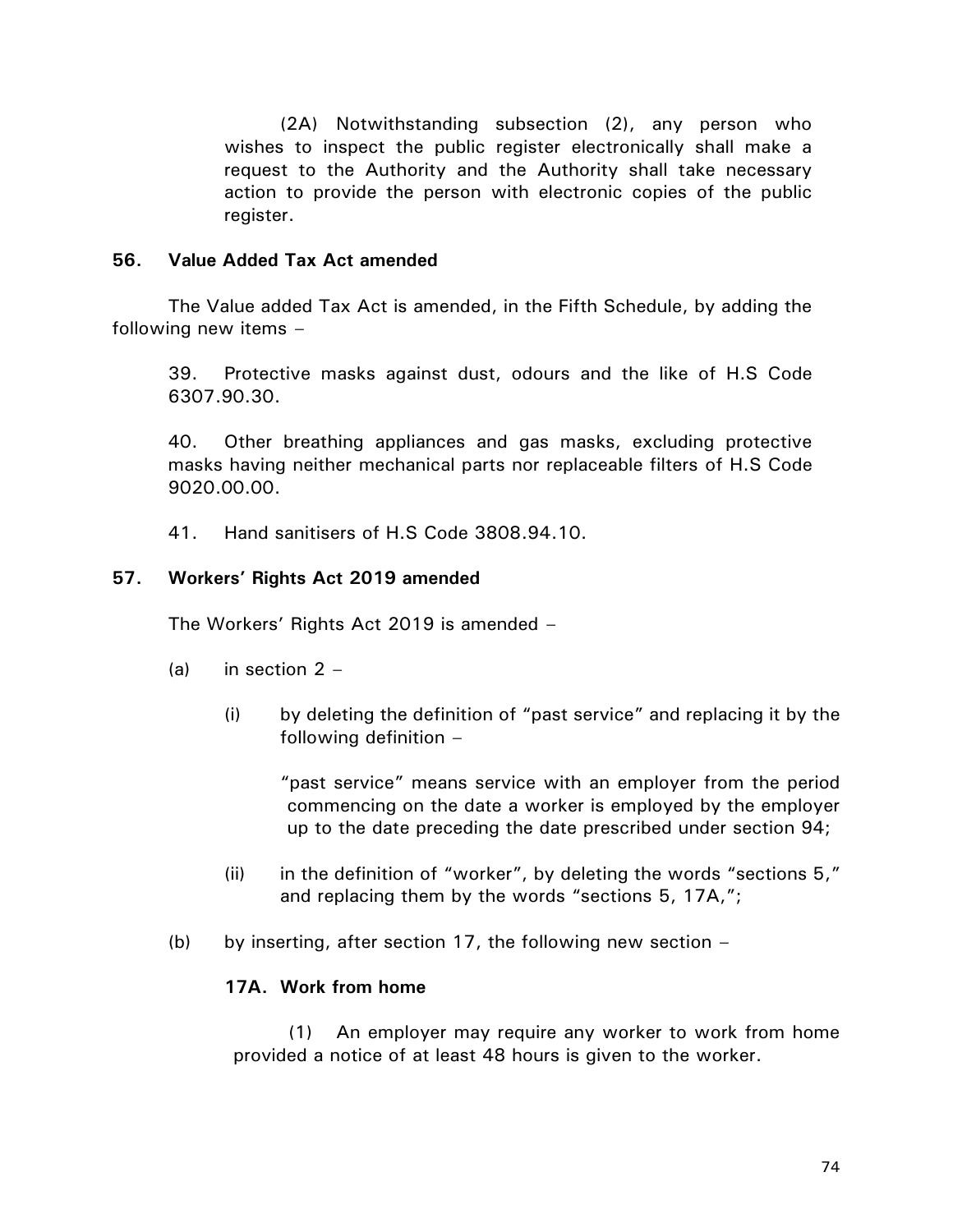(2A) Notwithstanding subsection (2), any person who wishes to inspect the public register electronically shall make a request to the Authority and the Authority shall take necessary action to provide the person with electronic copies of the public register.

## **56. Value Added Tax Act amended**

The Value added Tax Act is amended, in the Fifth Schedule, by adding the following new items –

39. Protective masks against dust, odours and the like of H.S Code 6307.90.30.

40. Other breathing appliances and gas masks, excluding protective masks having neither mechanical parts nor replaceable filters of H.S Code 9020.00.00.

41. Hand sanitisers of H.S Code 3808.94.10.

## **57. Workers' Rights Act 2019 amended**

The Workers' Rights Act 2019 is amended –

- (a) in section  $2 -$ 
	- (i) by deleting the definition of "past service" and replacing it by the following definition –

"past service" means service with an employer from the period commencing on the date a worker is employed by the employer up to the date preceding the date prescribed under section 94;

- (ii) in the definition of "worker", by deleting the words "sections  $5$ ," and replacing them by the words "sections 5, 17A,";
- (b) by inserting, after section 17, the following new section  $-$

## **17A. Work from home**

(1) An employer may require any worker to work from home provided a notice of at least 48 hours is given to the worker.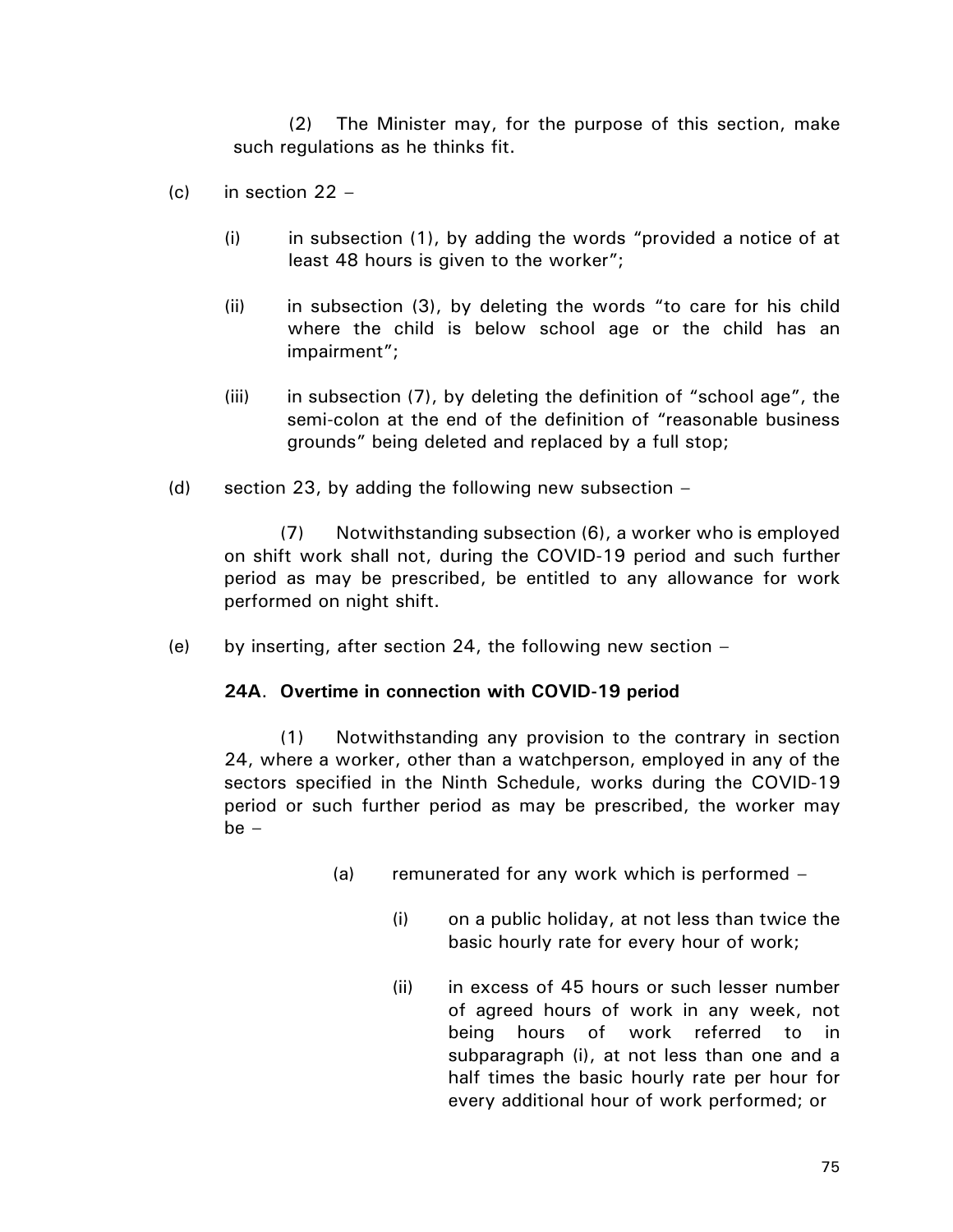(2) The Minister may, for the purpose of this section, make such regulations as he thinks fit.

- $(c)$  in section 22
	- (i) in subsection (1), by adding the words "provided a notice of at least 48 hours is given to the worker";
	- (ii) in subsection (3), by deleting the words "to care for his child where the child is below school age or the child has an impairment";
	- (iii) in subsection (7), by deleting the definition of "school age", the semi-colon at the end of the definition of "reasonable business grounds" being deleted and replaced by a full stop;
- (d) section 23, by adding the following new subsection –

(7) Notwithstanding subsection (6), a worker who is employed on shift work shall not, during the COVID-19 period and such further period as may be prescribed, be entitled to any allowance for work performed on night shift.

(e) by inserting, after section 24, the following new section  $-$ 

#### **24A**. **Overtime in connection with COVID-19 period**

(1) Notwithstanding any provision to the contrary in section 24, where a worker, other than a watchperson, employed in any of the sectors specified in the Ninth Schedule, works during the COVID-19 period or such further period as may be prescribed, the worker may  $be -$ 

- (a) remunerated for any work which is performed
	- (i) on a public holiday, at not less than twice the basic hourly rate for every hour of work;
	- (ii) in excess of 45 hours or such lesser number of agreed hours of work in any week, not being hours of work referred to in subparagraph (i), at not less than one and a half times the basic hourly rate per hour for every additional hour of work performed; or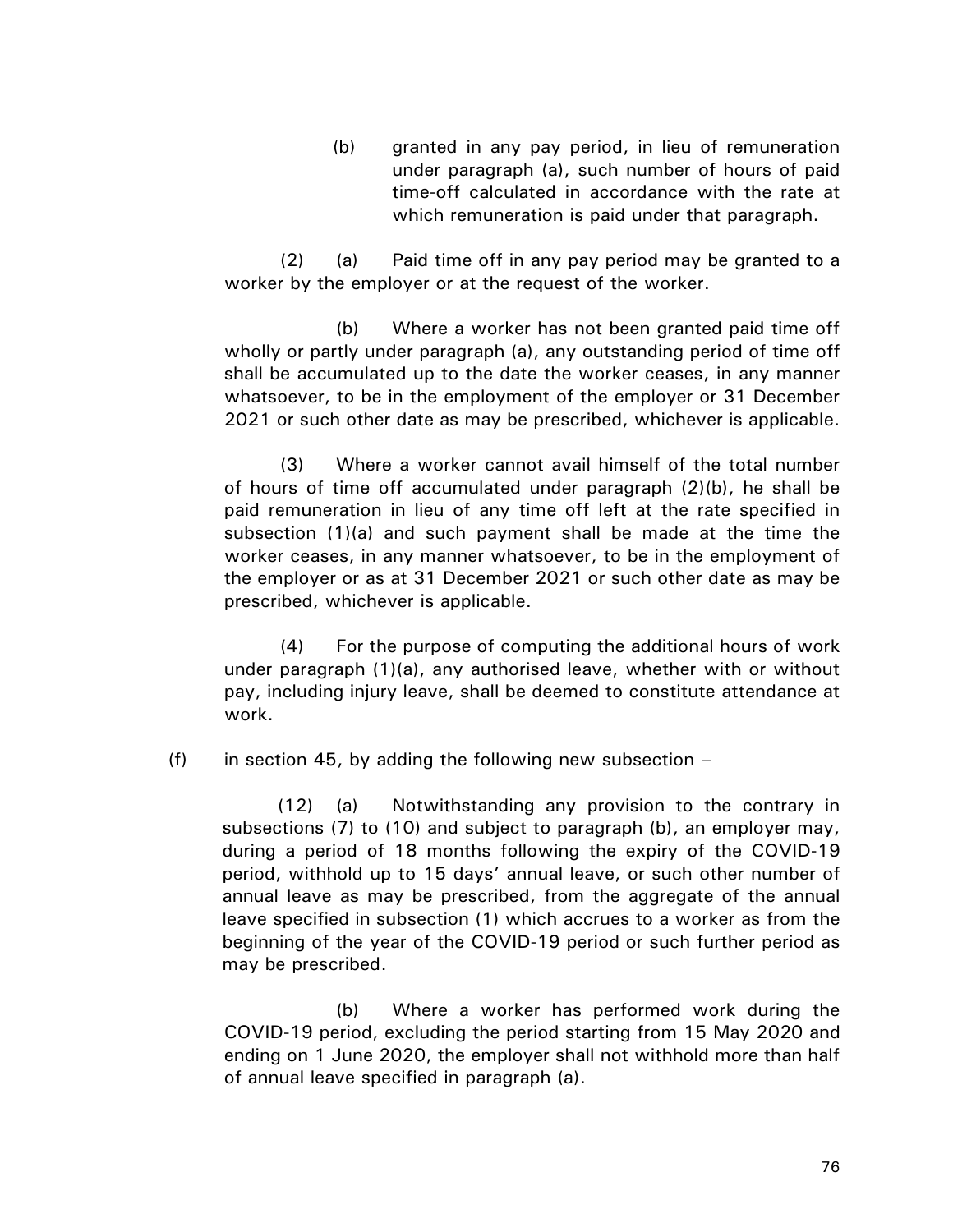(b) granted in any pay period, in lieu of remuneration under paragraph (a), such number of hours of paid time-off calculated in accordance with the rate at which remuneration is paid under that paragraph.

(2) (a) Paid time off in any pay period may be granted to a worker by the employer or at the request of the worker.

(b) Where a worker has not been granted paid time off wholly or partly under paragraph (a), any outstanding period of time off shall be accumulated up to the date the worker ceases, in any manner whatsoever, to be in the employment of the employer or 31 December 2021 or such other date as may be prescribed, whichever is applicable.

(3) Where a worker cannot avail himself of the total number of hours of time off accumulated under paragraph (2)(b), he shall be paid remuneration in lieu of any time off left at the rate specified in subsection (1)(a) and such payment shall be made at the time the worker ceases, in any manner whatsoever, to be in the employment of the employer or as at 31 December 2021 or such other date as may be prescribed, whichever is applicable.

(4) For the purpose of computing the additional hours of work under paragraph (1)(a), any authorised leave, whether with or without pay, including injury leave, shall be deemed to constitute attendance at work.

(f) in section 45, by adding the following new subsection  $-$ 

(12) (a) Notwithstanding any provision to the contrary in subsections (7) to (10) and subject to paragraph (b), an employer may, during a period of 18 months following the expiry of the COVID-19 period, withhold up to 15 days' annual leave, or such other number of annual leave as may be prescribed, from the aggregate of the annual leave specified in subsection (1) which accrues to a worker as from the beginning of the year of the COVID-19 period or such further period as may be prescribed.

(b) Where a worker has performed work during the COVID-19 period, excluding the period starting from 15 May 2020 and ending on 1 June 2020, the employer shall not withhold more than half of annual leave specified in paragraph (a).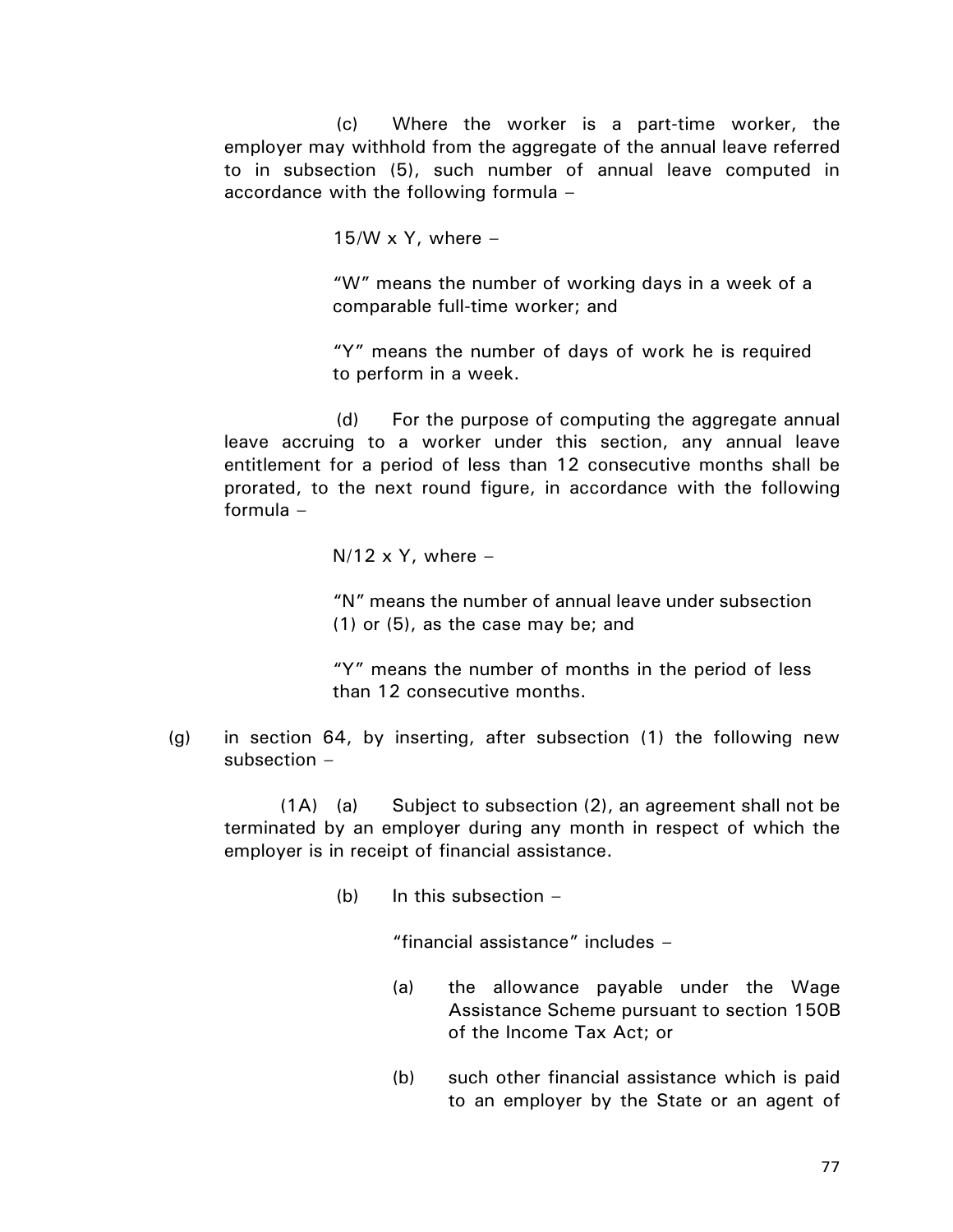(c) Where the worker is a part-time worker, the employer may withhold from the aggregate of the annual leave referred to in subsection (5), such number of annual leave computed in accordance with the following formula –

15/W x Y, where  $-$ 

"W" means the number of working days in a week of a comparable full-time worker; and

"Y" means the number of days of work he is required to perform in a week.

(d) For the purpose of computing the aggregate annual leave accruing to a worker under this section, any annual leave entitlement for a period of less than 12 consecutive months shall be prorated, to the next round figure, in accordance with the following formula –

 $N/12 \times Y$ , where –

"N" means the number of annual leave under subsection (1) or (5), as the case may be; and

"Y" means the number of months in the period of less than 12 consecutive months.

(g) in section 64, by inserting, after subsection (1) the following new subsection –

(1A) (a) Subject to subsection (2), an agreement shall not be terminated by an employer during any month in respect of which the employer is in receipt of financial assistance.

(b) In this subsection  $-$ 

"financial assistance" includes –

- (a) the allowance payable under the Wage Assistance Scheme pursuant to section 150B of the Income Tax Act; or
- (b) such other financial assistance which is paid to an employer by the State or an agent of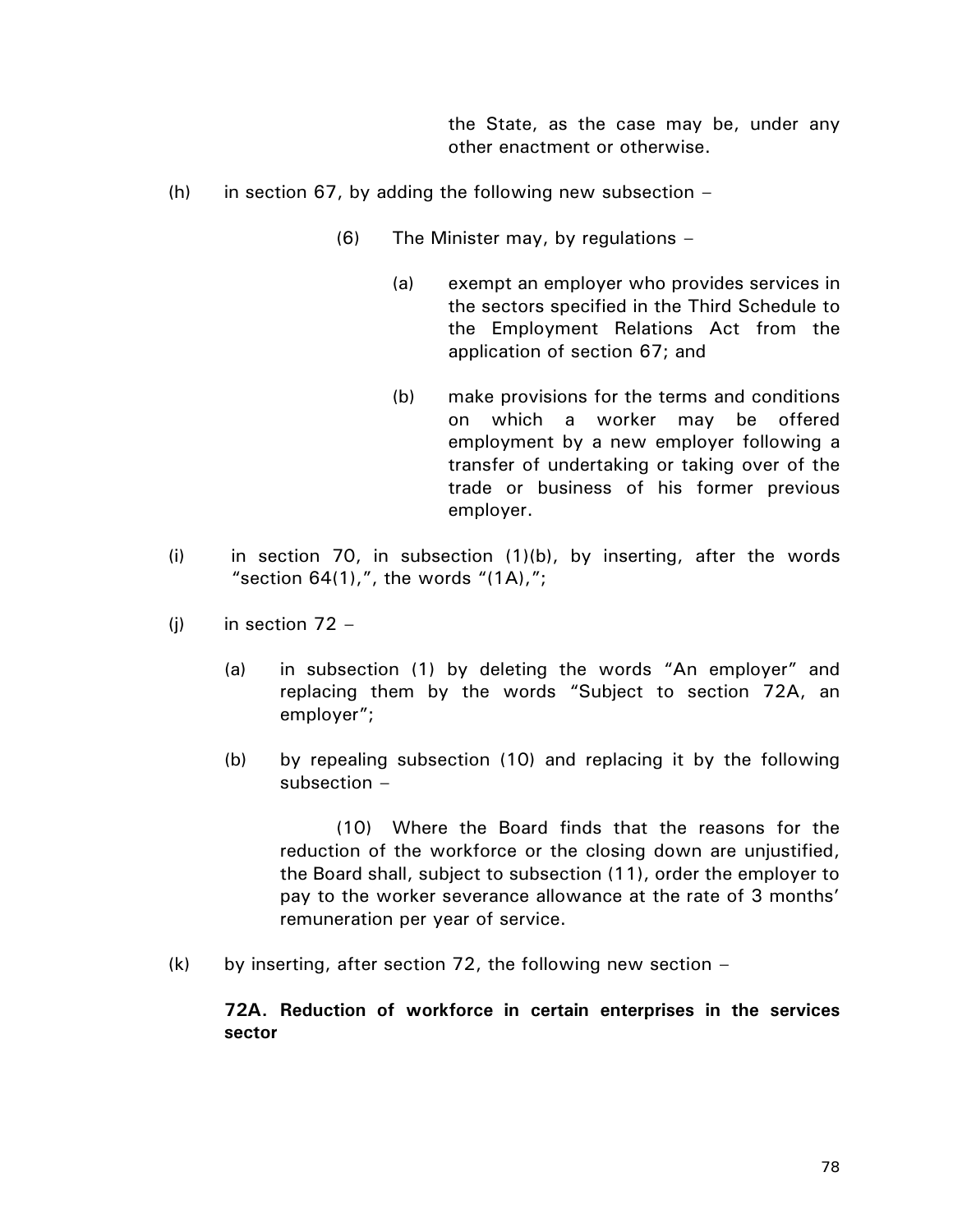the State, as the case may be, under any other enactment or otherwise.

- (h) in section 67, by adding the following new subsection  $-$ 
	- (6) The Minister may, by regulations
		- (a) exempt an employer who provides services in the sectors specified in the Third Schedule to the Employment Relations Act from the application of section 67; and
		- (b) make provisions for the terms and conditions on which a worker may be offered employment by a new employer following a transfer of undertaking or taking over of the trade or business of his former previous employer.
- (i) in section 70, in subsection  $(1)(b)$ , by inserting, after the words "section  $64(1)$ ,", the words " $(1A)$ ,";
- (j) in section  $72 -$ 
	- (a) in subsection (1) by deleting the words "An employer" and replacing them by the words "Subject to section 72A, an employer";
	- (b) by repealing subsection (10) and replacing it by the following subsection –

(10) Where the Board finds that the reasons for the reduction of the workforce or the closing down are unjustified, the Board shall, subject to subsection (11), order the employer to pay to the worker severance allowance at the rate of 3 months' remuneration per year of service.

 $(k)$  by inserting, after section 72, the following new section –

**72A. Reduction of workforce in certain enterprises in the services sector**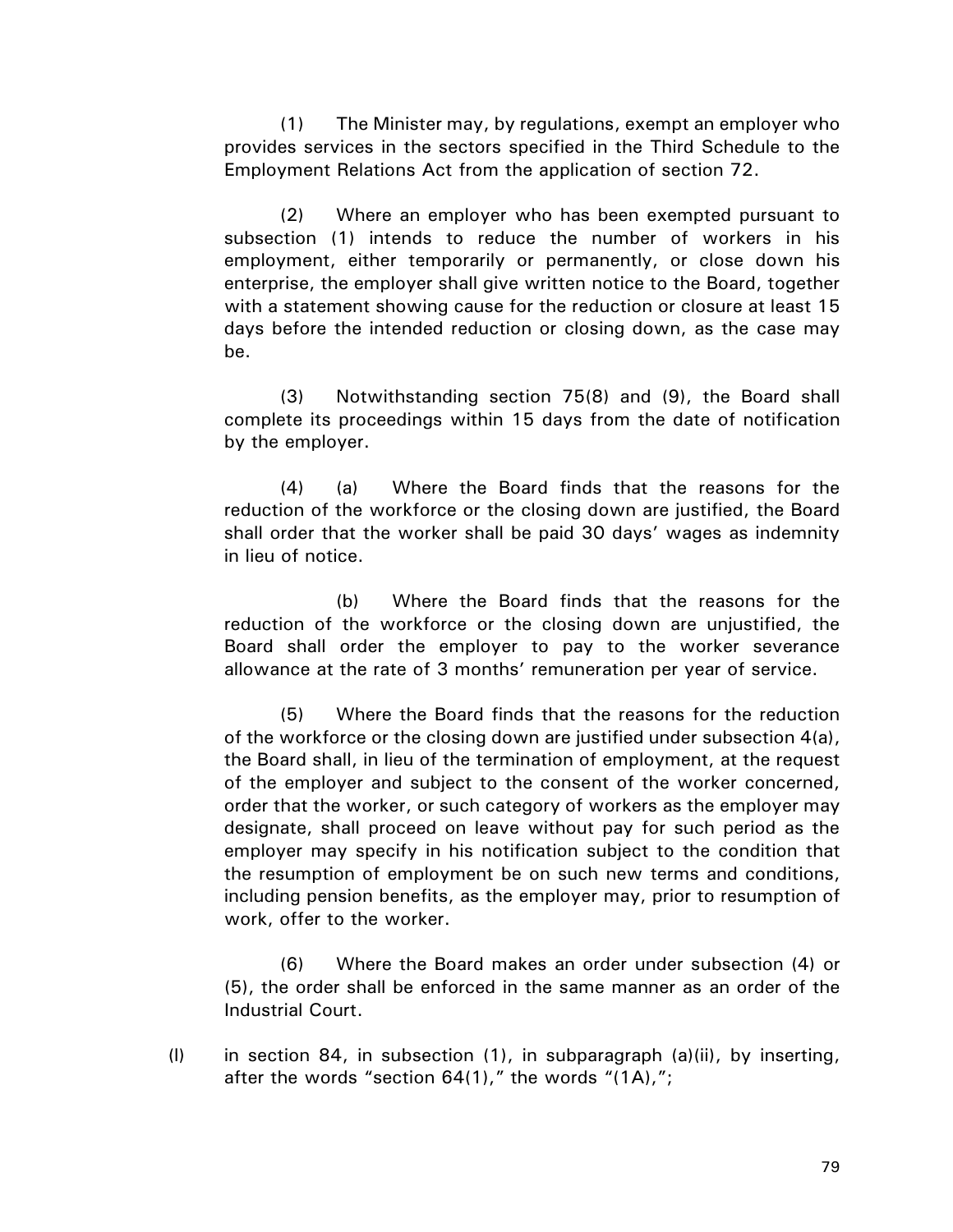(1) The Minister may, by regulations, exempt an employer who provides services in the sectors specified in the Third Schedule to the Employment Relations Act from the application of section 72.

(2) Where an employer who has been exempted pursuant to subsection (1) intends to reduce the number of workers in his employment, either temporarily or permanently, or close down his enterprise, the employer shall give written notice to the Board, together with a statement showing cause for the reduction or closure at least 15 days before the intended reduction or closing down, as the case may be.

(3) Notwithstanding section 75(8) and (9), the Board shall complete its proceedings within 15 days from the date of notification by the employer.

(4) (a) Where the Board finds that the reasons for the reduction of the workforce or the closing down are justified, the Board shall order that the worker shall be paid 30 days' wages as indemnity in lieu of notice.

(b) Where the Board finds that the reasons for the reduction of the workforce or the closing down are unjustified, the Board shall order the employer to pay to the worker severance allowance at the rate of 3 months' remuneration per year of service.

(5) Where the Board finds that the reasons for the reduction of the workforce or the closing down are justified under subsection 4(a), the Board shall, in lieu of the termination of employment, at the request of the employer and subject to the consent of the worker concerned, order that the worker, or such category of workers as the employer may designate, shall proceed on leave without pay for such period as the employer may specify in his notification subject to the condition that the resumption of employment be on such new terms and conditions, including pension benefits, as the employer may, prior to resumption of work, offer to the worker.

(6) Where the Board makes an order under subsection (4) or (5), the order shall be enforced in the same manner as an order of the Industrial Court.

(l) in section 84, in subsection (1), in subparagraph (a)(ii), by inserting, after the words "section  $64(1)$ ," the words " $(1)$ ,";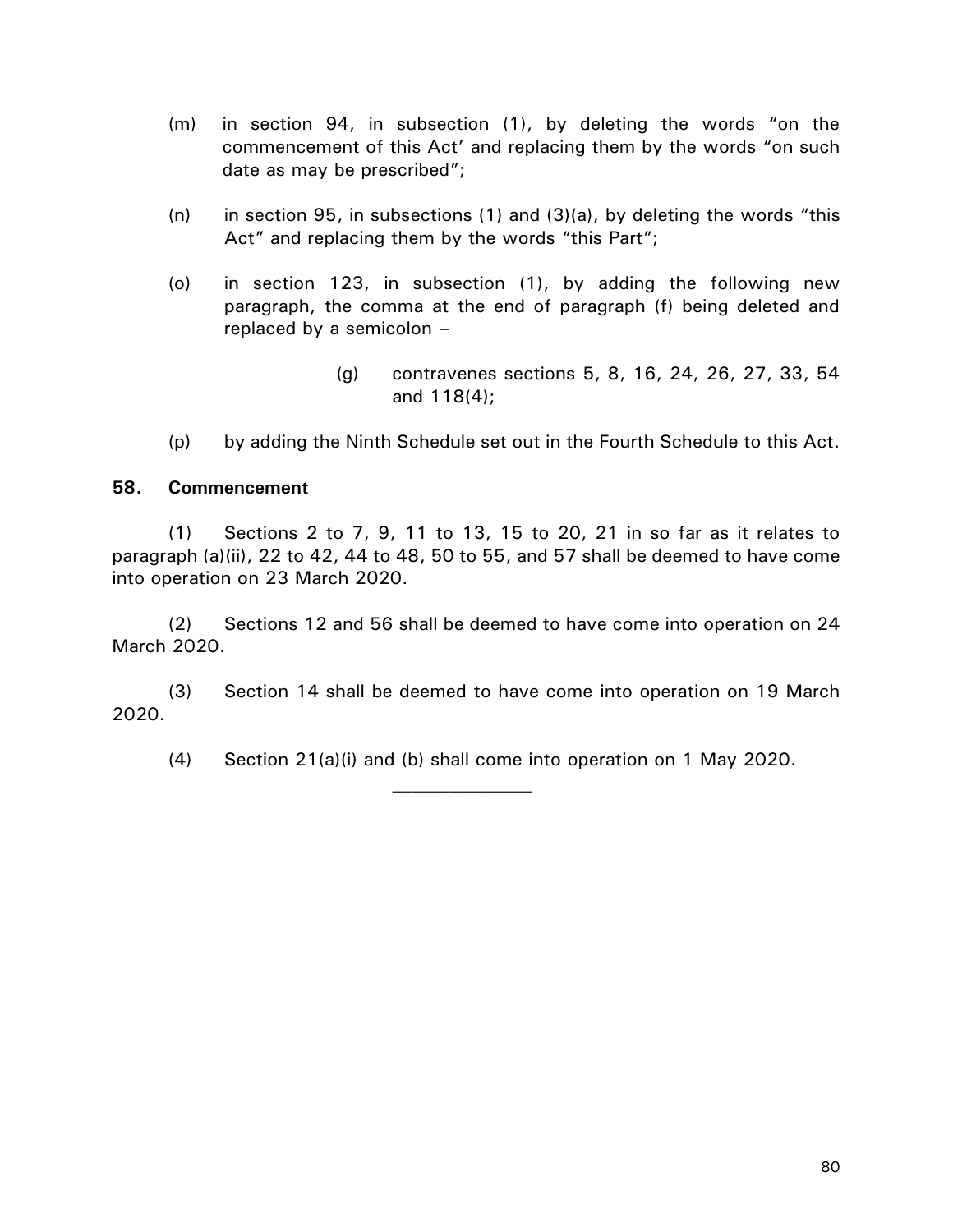- (m) in section 94, in subsection (1), by deleting the words "on the commencement of this Act' and replacing them by the words "on such date as may be prescribed";
- (n) in section 95, in subsections (1) and (3)(a), by deleting the words "this Act" and replacing them by the words "this Part";
- (o) in section 123, in subsection (1), by adding the following new paragraph, the comma at the end of paragraph (f) being deleted and replaced by a semicolon –
	- (g) contravenes sections 5, 8, 16, 24, 26, 27, 33, 54 and 118(4);
- (p) by adding the Ninth Schedule set out in the Fourth Schedule to this Act.

## **58. Commencement**

(1) Sections 2 to 7, 9, 11 to 13, 15 to 20, 21 in so far as it relates to paragraph (a)(ii), 22 to 42, 44 to 48, 50 to 55, and 57 shall be deemed to have come into operation on 23 March 2020.

(2) Sections 12 and 56 shall be deemed to have come into operation on 24 March 2020.

(3) Section 14 shall be deemed to have come into operation on 19 March 2020.

(4) Section 21(a)(i) and (b) shall come into operation on 1 May 2020.

 $\mathcal{L}_\text{max}$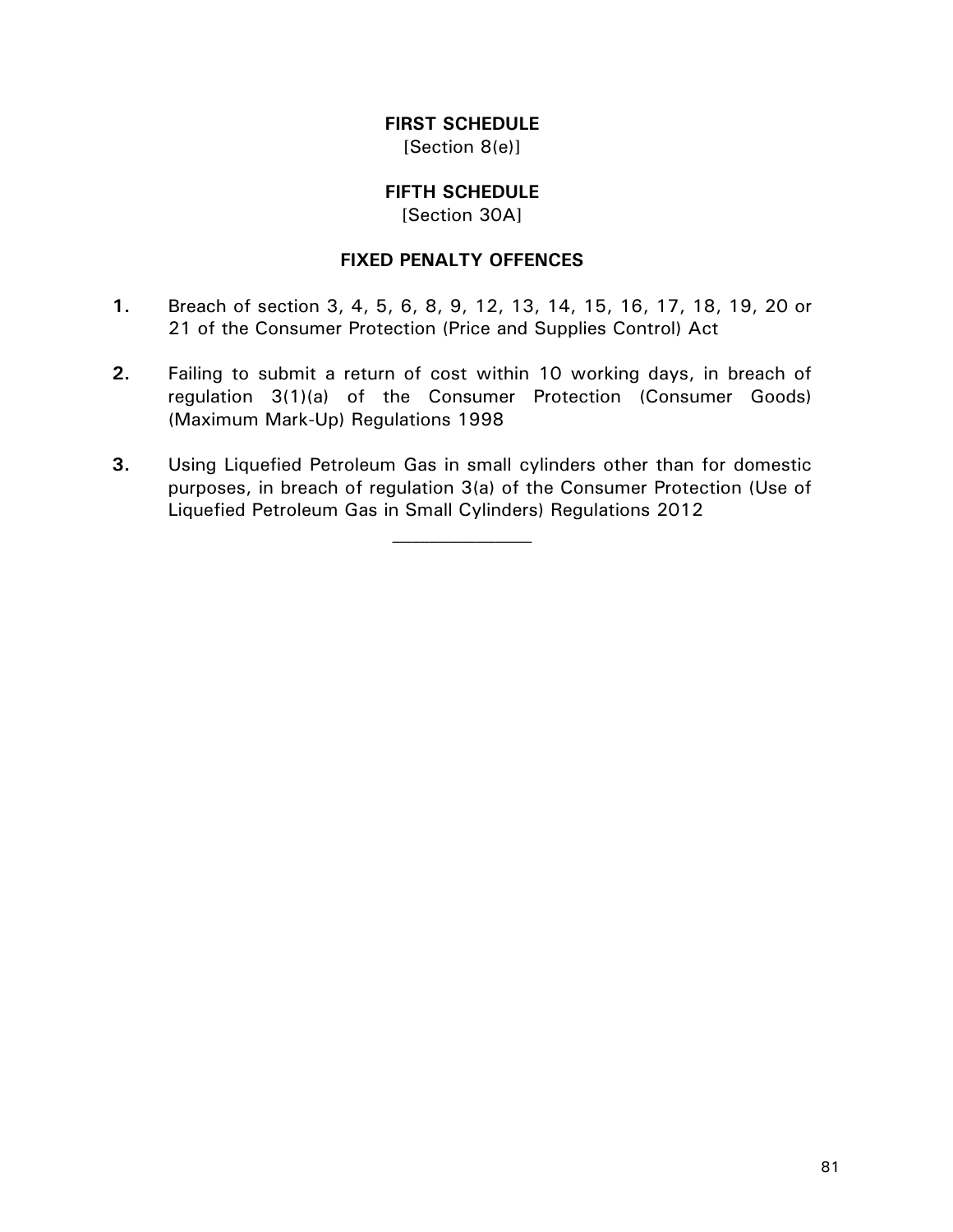# **FIRST SCHEDULE**

[Section 8(e)]

## **FIFTH SCHEDULE**

[Section 30A]

#### **FIXED PENALTY OFFENCES**

- **1.** Breach of section 3, 4, 5, 6, 8, 9, 12, 13, 14, 15, 16, 17, 18, 19, 20 or 21 of the Consumer Protection (Price and Supplies Control) Act
- **2.** Failing to submit a return of cost within 10 working days, in breach of regulation 3(1)(a) of the Consumer Protection (Consumer Goods) (Maximum Mark-Up) Regulations 1998
- **3.** Using Liquefied Petroleum Gas in small cylinders other than for domestic purposes, in breach of regulation 3(a) of the Consumer Protection (Use of Liquefied Petroleum Gas in Small Cylinders) Regulations 2012

 $\mathcal{L}_\text{max}$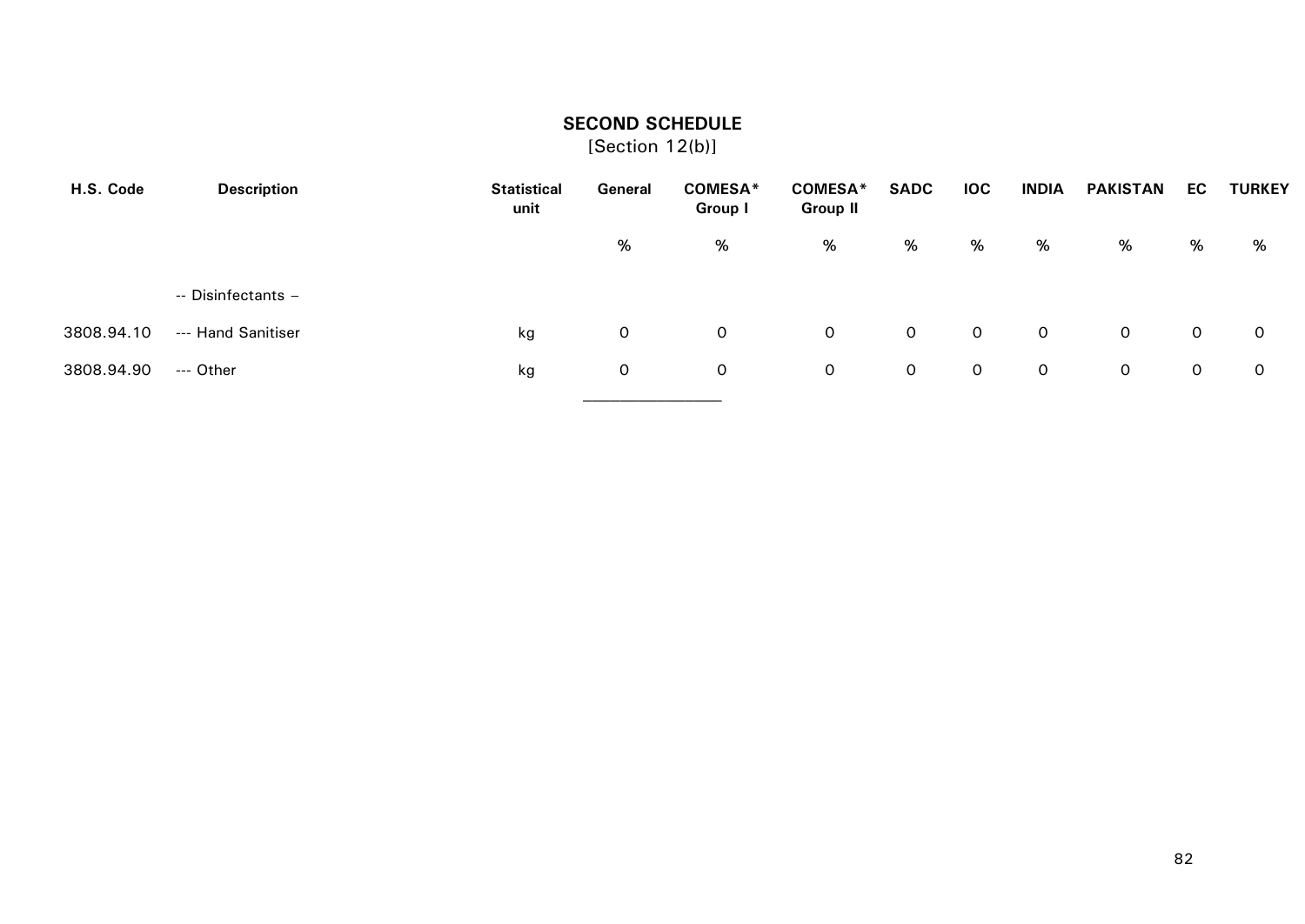## **SECOND SCHEDULE**

[Section 12(b)]

| H.S. Code  | <b>Description</b> | <b>Statistical</b><br>unit | General      | <b>COMESA*</b><br>Group I | <b>COMESA*</b><br><b>Group II</b> | <b>SADC</b>  | <b>IOC</b> | <b>INDIA</b>   | <b>PAKISTAN</b> | EC | <b>TURKEY</b> |
|------------|--------------------|----------------------------|--------------|---------------------------|-----------------------------------|--------------|------------|----------------|-----------------|----|---------------|
|            |                    |                            | %            | %                         | %                                 | %            | %          | %              | %               | %  | %             |
|            | -- Disinfectants - |                            |              |                           |                                   |              |            |                |                 |    |               |
| 3808.94.10 | --- Hand Sanitiser | kg                         | 0            | 0                         | $\mathsf{O}$                      | $\mathsf{O}$ | $\circ$    | $\circ$        | $\mathsf{O}$    | 0  | 0             |
| 3808.94.90 | --- Other          | kg                         | $\mathsf{O}$ | 0                         | $\mathsf{O}$                      | $\circ$      | $\circ$    | $\overline{O}$ | $\mathsf{O}$    | 0  | 0             |
|            |                    |                            |              |                           |                                   |              |            |                |                 |    |               |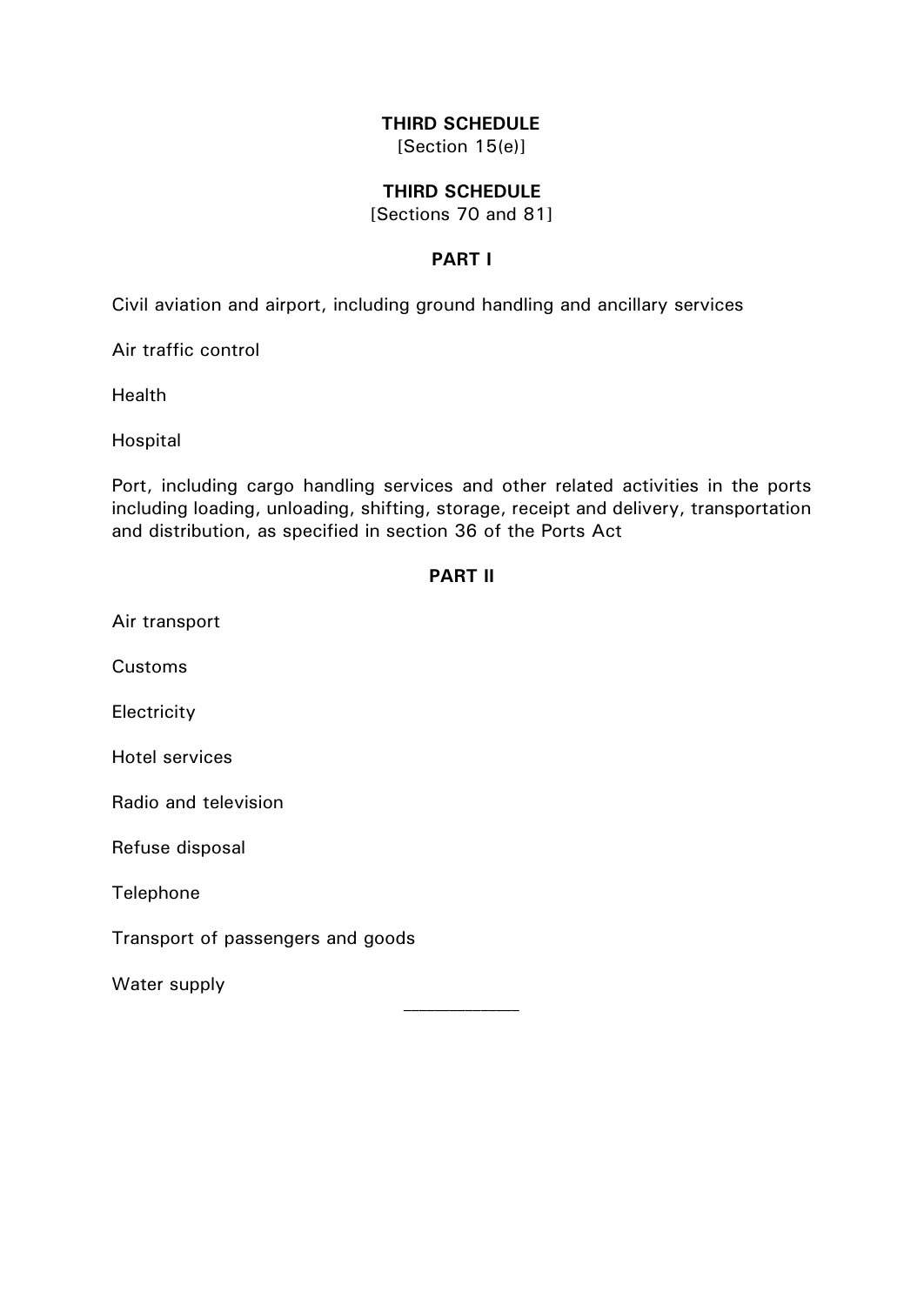## **THIRD SCHEDULE**

[Section 15(e)]

#### **THIRD SCHEDULE**

[Sections 70 and 81]

## **PART I**

Civil aviation and airport, including ground handling and ancillary services

Air traffic control

**Health** 

Hospital

Port, including cargo handling services and other related activities in the ports including loading, unloading, shifting, storage, receipt and delivery, transportation and distribution, as specified in section 36 of the Ports Act

#### **PART II**

Air transport

Customs

Electricity

Hotel services

Radio and television

Refuse disposal

Telephone

Transport of passengers and goods

Water supply

\_\_\_\_\_\_\_\_\_\_\_\_\_\_\_